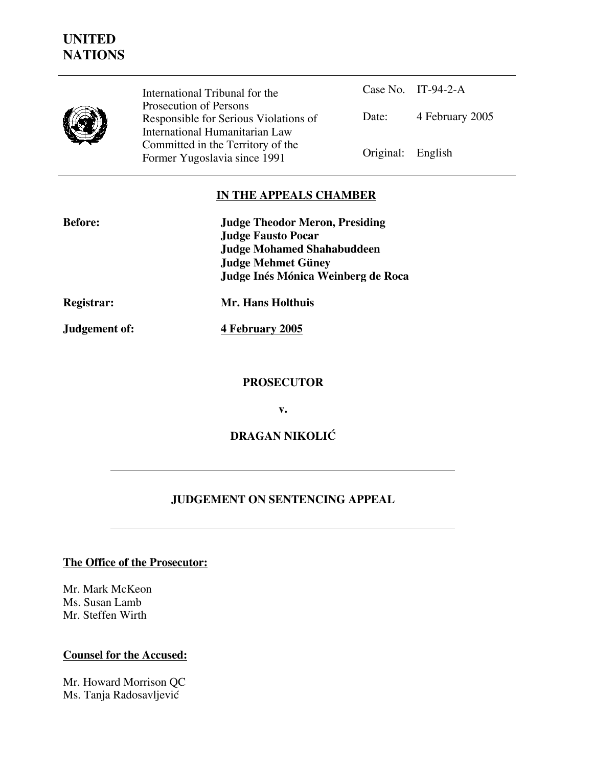## **UNITED NATIONS**



International Tribunal for the Prosecution of Persons Responsible for Serious Violations of International Humanitarian Law Committed in the Territory of the Former Yugoslavia since 1991 Original: English

Case No. IT-94-2-A Date: 4 February 2005

#### **IN THE APPEALS CHAMBER**

| <b>Before:</b> | <b>Judge Theodor Meron, Presiding</b> |
|----------------|---------------------------------------|
|                | <b>Judge Fausto Pocar</b>             |
|                | <b>Judge Mohamed Shahabuddeen</b>     |
|                | <b>Judge Mehmet Güney</b>             |
|                | Judge Inés Mónica Weinberg de Roca    |
| Registrar:     | Mr. Hans Holthuis                     |
| Judgement of:  | 4 February 2005                       |

**PROSECUTOR**

**v.**

**DRAGAN NIKOLIĆ**

#### **JUDGEMENT ON SENTENCING APPEAL**

### **The Office of the Prosecutor:**

Mr. Mark McKeon Ms. Susan Lamb Mr. Steffen Wirth

#### **Counsel for the Accused:**

Mr. Howard Morrison QC Ms. Tanja Radosavljević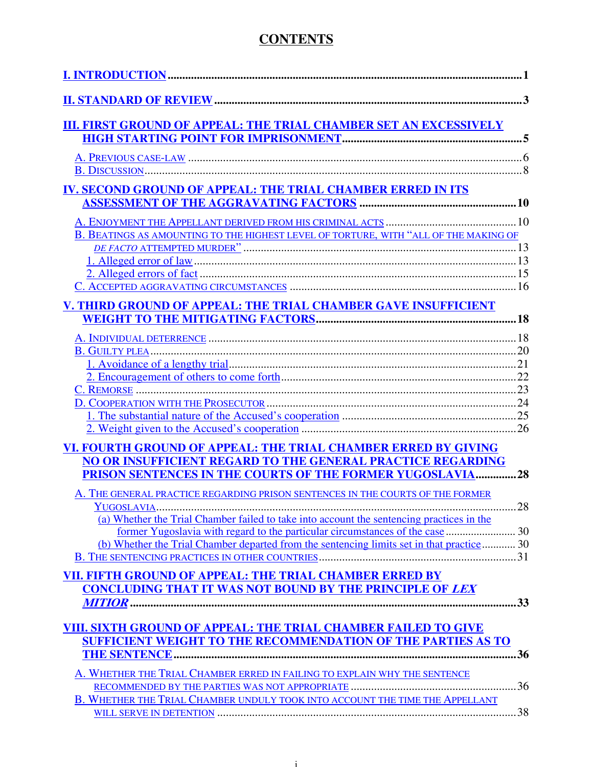## **CONTENTS**

| III. FIRST GROUND OF APPEAL: THE TRIAL CHAMBER SET AN EXCESSIVELY                         |     |
|-------------------------------------------------------------------------------------------|-----|
|                                                                                           |     |
|                                                                                           |     |
|                                                                                           |     |
| IV. SECOND GROUND OF APPEAL: THE TRIAL CHAMBER ERRED IN ITS                               |     |
|                                                                                           |     |
|                                                                                           |     |
| B. BEATINGS AS AMOUNTING TO THE HIGHEST LEVEL OF TORTURE, WITH "ALL OF THE MAKING OF      |     |
|                                                                                           |     |
|                                                                                           |     |
|                                                                                           |     |
|                                                                                           |     |
| V. THIRD GROUND OF APPEAL: THE TRIAL CHAMBER GAVE INSUFFICIENT                            |     |
|                                                                                           |     |
|                                                                                           |     |
|                                                                                           |     |
|                                                                                           |     |
|                                                                                           |     |
|                                                                                           |     |
|                                                                                           |     |
|                                                                                           |     |
|                                                                                           |     |
| VI. FOURTH GROUND OF APPEAL: THE TRIAL CHAMBER ERRED BY GIVING                            |     |
| <b>NO OR INSUFFICIENT REGARD TO THE GENERAL PRACTICE REGARDING</b>                        |     |
| PRISON SENTENCES IN THE COURTS OF THE FORMER YUGOSLAVIA28                                 |     |
| A. THE GENERAL PRACTICE REGARDING PRISON SENTENCES IN THE COURTS OF THE FORMER            |     |
|                                                                                           |     |
| (a) Whether the Trial Chamber failed to take into account the sentencing practices in the |     |
|                                                                                           |     |
| (b) Whether the Trial Chamber departed from the sentencing limits set in that practice 30 |     |
|                                                                                           |     |
| VII. FIFTH GROUND OF APPEAL: THE TRIAL CHAMBER ERRED BY                                   |     |
| <b>CONCLUDING THAT IT WAS NOT BOUND BY THE PRINCIPLE OF LEX</b>                           |     |
|                                                                                           |     |
|                                                                                           |     |
| VIII. SIXTH GROUND OF APPEAL: THE TRIAL CHAMBER FAILED TO GIVE                            |     |
| SUFFICIENT WEIGHT TO THE RECOMMENDATION OF THE PARTIES AS TO                              |     |
|                                                                                           | .36 |
| A. WHETHER THE TRIAL CHAMBER ERRED IN FAILING TO EXPLAIN WHY THE SENTENCE                 |     |
|                                                                                           |     |
| B. WHETHER THE TRIAL CHAMBER UNDULY TOOK INTO ACCOUNT THE TIME THE APPELLANT              |     |
|                                                                                           |     |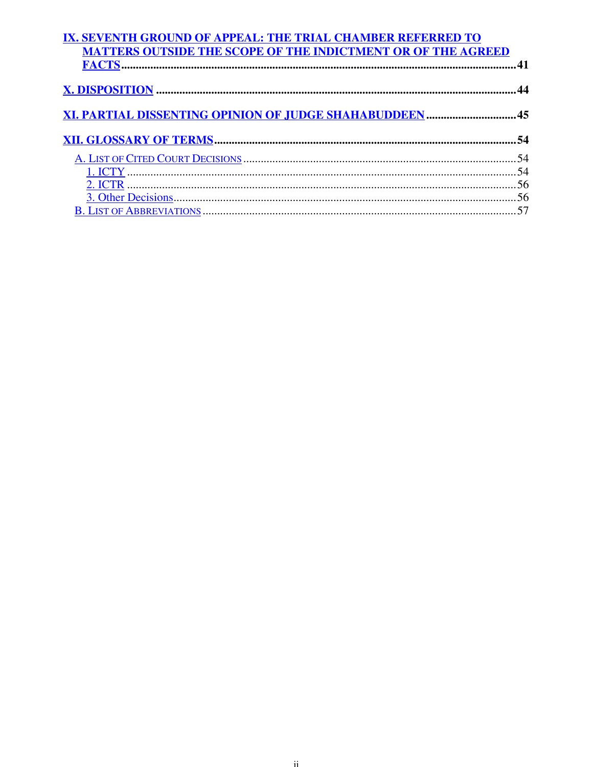| IX. SEVENTH GROUND OF APPEAL: THE TRIAL CHAMBER REFERRED TO         |  |
|---------------------------------------------------------------------|--|
| <b>MATTERS OUTSIDE THE SCOPE OF THE INDICTMENT OR OF THE AGREED</b> |  |
|                                                                     |  |
|                                                                     |  |
|                                                                     |  |
|                                                                     |  |
| XI. PARTIAL DISSENTING OPINION OF JUDGE SHAHABUDDEEN  45            |  |
|                                                                     |  |
|                                                                     |  |
|                                                                     |  |
|                                                                     |  |
|                                                                     |  |
|                                                                     |  |
|                                                                     |  |
|                                                                     |  |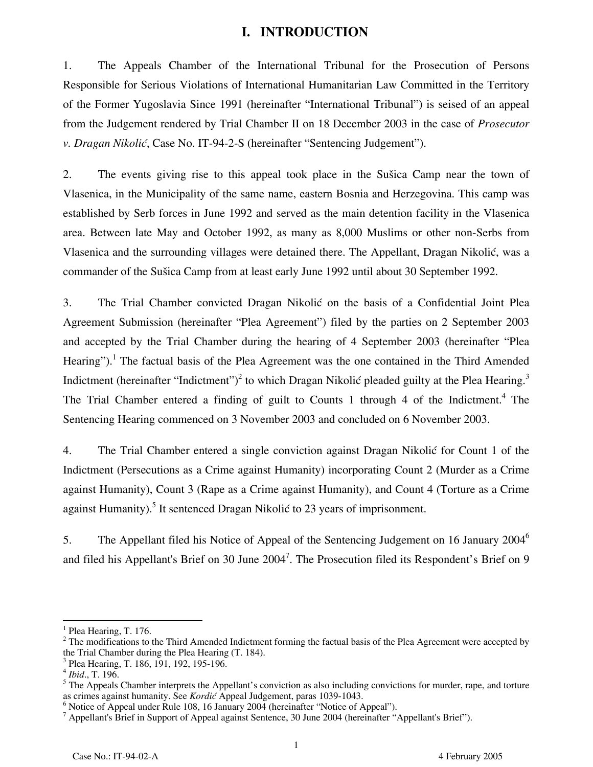#### **I. INTRODUCTION**

1. The Appeals Chamber of the International Tribunal for the Prosecution of Persons Responsible for Serious Violations of International Humanitarian Law Committed in the Territory of the Former Yugoslavia Since 1991 (hereinafter "International Tribunal") is seised of an appeal from the Judgement rendered by Trial Chamber II on 18 December 2003 in the case of *Prosecutor v. Dragan Nikolić*, Case No. IT-94-2-S (hereinafter "Sentencing Judgement").

2. The events giving rise to this appeal took place in the Sušica Camp near the town of Vlasenica, in the Municipality of the same name, eastern Bosnia and Herzegovina. This camp was established by Serb forces in June 1992 and served as the main detention facility in the Vlasenica area. Between late May and October 1992, as many as 8,000 Muslims or other non-Serbs from Vlasenica and the surrounding villages were detained there. The Appellant, Dragan Nikolić, was a commander of the Sušica Camp from at least early June 1992 until about 30 September 1992.

3. The Trial Chamber convicted Dragan Nikolić on the basis of a Confidential Joint Plea Agreement Submission (hereinafter "Plea Agreement") filed by the parties on 2 September 2003 and accepted by the Trial Chamber during the hearing of 4 September 2003 (hereinafter "Plea Hearing").<sup>1</sup> The factual basis of the Plea Agreement was the one contained in the Third Amended Indictment (hereinafter "Indictment")<sup>2</sup> to which Dragan Nikolić pleaded guilty at the Plea Hearing.<sup>3</sup> The Trial Chamber entered a finding of guilt to Counts 1 through 4 of the Indictment.<sup>4</sup> The Sentencing Hearing commenced on 3 November 2003 and concluded on 6 November 2003.

4. The Trial Chamber entered a single conviction against Dragan Nikolić for Count 1 of the Indictment (Persecutions as a Crime against Humanity) incorporating Count 2 (Murder as a Crime against Humanity), Count 3 (Rape as a Crime against Humanity), and Count 4 (Torture as a Crime against Humanity).<sup>5</sup> It sentenced Dragan Nikolić to 23 years of imprisonment.

5. The Appellant filed his Notice of Appeal of the Sentencing Judgement on 16 January 2004<sup>6</sup> and filed his Appellant's Brief on 30 June 2004<sup>7</sup>. The Prosecution filed its Respondent's Brief on 9

<sup>&</sup>lt;sup>1</sup> Plea Hearing, T. 176.

 $2$  The modifications to the Third Amended Indictment forming the factual basis of the Plea Agreement were accepted by the Trial Chamber during the Plea Hearing (T. 184).

<sup>&</sup>lt;sup>3</sup> Plea Hearing, T. 186, 191, 192, 195-196.

<sup>4</sup> *Ibid*., T. 196.

<sup>&</sup>lt;sup>5</sup> The Appeals Chamber interprets the Appellant's conviction as also including convictions for murder, rape, and torture as crimes against humanity. See *Kordić* Appeal Judgement, paras 1039-1043.

<sup>&</sup>lt;sup>6</sup> Notice of Appeal under Rule 108, 16 January 2004 (hereinafter "Notice of Appeal").

<sup>&</sup>lt;sup>7</sup> Appellant's Brief in Support of Appeal against Sentence, 30 June 2004 (hereinafter "Appellant's Brief").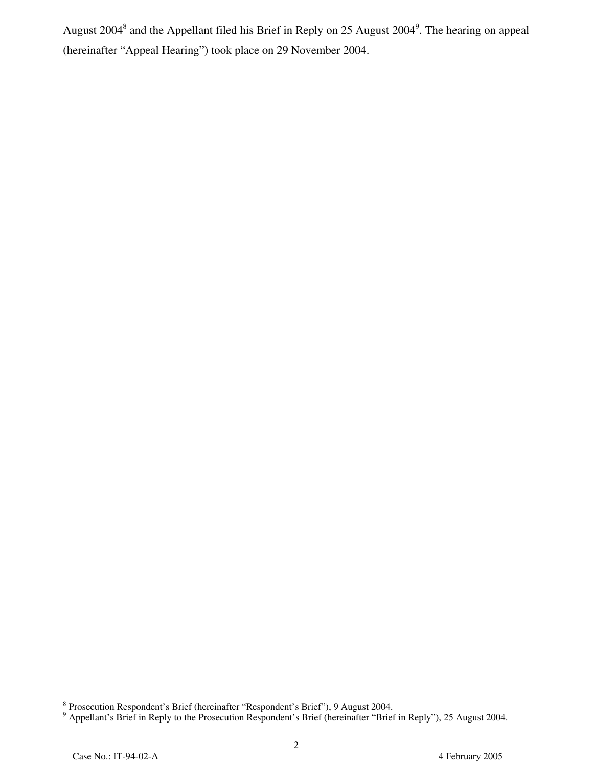August 2004<sup>8</sup> and the Appellant filed his Brief in Reply on 25 August 2004<sup>9</sup>. The hearing on appeal (hereinafter "Appeal Hearing") took place on 29 November 2004.

<sup>&</sup>lt;sup>8</sup><br><sup>8</sup> Prosecution Respondent's Brief (hereinafter "Respondent's Brief"), 9 August 2004.<br><sup>9</sup> Appellant's Brief in Reply to the Prosecution Respondent's Brief (hereinafter "Brief in Reply"), 25 August 2004.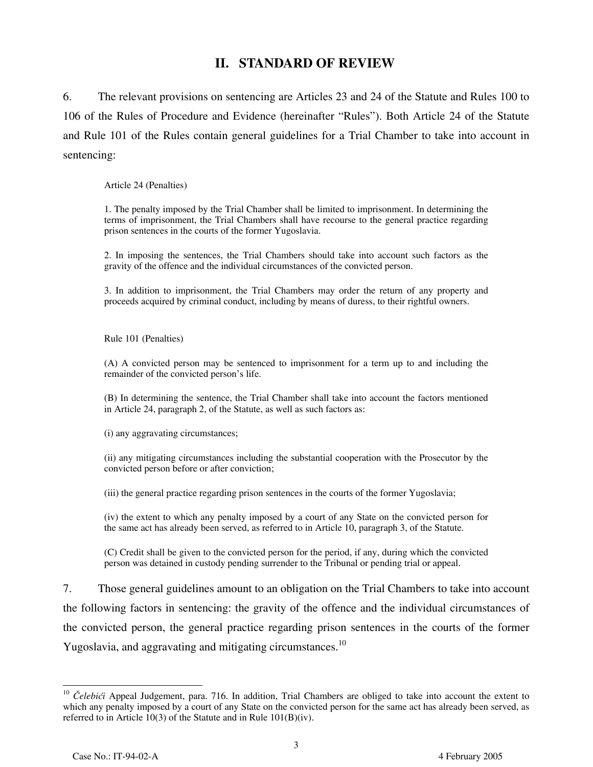## **II. STANDARD OF REVIEW**

6. The relevant provisions on sentencing are Articles 23 and 24 of the Statute and Rules 100 to 106 of the Rules of Procedure and Evidence (hereinafter "Rules"). Both Article 24 of the Statute and Rule 101 of the Rules contain general guidelines for a Trial Chamber to take into account in sentencing:

Article 24 (Penalties)

1. The penalty imposed by the Trial Chamber shall be limited to imprisonment. In determining the terms of imprisonment, the Trial Chambers shall have recourse to the general practice regarding prison sentences in the courts of the former Yugoslavia.

2. In imposing the sentences, the Trial Chambers should take into account such factors as the gravity of the offence and the individual circumstances of the convicted person.

3. In addition to imprisonment, the Trial Chambers may order the return of any property and proceeds acquired by criminal conduct, including by means of duress, to their rightful owners.

Rule 101 (Penalties)

(A) A convicted person may be sentenced to imprisonment for a term up to and including the remainder of the convicted person's life.

(B) In determining the sentence, the Trial Chamber shall take into account the factors mentioned in Article 24, paragraph 2, of the Statute, as well as such factors as:

(i) any aggravating circumstances;

(ii) any mitigating circumstances including the substantial cooperation with the Prosecutor by the convicted person before or after conviction;

(iii) the general practice regarding prison sentences in the courts of the former Yugoslavia;

(iv) the extent to which any penalty imposed by a court of any State on the convicted person for the same act has already been served, as referred to in Article 10, paragraph 3, of the Statute.

(C) Credit shall be given to the convicted person for the period, if any, during which the convicted person was detained in custody pending surrender to the Tribunal or pending trial or appeal.

7. Those general guidelines amount to an obligation on the Trial Chambers to take into account the following factors in sentencing: the gravity of the offence and the individual circumstances of the convicted person, the general practice regarding prison sentences in the courts of the former Yugoslavia, and aggravating and mitigating circumstances.<sup>10</sup>

<sup>&</sup>lt;sup>10</sup> Čelebići Appeal Judgement, para. 716. In addition, Trial Chambers are obliged to take into account the extent to which any penalty imposed by a court of any State on the convicted person for the same act has already been served, as referred to in Article 10(3) of the Statute and in Rule  $101(B)(iv)$ .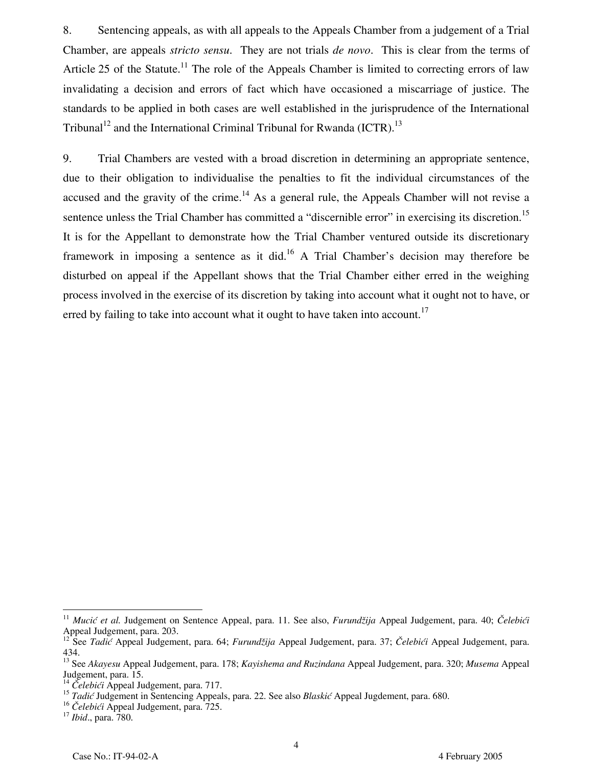8. Sentencing appeals, as with all appeals to the Appeals Chamber from a judgement of a Trial Chamber, are appeals *stricto sensu*. They are not trials *de novo*. This is clear from the terms of Article 25 of the Statute.<sup>11</sup> The role of the Appeals Chamber is limited to correcting errors of law invalidating a decision and errors of fact which have occasioned a miscarriage of justice. The standards to be applied in both cases are well established in the jurisprudence of the International Tribunal<sup>12</sup> and the International Criminal Tribunal for Rwanda (ICTR).<sup>13</sup>

9. Trial Chambers are vested with a broad discretion in determining an appropriate sentence, due to their obligation to individualise the penalties to fit the individual circumstances of the accused and the gravity of the crime.<sup>14</sup> As a general rule, the Appeals Chamber will not revise a sentence unless the Trial Chamber has committed a "discernible error" in exercising its discretion.<sup>15</sup> It is for the Appellant to demonstrate how the Trial Chamber ventured outside its discretionary framework in imposing a sentence as it did.<sup>16</sup> A Trial Chamber's decision may therefore be disturbed on appeal if the Appellant shows that the Trial Chamber either erred in the weighing process involved in the exercise of its discretion by taking into account what it ought not to have, or erred by failing to take into account what it ought to have taken into account.<sup>17</sup>

<sup>11</sup> *Mucić et al.* Judgement on Sentence Appeal, para. 11. See also, *Furundžija* Appeal Judgement, para. 40; *Čelebići* Appeal Judgement, para. 203.

<sup>&</sup>lt;sup>12</sup> See *Tadić* Appeal Judgement, para. 64; *Furundžija* Appeal Judgement, para. 37; Čelebići Appeal Judgement, para. 434.

<sup>13</sup> See *Akayesu* Appeal Judgement, para. 178; *Kayishema and Ruzindana* Appeal Judgement, para. 320; *Musema* Appeal Judgement, para. 15.

<sup>14</sup> *Čelebići* Appeal Judgement, para. 717.

<sup>15</sup> *Tadić* Judgement in Sentencing Appeals, para. 22. See also *Blaskić* Appeal Jugdement, para. 680.

<sup>16</sup> *<sup>Č</sup>elebići* Appeal Judgement, para. 725. <sup>17</sup> *Ibid*., para. 780.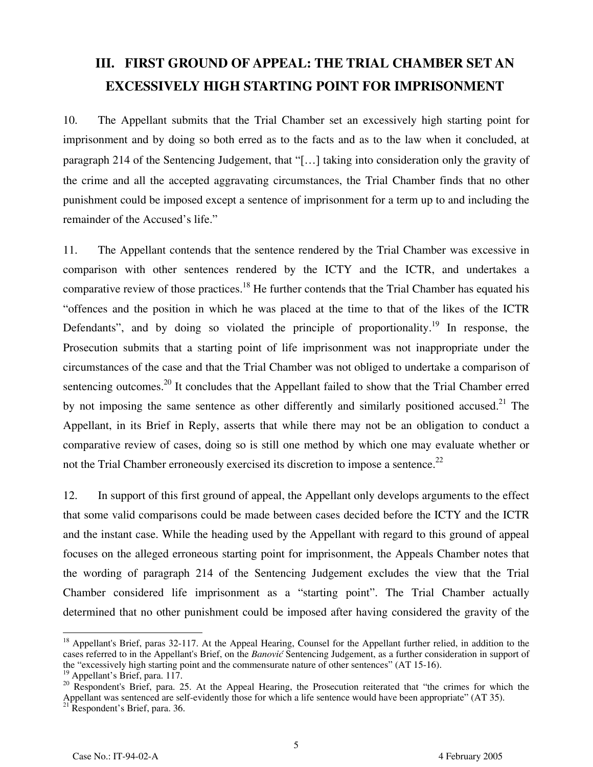# **III. FIRST GROUND OF APPEAL: THE TRIAL CHAMBER SET AN EXCESSIVELY HIGH STARTING POINT FOR IMPRISONMENT**

10. The Appellant submits that the Trial Chamber set an excessively high starting point for imprisonment and by doing so both erred as to the facts and as to the law when it concluded, at paragraph 214 of the Sentencing Judgement, that "[…] taking into consideration only the gravity of the crime and all the accepted aggravating circumstances, the Trial Chamber finds that no other punishment could be imposed except a sentence of imprisonment for a term up to and including the remainder of the Accused's life."

11. The Appellant contends that the sentence rendered by the Trial Chamber was excessive in comparison with other sentences rendered by the ICTY and the ICTR, and undertakes a comparative review of those practices.<sup>18</sup> He further contends that the Trial Chamber has equated his "offences and the position in which he was placed at the time to that of the likes of the ICTR Defendants", and by doing so violated the principle of proportionality.<sup>19</sup> In response, the Prosecution submits that a starting point of life imprisonment was not inappropriate under the circumstances of the case and that the Trial Chamber was not obliged to undertake a comparison of sentencing outcomes.<sup>20</sup> It concludes that the Appellant failed to show that the Trial Chamber erred by not imposing the same sentence as other differently and similarly positioned accused.<sup>21</sup> The Appellant, in its Brief in Reply, asserts that while there may not be an obligation to conduct a comparative review of cases, doing so is still one method by which one may evaluate whether or not the Trial Chamber erroneously exercised its discretion to impose a sentence.<sup>22</sup>

12. In support of this first ground of appeal, the Appellant only develops arguments to the effect that some valid comparisons could be made between cases decided before the ICTY and the ICTR and the instant case. While the heading used by the Appellant with regard to this ground of appeal focuses on the alleged erroneous starting point for imprisonment, the Appeals Chamber notes that the wording of paragraph 214 of the Sentencing Judgement excludes the view that the Trial Chamber considered life imprisonment as a "starting point". The Trial Chamber actually determined that no other punishment could be imposed after having considered the gravity of the

<sup>&</sup>lt;sup>18</sup> Appellant's Brief, paras 32-117. At the Appeal Hearing, Counsel for the Appellant further relied, in addition to the cases referred to in the Appellant's Brief, on the *Banović* Sentencing Judgement, as a further consideration in support of the "excessively high starting point and the commensurate nature of other sentences" (AT 15-16).

<sup>&</sup>lt;sup>19</sup> Appellant's Brief, para. 117.

<sup>&</sup>lt;sup>20</sup> Respondent's Brief, para. 25. At the Appeal Hearing, the Prosecution reiterated that "the crimes for which the Appellant was sentenced are self-evidently those for which a life sentence would have been appropriate" (AT 35).  $21$ <sup>21</sup> Respondent's Brief, para. 36.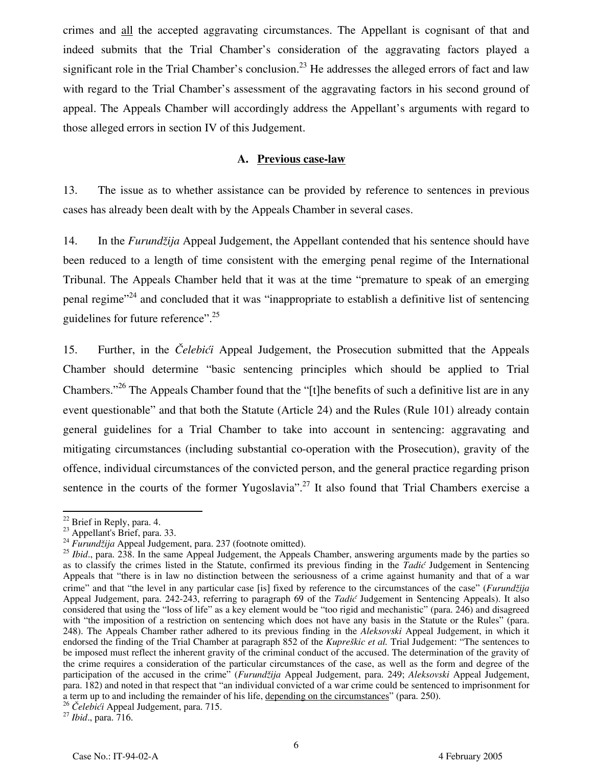crimes and all the accepted aggravating circumstances. The Appellant is cognisant of that and indeed submits that the Trial Chamber's consideration of the aggravating factors played a significant role in the Trial Chamber's conclusion.<sup>23</sup> He addresses the alleged errors of fact and law with regard to the Trial Chamber's assessment of the aggravating factors in his second ground of appeal. The Appeals Chamber will accordingly address the Appellant's arguments with regard to those alleged errors in section IV of this Judgement.

#### **A. Previous case-law**

13. The issue as to whether assistance can be provided by reference to sentences in previous cases has already been dealt with by the Appeals Chamber in several cases.

14. In the *Furundžija* Appeal Judgement, the Appellant contended that his sentence should have been reduced to a length of time consistent with the emerging penal regime of the International Tribunal. The Appeals Chamber held that it was at the time "premature to speak of an emerging penal regime<sup> $24$ </sup> and concluded that it was "inappropriate to establish a definitive list of sentencing guidelines for future reference".<sup>25</sup>

15. Further, in the *Čelebići* Appeal Judgement, the Prosecution submitted that the Appeals Chamber should determine "basic sentencing principles which should be applied to Trial Chambers."<sup>26</sup> The Appeals Chamber found that the "[t]he benefits of such a definitive list are in any event questionable" and that both the Statute (Article 24) and the Rules (Rule 101) already contain general guidelines for a Trial Chamber to take into account in sentencing: aggravating and mitigating circumstances (including substantial co-operation with the Prosecution), gravity of the offence, individual circumstances of the convicted person, and the general practice regarding prison sentence in the courts of the former Yugoslavia".<sup>27</sup> It also found that Trial Chambers exercise a

 $\overline{a}$ 

<sup>&</sup>lt;sup>22</sup> Brief in Reply, para. 4.

 $^{23}$  Appellant's Brief, para. 33.

<sup>24</sup> *Furundžija* Appeal Judgement, para. 237 (footnote omitted).

<sup>&</sup>lt;sup>25</sup> *Ibid.*, para. 238. In the same Appeal Judgement, the Appeals Chamber, answering arguments made by the parties so as to classify the crimes listed in the Statute, confirmed its previous finding in the *Tadić* Judgement in Sentencing Appeals that "there is in law no distinction between the seriousness of a crime against humanity and that of a war crime" and that "the level in any particular case [is] fixed by reference to the circumstances of the case" (*Furundžija* Appeal Judgement, para. 242-243, referring to paragraph 69 of the *Tadić* Judgement in Sentencing Appeals). It also considered that using the "loss of life" as a key element would be "too rigid and mechanistic" (para. 246) and disagreed with "the imposition of a restriction on sentencing which does not have any basis in the Statute or the Rules" (para. 248). The Appeals Chamber rather adhered to its previous finding in the *Aleksovski* Appeal Judgement, in which it endorsed the finding of the Trial Chamber at paragraph 852 of the *Kupreškic et al.* Trial Judgement: "The sentences to be imposed must reflect the inherent gravity of the criminal conduct of the accused. The determination of the gravity of the crime requires a consideration of the particular circumstances of the case, as well as the form and degree of the participation of the accused in the crime" (*Furundžija* Appeal Judgement, para. 249; *Aleksovski* Appeal Judgement, para. 182) and noted in that respect that "an individual convicted of a war crime could be sentenced to imprisonment for a term up to and including the remainder of his life, depending on the circumstances" (para. 250).

<sup>26</sup> *<sup>Č</sup>elebići* Appeal Judgement, para. 715. <sup>27</sup> *Ibid*., para. 716.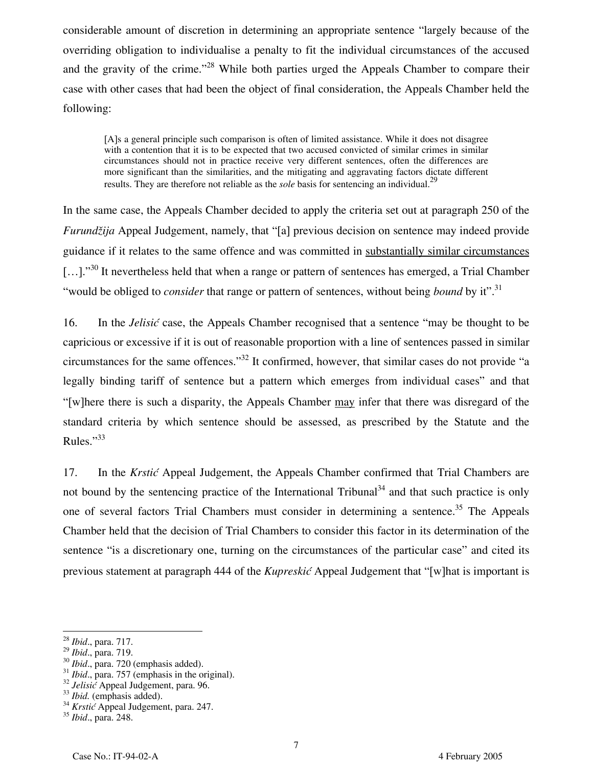considerable amount of discretion in determining an appropriate sentence "largely because of the overriding obligation to individualise a penalty to fit the individual circumstances of the accused and the gravity of the crime."<sup>28</sup> While both parties urged the Appeals Chamber to compare their case with other cases that had been the object of final consideration, the Appeals Chamber held the following:

[A]s a general principle such comparison is often of limited assistance. While it does not disagree with a contention that it is to be expected that two accused convicted of similar crimes in similar circumstances should not in practice receive very different sentences, often the differences are more significant than the similarities, and the mitigating and aggravating factors dictate different results. They are therefore not reliable as the *sole* basis for sentencing an individual.<sup>29</sup>

In the same case, the Appeals Chamber decided to apply the criteria set out at paragraph 250 of the *Furundžija* Appeal Judgement, namely, that "[a] previous decision on sentence may indeed provide guidance if it relates to the same offence and was committed in substantially similar circumstances [...]."<sup>30</sup> It nevertheless held that when a range or pattern of sentences has emerged, a Trial Chamber "would be obliged to *consider* that range or pattern of sentences, without being *bound* by it".31

16. In the *Jelisić* case, the Appeals Chamber recognised that a sentence "may be thought to be capricious or excessive if it is out of reasonable proportion with a line of sentences passed in similar circumstances for the same offences."32 It confirmed, however, that similar cases do not provide "a legally binding tariff of sentence but a pattern which emerges from individual cases" and that "[w]here there is such a disparity, the Appeals Chamber may infer that there was disregard of the standard criteria by which sentence should be assessed, as prescribed by the Statute and the Rules."<sup>33</sup>

17. In the *Krstić* Appeal Judgement, the Appeals Chamber confirmed that Trial Chambers are not bound by the sentencing practice of the International Tribunal<sup>34</sup> and that such practice is only one of several factors Trial Chambers must consider in determining a sentence.<sup>35</sup> The Appeals Chamber held that the decision of Trial Chambers to consider this factor in its determination of the sentence "is a discretionary one, turning on the circumstances of the particular case" and cited its previous statement at paragraph 444 of the *Kupreskić* Appeal Judgement that "[w]hat is important is

-

<sup>28</sup> *Ibid*., para. 717.

<sup>&</sup>lt;sup>29</sup> *Ibid.*, para. 719.<br><sup>30</sup> *Ibid.*, para. 720 (emphasis added).<br><sup>31</sup> *Ibid.*, para. 757 (emphasis in the original).<br><sup>32</sup> *Jelisić* Appeal Judgement, para. 96.<br><sup>33</sup> *Ibid.* (emphasis added).<br><sup>34</sup> *Krstić* Appeal Judgeme

<sup>35</sup> *Ibid*., para. 248.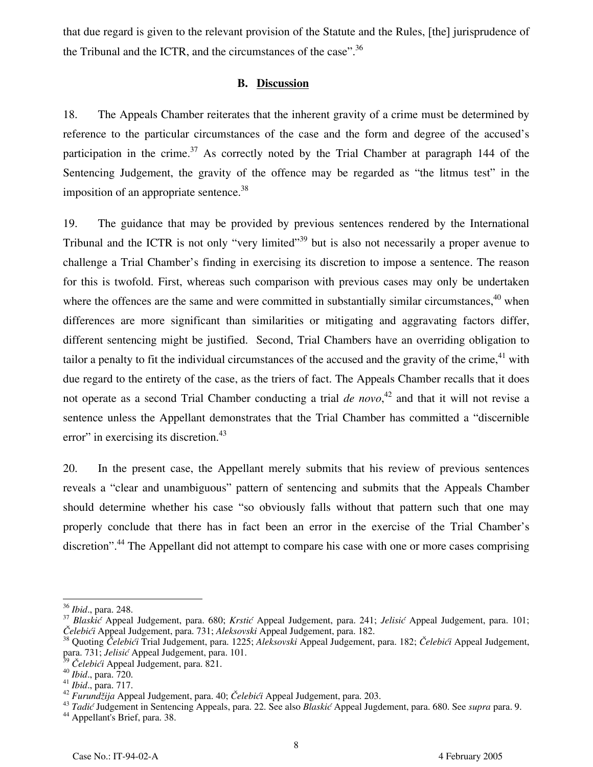that due regard is given to the relevant provision of the Statute and the Rules, [the] jurisprudence of the Tribunal and the ICTR, and the circumstances of the case".<sup>36</sup>

#### **B. Discussion**

18. The Appeals Chamber reiterates that the inherent gravity of a crime must be determined by reference to the particular circumstances of the case and the form and degree of the accused's participation in the crime.<sup>37</sup> As correctly noted by the Trial Chamber at paragraph 144 of the Sentencing Judgement, the gravity of the offence may be regarded as "the litmus test" in the imposition of an appropriate sentence.<sup>38</sup>

19. The guidance that may be provided by previous sentences rendered by the International Tribunal and the ICTR is not only "very limited"<sup>39</sup> but is also not necessarily a proper avenue to challenge a Trial Chamber's finding in exercising its discretion to impose a sentence. The reason for this is twofold. First, whereas such comparison with previous cases may only be undertaken where the offences are the same and were committed in substantially similar circumstances,  $40$  when differences are more significant than similarities or mitigating and aggravating factors differ, different sentencing might be justified. Second, Trial Chambers have an overriding obligation to tailor a penalty to fit the individual circumstances of the accused and the gravity of the crime, $41$  with due regard to the entirety of the case, as the triers of fact. The Appeals Chamber recalls that it does not operate as a second Trial Chamber conducting a trial *de novo*, 42 and that it will not revise a sentence unless the Appellant demonstrates that the Trial Chamber has committed a "discernible error" in exercising its discretion. $43$ 

20. In the present case, the Appellant merely submits that his review of previous sentences reveals a "clear and unambiguous" pattern of sentencing and submits that the Appeals Chamber should determine whether his case "so obviously falls without that pattern such that one may properly conclude that there has in fact been an error in the exercise of the Trial Chamber's discretion".<sup>44</sup> The Appellant did not attempt to compare his case with one or more cases comprising

<sup>&</sup>lt;sup>36</sup> Ibid., para. 248.

<sup>&</sup>lt;sup>37</sup> Blaskić Appeal Judgement, para. 680; *Krstić* Appeal Judgement, para. 241; *Jelisić* Appeal Judgement, para. 101; Čelebići Appeal Judgement, para. 101;

<sup>&</sup>lt;sup>38</sup> Quoting Čelebići Trial Judgement, para. 1225; Aleksovski Appeal Judgement, para. 182; Čelebići Appeal Judgement, para. 731; *Jelisić* Appeal Judgement, para. 101.

<sup>&</sup>lt;sup>40</sup> Ibid., para. 720.<br>
<sup>41</sup> Ibid., para. 717.<br>
<sup>42</sup> Furundžija Appeal Judgement, para. 40; Čelebići Appeal Judgement, para. 203.<br>
<sup>43</sup> Tadić Judgement in Sentencing Appeals, para. 22. See also *Blaskić* Appeal Jugdement,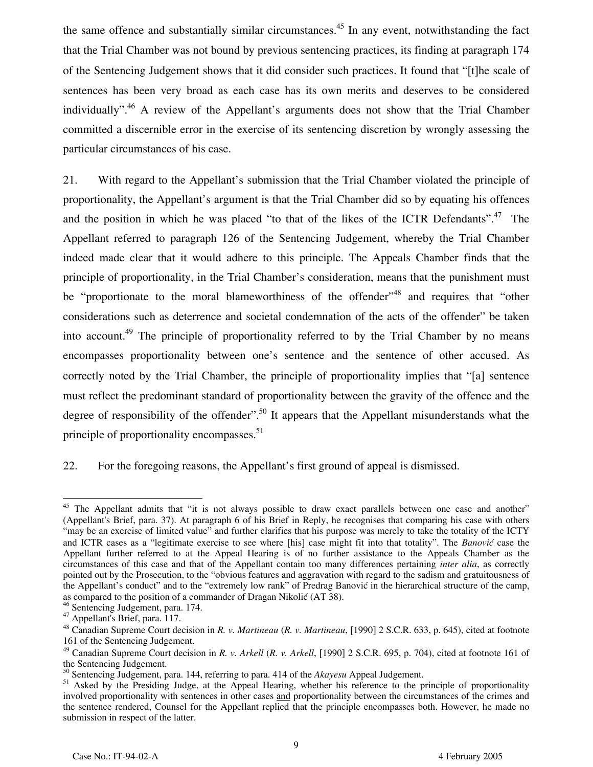the same offence and substantially similar circumstances.<sup>45</sup> In any event, notwithstanding the fact that the Trial Chamber was not bound by previous sentencing practices, its finding at paragraph 174 of the Sentencing Judgement shows that it did consider such practices. It found that "[t]he scale of sentences has been very broad as each case has its own merits and deserves to be considered individually".<sup>46</sup> A review of the Appellant's arguments does not show that the Trial Chamber committed a discernible error in the exercise of its sentencing discretion by wrongly assessing the particular circumstances of his case.

21. With regard to the Appellant's submission that the Trial Chamber violated the principle of proportionality, the Appellant's argument is that the Trial Chamber did so by equating his offences and the position in which he was placed "to that of the likes of the ICTR Defendants".<sup>47</sup> The Appellant referred to paragraph 126 of the Sentencing Judgement, whereby the Trial Chamber indeed made clear that it would adhere to this principle. The Appeals Chamber finds that the principle of proportionality, in the Trial Chamber's consideration, means that the punishment must be "proportionate to the moral blameworthiness of the offender"<sup>48</sup> and requires that "other considerations such as deterrence and societal condemnation of the acts of the offender" be taken into account.<sup>49</sup> The principle of proportionality referred to by the Trial Chamber by no means encompasses proportionality between one's sentence and the sentence of other accused. As correctly noted by the Trial Chamber, the principle of proportionality implies that "[a] sentence must reflect the predominant standard of proportionality between the gravity of the offence and the degree of responsibility of the offender".<sup>50</sup> It appears that the Appellant misunderstands what the principle of proportionality encompasses.<sup>51</sup>

22. For the foregoing reasons, the Appellant's first ground of appeal is dismissed.

9

<sup>-</sup><sup>45</sup> The Appellant admits that "it is not always possible to draw exact parallels between one case and another" (Appellant's Brief, para. 37). At paragraph 6 of his Brief in Reply, he recognises that comparing his case with others "may be an exercise of limited value" and further clarifies that his purpose was merely to take the totality of the ICTY and ICTR cases as a "legitimate exercise to see where [his] case might fit into that totality". The *Banović* case the Appellant further referred to at the Appeal Hearing is of no further assistance to the Appeals Chamber as the circumstances of this case and that of the Appellant contain too many differences pertaining *inter alia*, as correctly pointed out by the Prosecution, to the "obvious features and aggravation with regard to the sadism and gratuitousness of the Appellant's conduct" and to the "extremely low rank" of Predrag Banović in the hierarchical structure of the camp, as compared to the position of a commander of Dragan Nikolić (AT 38).

<sup>46</sup> Sentencing Judgement, para. 174.

<sup>47</sup> Appellant's Brief, para. 117.

<sup>48</sup> Canadian Supreme Court decision in *R. v. Martineau* (*R. v. Martineau*, [1990] 2 S.C.R. 633, p. 645), cited at footnote 161 of the Sentencing Judgement.

<sup>49</sup> Canadian Supreme Court decision in *R. v. Arkell* (*R. v. Arkell*, [1990] 2 S.C.R. 695, p. 704), cited at footnote 161 of the Sentencing Judgement.

<sup>50</sup> Sentencing Judgement, para. 144, referring to para. 414 of the *Akayesu* Appeal Judgement.

<sup>&</sup>lt;sup>51</sup> Asked by the Presiding Judge, at the Appeal Hearing, whether his reference to the principle of proportionality involved proportionality with sentences in other cases and proportionality between the circumstances of the crimes and the sentence rendered, Counsel for the Appellant replied that the principle encompasses both. However, he made no submission in respect of the latter.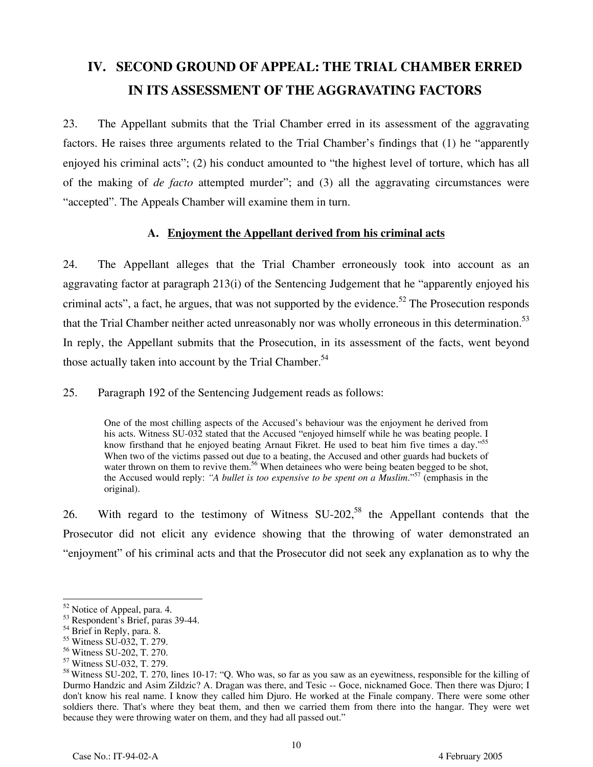# **IV. SECOND GROUND OF APPEAL: THE TRIAL CHAMBER ERRED IN ITS ASSESSMENT OF THE AGGRAVATING FACTORS**

23. The Appellant submits that the Trial Chamber erred in its assessment of the aggravating factors. He raises three arguments related to the Trial Chamber's findings that (1) he "apparently enjoyed his criminal acts"; (2) his conduct amounted to "the highest level of torture, which has all of the making of *de facto* attempted murder"; and (3) all the aggravating circumstances were "accepted". The Appeals Chamber will examine them in turn.

#### **A. Enjoyment the Appellant derived from his criminal acts**

24. The Appellant alleges that the Trial Chamber erroneously took into account as an aggravating factor at paragraph 213(i) of the Sentencing Judgement that he "apparently enjoyed his criminal acts", a fact, he argues, that was not supported by the evidence.<sup>52</sup> The Prosecution responds that the Trial Chamber neither acted unreasonably nor was wholly erroneous in this determination.<sup>53</sup> In reply, the Appellant submits that the Prosecution, in its assessment of the facts, went beyond those actually taken into account by the Trial Chamber.<sup>54</sup>

25. Paragraph 192 of the Sentencing Judgement reads as follows:

One of the most chilling aspects of the Accused's behaviour was the enjoyment he derived from his acts. Witness SU-032 stated that the Accused "enjoyed himself while he was beating people. I know firsthand that he enjoyed beating Arnaut Fikret. He used to beat him five times a day."<sup>55</sup> When two of the victims passed out due to a beating, the Accused and other guards had buckets of water thrown on them to revive them.<sup>56</sup> When detainees who were being beaten begged to be shot, the Accused would reply: *"A bullet is too expensive to be spent on a Muslim*."57 (emphasis in the original).

26. With regard to the testimony of Witness  $SU-202$ <sup>58</sup>, the Appellant contends that the Prosecutor did not elicit any evidence showing that the throwing of water demonstrated an "enjoyment" of his criminal acts and that the Prosecutor did not seek any explanation as to why the

 $\overline{a}$ <sup>52</sup> Notice of Appeal, para. 4.

<sup>53</sup> Respondent's Brief, paras 39-44.

<sup>&</sup>lt;sup>54</sup> Brief in Reply, para. 8.

<sup>55</sup> Witness SU-032, T. 279.

<sup>56</sup> Witness SU-202, T. 270.

<sup>57</sup> Witness SU-032, T. 279.

<sup>58</sup> Witness SU-202, T. 270, lines 10-17: "Q. Who was, so far as you saw as an eyewitness, responsible for the killing of Durmo Handzic and Asim Zildzic? A. Dragan was there, and Tesic -- Goce, nicknamed Goce. Then there was Djuro; I don't know his real name. I know they called him Djuro. He worked at the Finale company. There were some other soldiers there. That's where they beat them, and then we carried them from there into the hangar. They were wet because they were throwing water on them, and they had all passed out."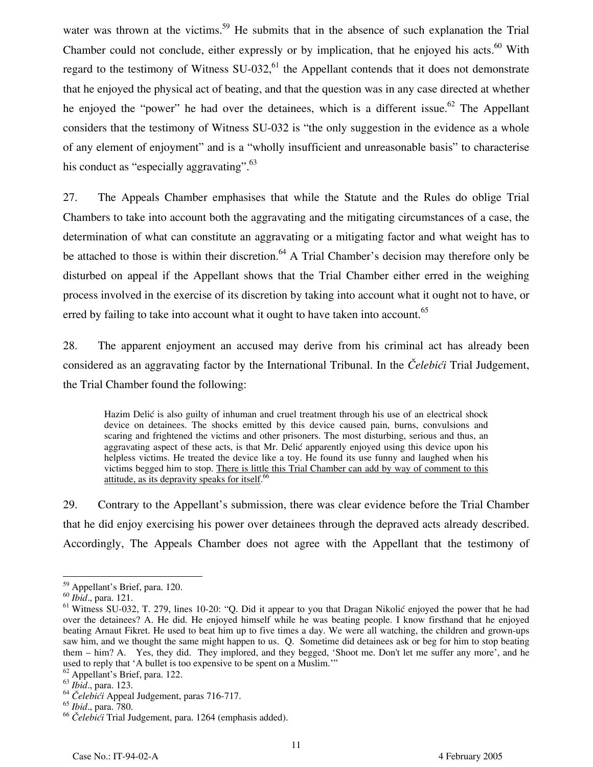water was thrown at the victims.<sup>59</sup> He submits that in the absence of such explanation the Trial Chamber could not conclude, either expressly or by implication, that he enjoyed his acts.<sup>60</sup> With regard to the testimony of Witness  $SU-032$ , <sup>61</sup> the Appellant contends that it does not demonstrate that he enjoyed the physical act of beating, and that the question was in any case directed at whether he enjoyed the "power" he had over the detainees, which is a different issue.<sup>62</sup> The Appellant considers that the testimony of Witness SU-032 is "the only suggestion in the evidence as a whole of any element of enjoyment" and is a "wholly insufficient and unreasonable basis" to characterise his conduct as "especially aggravating".<sup>63</sup>

27. The Appeals Chamber emphasises that while the Statute and the Rules do oblige Trial Chambers to take into account both the aggravating and the mitigating circumstances of a case, the determination of what can constitute an aggravating or a mitigating factor and what weight has to be attached to those is within their discretion.<sup>64</sup> A Trial Chamber's decision may therefore only be disturbed on appeal if the Appellant shows that the Trial Chamber either erred in the weighing process involved in the exercise of its discretion by taking into account what it ought not to have, or erred by failing to take into account what it ought to have taken into account.<sup>65</sup>

28. The apparent enjoyment an accused may derive from his criminal act has already been considered as an aggravating factor by the International Tribunal. In the *Čelebići* Trial Judgement, the Trial Chamber found the following:

Hazim Delić is also guilty of inhuman and cruel treatment through his use of an electrical shock device on detainees. The shocks emitted by this device caused pain, burns, convulsions and scaring and frightened the victims and other prisoners. The most disturbing, serious and thus, an aggravating aspect of these acts, is that Mr. Delić apparently enjoyed using this device upon his helpless victims. He treated the device like a toy. He found its use funny and laughed when his victims begged him to stop. There is little this Trial Chamber can add by way of comment to this attitude, as its depravity speaks for itself.<sup>66</sup>

29. Contrary to the Appellant's submission, there was clear evidence before the Trial Chamber that he did enjoy exercising his power over detainees through the depraved acts already described. Accordingly, The Appeals Chamber does not agree with the Appellant that the testimony of

<sup>&</sup>lt;u>.</u> <sup>59</sup> Appellant's Brief, para. 120.

<sup>60</sup> *Ibid*., para. 121.

<sup>&</sup>lt;sup>61</sup> Witness SU-032, T. 279, lines 10-20: "Q. Did it appear to you that Dragan Nikolić enjoyed the power that he had over the detainees? A. He did. He enjoyed himself while he was beating people. I know firsthand that he enjoyed beating Arnaut Fikret. He used to beat him up to five times a day. We were all watching, the children and grown-ups saw him, and we thought the same might happen to us. Q. Sometime did detainees ask or beg for him to stop beating them – him? A. Yes, they did. They implored, and they begged, 'Shoot me. Don't let me suffer any more', and he used to reply that 'A bullet is too expensive to be spent on a Muslim."

<sup>&</sup>lt;sup>62</sup> Appellant's Brief, para. 122.<br>
<sup>63</sup> *Ibid.*, para. 123.

<sup>64</sup> *Čelebići* Appeal Judgement, paras 716-717.

<sup>65</sup> *Ibid*., para. 780.

<sup>66</sup> *Čelebići* Trial Judgement, para. 1264 (emphasis added).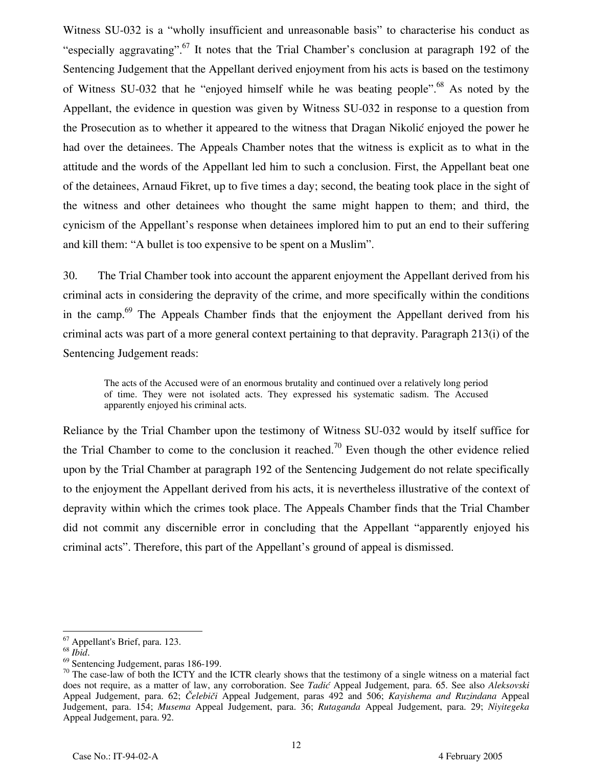Witness SU-032 is a "wholly insufficient and unreasonable basis" to characterise his conduct as "especially aggravating".<sup>67</sup> It notes that the Trial Chamber's conclusion at paragraph 192 of the Sentencing Judgement that the Appellant derived enjoyment from his acts is based on the testimony of Witness SU-032 that he "enjoyed himself while he was beating people".<sup>68</sup> As noted by the Appellant, the evidence in question was given by Witness SU-032 in response to a question from the Prosecution as to whether it appeared to the witness that Dragan Nikolić enjoyed the power he had over the detainees. The Appeals Chamber notes that the witness is explicit as to what in the attitude and the words of the Appellant led him to such a conclusion. First, the Appellant beat one of the detainees, Arnaud Fikret, up to five times a day; second, the beating took place in the sight of the witness and other detainees who thought the same might happen to them; and third, the cynicism of the Appellant's response when detainees implored him to put an end to their suffering and kill them: "A bullet is too expensive to be spent on a Muslim".

30. The Trial Chamber took into account the apparent enjoyment the Appellant derived from his criminal acts in considering the depravity of the crime, and more specifically within the conditions in the camp.<sup>69</sup> The Appeals Chamber finds that the enjoyment the Appellant derived from his criminal acts was part of a more general context pertaining to that depravity. Paragraph 213(i) of the Sentencing Judgement reads:

The acts of the Accused were of an enormous brutality and continued over a relatively long period of time. They were not isolated acts. They expressed his systematic sadism. The Accused apparently enjoyed his criminal acts.

Reliance by the Trial Chamber upon the testimony of Witness SU-032 would by itself suffice for the Trial Chamber to come to the conclusion it reached.<sup>70</sup> Even though the other evidence relied upon by the Trial Chamber at paragraph 192 of the Sentencing Judgement do not relate specifically to the enjoyment the Appellant derived from his acts, it is nevertheless illustrative of the context of depravity within which the crimes took place. The Appeals Chamber finds that the Trial Chamber did not commit any discernible error in concluding that the Appellant "apparently enjoyed his criminal acts". Therefore, this part of the Appellant's ground of appeal is dismissed.

<sup>-</sup> $^{67}$  Appellant's Brief, para. 123.

<sup>68</sup> *Ibid*. 69 Sentencing Judgement, paras 186-199.

 $70$  The case-law of both the ICTY and the ICTR clearly shows that the testimony of a single witness on a material fact does not require, as a matter of law, any corroboration. See *Tadić* Appeal Judgement, para. 65. See also *Aleksovski* Appeal Judgement, para. 62; *Čelebiči* Appeal Judgement, paras 492 and 506; *Kayishema and Ruzindana* Appeal Judgement, para. 154; *Musema* Appeal Judgement, para. 36; *Rutaganda* Appeal Judgement, para. 29; *Niyitegeka* Appeal Judgement, para. 92.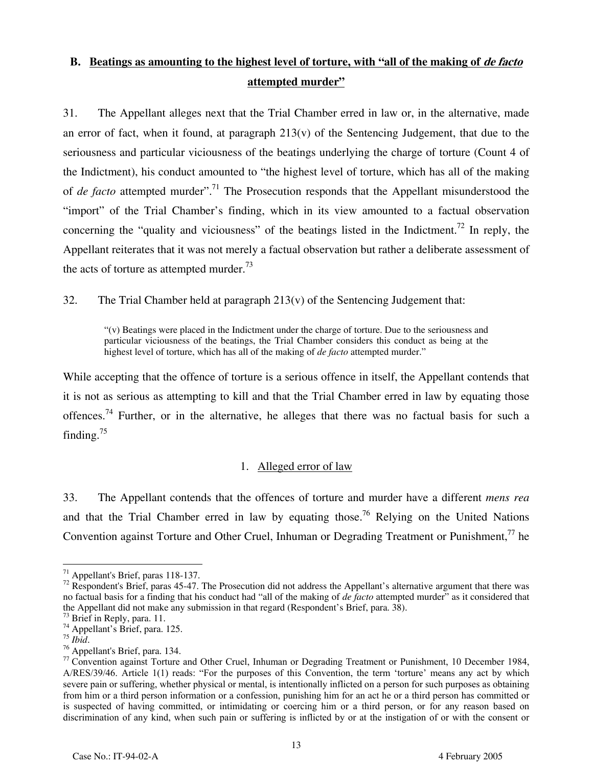## **B.** Beatings as amounting to the highest level of torture, with "all of the making of *de facto*" **attempted murder"**

31. The Appellant alleges next that the Trial Chamber erred in law or, in the alternative, made an error of fact, when it found, at paragraph 213(v) of the Sentencing Judgement, that due to the seriousness and particular viciousness of the beatings underlying the charge of torture (Count 4 of the Indictment), his conduct amounted to "the highest level of torture, which has all of the making of *de facto* attempted murder".71 The Prosecution responds that the Appellant misunderstood the "import" of the Trial Chamber's finding, which in its view amounted to a factual observation concerning the "quality and viciousness" of the beatings listed in the Indictment.<sup>72</sup> In reply, the Appellant reiterates that it was not merely a factual observation but rather a deliberate assessment of the acts of torture as attempted murder. $^{73}$ 

32. The Trial Chamber held at paragraph  $213(v)$  of the Sentencing Judgement that:

"(v) Beatings were placed in the Indictment under the charge of torture. Due to the seriousness and particular viciousness of the beatings, the Trial Chamber considers this conduct as being at the highest level of torture, which has all of the making of *de facto* attempted murder."

While accepting that the offence of torture is a serious offence in itself, the Appellant contends that it is not as serious as attempting to kill and that the Trial Chamber erred in law by equating those offences.74 Further, or in the alternative, he alleges that there was no factual basis for such a finding.<sup>75</sup>

#### 1. Alleged error of law

33. The Appellant contends that the offences of torture and murder have a different *mens rea* and that the Trial Chamber erred in law by equating those.<sup>76</sup> Relying on the United Nations Convention against Torture and Other Cruel, Inhuman or Degrading Treatment or Punishment,<sup>77</sup> he

<sup>-</sup> $\frac{71}{1}$  Appellant's Brief, paras 118-137.

 $72$  Respondent's Brief, paras 45-47. The Prosecution did not address the Appellant's alternative argument that there was no factual basis for a finding that his conduct had "all of the making of *de facto* attempted murder" as it considered that the Appellant did not make any submission in that regard (Respondent's Brief, para. 38).

<sup>&</sup>lt;sup>73</sup> Brief in Reply, para. 11.

<sup>74</sup> Appellant's Brief, para. 125.

<sup>75</sup> *Ibid*. 76 Appellant's Brief, para. 134.

<sup>77</sup>Convention against Torture and Other Cruel, Inhuman or Degrading Treatment or Punishment, 10 December 1984, A/RES/39/46. Article 1(1) reads: "For the purposes of this Convention, the term 'torture' means any act by which severe pain or suffering, whether physical or mental, is intentionally inflicted on a person for such purposes as obtaining from him or a third person information or a confession, punishing him for an act he or a third person has committed or is suspected of having committed, or intimidating or coercing him or a third person, or for any reason based on discrimination of any kind, when such pain or suffering is inflicted by or at the instigation of or with the consent or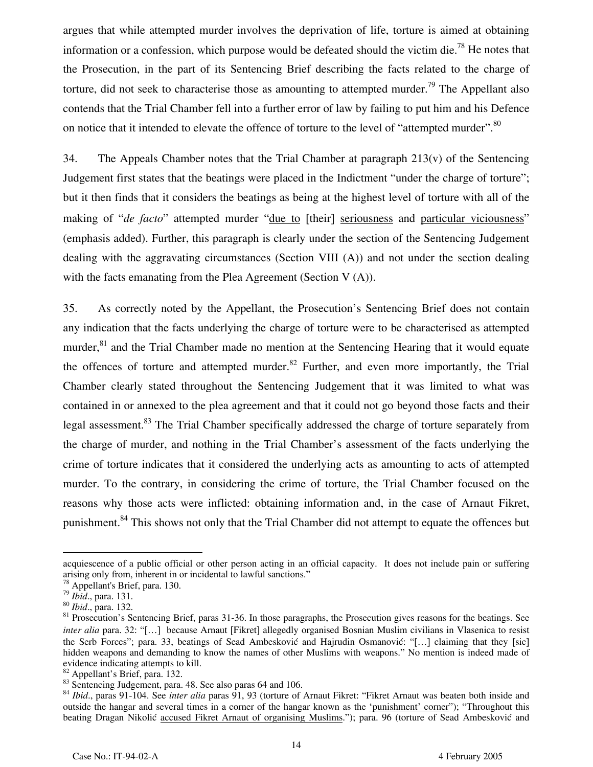argues that while attempted murder involves the deprivation of life, torture is aimed at obtaining information or a confession, which purpose would be defeated should the victim die.<sup>78</sup> He notes that the Prosecution, in the part of its Sentencing Brief describing the facts related to the charge of torture, did not seek to characterise those as amounting to attempted murder.<sup>79</sup> The Appellant also contends that the Trial Chamber fell into a further error of law by failing to put him and his Defence on notice that it intended to elevate the offence of torture to the level of "attempted murder".<sup>80</sup>

34. The Appeals Chamber notes that the Trial Chamber at paragraph  $213(v)$  of the Sentencing Judgement first states that the beatings were placed in the Indictment "under the charge of torture"; but it then finds that it considers the beatings as being at the highest level of torture with all of the making of "*de facto*" attempted murder "*due to [their]* seriousness and particular viciousness" (emphasis added). Further, this paragraph is clearly under the section of the Sentencing Judgement dealing with the aggravating circumstances (Section VIII (A)) and not under the section dealing with the facts emanating from the Plea Agreement (Section  $V(A)$ ).

35. As correctly noted by the Appellant, the Prosecution's Sentencing Brief does not contain any indication that the facts underlying the charge of torture were to be characterised as attempted murder,<sup>81</sup> and the Trial Chamber made no mention at the Sentencing Hearing that it would equate the offences of torture and attempted murder.<sup>82</sup> Further, and even more importantly, the Trial Chamber clearly stated throughout the Sentencing Judgement that it was limited to what was contained in or annexed to the plea agreement and that it could not go beyond those facts and their legal assessment.<sup>83</sup> The Trial Chamber specifically addressed the charge of torture separately from the charge of murder, and nothing in the Trial Chamber's assessment of the facts underlying the crime of torture indicates that it considered the underlying acts as amounting to acts of attempted murder. To the contrary, in considering the crime of torture, the Trial Chamber focused on the reasons why those acts were inflicted: obtaining information and, in the case of Arnaut Fikret, punishment.<sup>84</sup> This shows not only that the Trial Chamber did not attempt to equate the offences but

-

82 Appellant's Brief, para. 132.

acquiescence of a public official or other person acting in an official capacity. It does not include pain or suffering arising only from, inherent in or incidental to lawful sanctions."

<sup>&</sup>lt;sup>78</sup> Appellant's Brief, para. 130.<br><sup>79</sup> *Ibid.*, para. 131.

<sup>&</sup>lt;sup>80</sup> *Ibid.*, para. 132.<br><sup>81</sup> Prosecution's Sentencing Brief, paras 31-36. In those paragraphs, the Prosecution gives reasons for the beatings. See *inter alia* para. 32: "[...] because Arnaut [Fikret] allegedly organised Bosnian Muslim civilians in Vlasenica to resist the Serb Forces"; para. 33, beatings of Sead Ambesković and Hajrudin Osmanović: "[…] claiming that they [sic] hidden weapons and demanding to know the names of other Muslims with weapons." No mention is indeed made of evidence indicating attempts to kill.

<sup>83</sup> Sentencing Judgement, para. 48. See also paras 64 and 106.

<sup>84</sup> *Ibid*., paras 91-104. See *inter alia* paras 91, 93 (torture of Arnaut Fikret: "Fikret Arnaut was beaten both inside and outside the hangar and several times in a corner of the hangar known as the 'punishment' corner"); "Throughout this beating Dragan Nikolić accused Fikret Arnaut of organising Muslims."); para. 96 (torture of Sead Ambesković and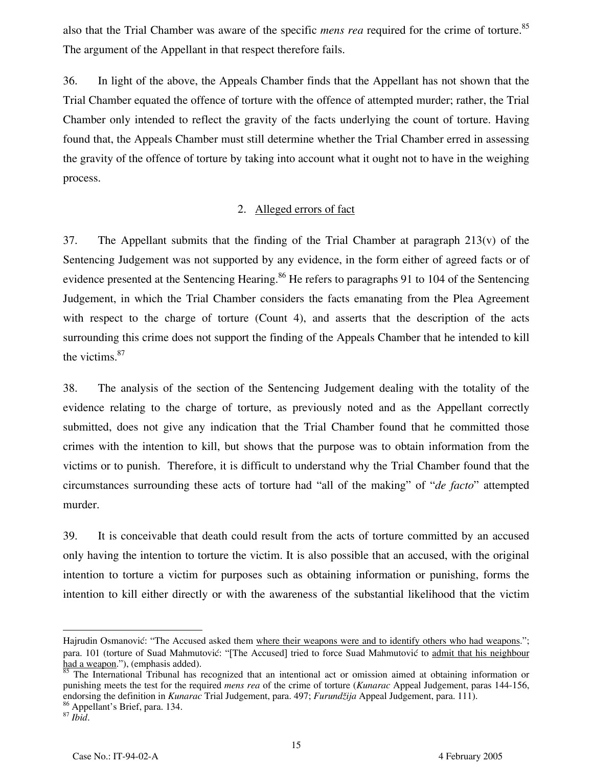also that the Trial Chamber was aware of the specific *mens rea* required for the crime of torture.<sup>85</sup> The argument of the Appellant in that respect therefore fails.

36. In light of the above, the Appeals Chamber finds that the Appellant has not shown that the Trial Chamber equated the offence of torture with the offence of attempted murder; rather, the Trial Chamber only intended to reflect the gravity of the facts underlying the count of torture. Having found that, the Appeals Chamber must still determine whether the Trial Chamber erred in assessing the gravity of the offence of torture by taking into account what it ought not to have in the weighing process.

#### 2. Alleged errors of fact

37. The Appellant submits that the finding of the Trial Chamber at paragraph  $213(v)$  of the Sentencing Judgement was not supported by any evidence, in the form either of agreed facts or of evidence presented at the Sentencing Hearing.<sup>86</sup> He refers to paragraphs 91 to 104 of the Sentencing Judgement, in which the Trial Chamber considers the facts emanating from the Plea Agreement with respect to the charge of torture (Count 4), and asserts that the description of the acts surrounding this crime does not support the finding of the Appeals Chamber that he intended to kill the victims.<sup>87</sup>

38. The analysis of the section of the Sentencing Judgement dealing with the totality of the evidence relating to the charge of torture, as previously noted and as the Appellant correctly submitted, does not give any indication that the Trial Chamber found that he committed those crimes with the intention to kill, but shows that the purpose was to obtain information from the victims or to punish. Therefore, it is difficult to understand why the Trial Chamber found that the circumstances surrounding these acts of torture had "all of the making" of "*de facto*" attempted murder.

39. It is conceivable that death could result from the acts of torture committed by an accused only having the intention to torture the victim. It is also possible that an accused, with the original intention to torture a victim for purposes such as obtaining information or punishing, forms the intention to kill either directly or with the awareness of the substantial likelihood that the victim

-

Hajrudin Osmanović: "The Accused asked them where their weapons were and to identify others who had weapons."; para. 101 (torture of Suad Mahmutović: "[The Accused] tried to force Suad Mahmutović to admit that his neighbour had a weapon."), (emphasis added).

<sup>&</sup>lt;sup>85</sup> The International Tribunal has recognized that an intentional act or omission aimed at obtaining information or punishing meets the test for the required *mens rea* of the crime of torture (*Kunarac* Appeal Judgement, paras 144-156, endorsing the definition in *Kunarac* Trial Judgement, para. 497; *Furundžija* Appeal Judgement, para. 111).

<sup>86</sup> Appellant's Brief, para. 134.

<sup>87</sup> *Ibid*.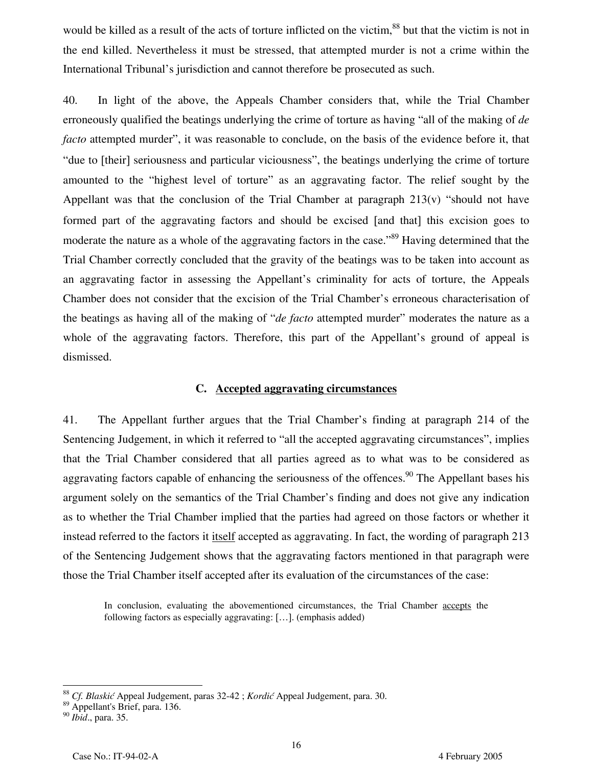would be killed as a result of the acts of torture inflicted on the victim,<sup>88</sup> but that the victim is not in the end killed. Nevertheless it must be stressed, that attempted murder is not a crime within the International Tribunal's jurisdiction and cannot therefore be prosecuted as such.

40. In light of the above, the Appeals Chamber considers that, while the Trial Chamber erroneously qualified the beatings underlying the crime of torture as having "all of the making of *de facto* attempted murder", it was reasonable to conclude, on the basis of the evidence before it, that "due to [their] seriousness and particular viciousness", the beatings underlying the crime of torture amounted to the "highest level of torture" as an aggravating factor. The relief sought by the Appellant was that the conclusion of the Trial Chamber at paragraph  $213(v)$  "should not have formed part of the aggravating factors and should be excised [and that] this excision goes to moderate the nature as a whole of the aggravating factors in the case.<sup>89</sup> Having determined that the Trial Chamber correctly concluded that the gravity of the beatings was to be taken into account as an aggravating factor in assessing the Appellant's criminality for acts of torture, the Appeals Chamber does not consider that the excision of the Trial Chamber's erroneous characterisation of the beatings as having all of the making of "*de facto* attempted murder" moderates the nature as a whole of the aggravating factors. Therefore, this part of the Appellant's ground of appeal is dismissed.

#### **C. Accepted aggravating circumstances**

41. The Appellant further argues that the Trial Chamber's finding at paragraph 214 of the Sentencing Judgement, in which it referred to "all the accepted aggravating circumstances", implies that the Trial Chamber considered that all parties agreed as to what was to be considered as aggravating factors capable of enhancing the seriousness of the offences.<sup>90</sup> The Appellant bases his argument solely on the semantics of the Trial Chamber's finding and does not give any indication as to whether the Trial Chamber implied that the parties had agreed on those factors or whether it instead referred to the factors it <u>itself</u> accepted as aggravating. In fact, the wording of paragraph 213 of the Sentencing Judgement shows that the aggravating factors mentioned in that paragraph were those the Trial Chamber itself accepted after its evaluation of the circumstances of the case:

In conclusion, evaluating the abovementioned circumstances, the Trial Chamber accepts the following factors as especially aggravating: […]. (emphasis added)

 $\overline{a}$ 

<sup>88</sup> *Cf. Blaskić* Appeal Judgement, paras 32-42 ; *Kordić* Appeal Judgement, para. 30.

<sup>89</sup> Appellant's Brief, para. 136.

<sup>90</sup> *Ibid*., para. 35.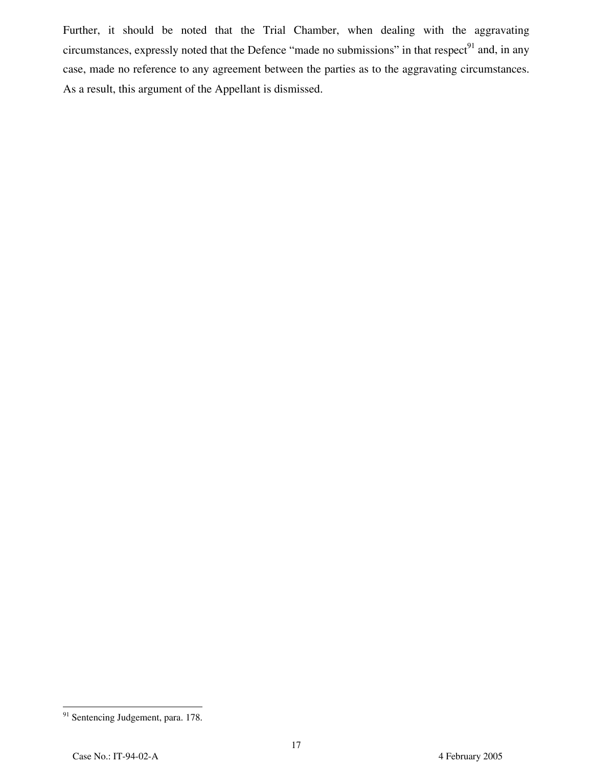Further, it should be noted that the Trial Chamber, when dealing with the aggravating circumstances, expressly noted that the Defence "made no submissions" in that respect<sup>91</sup> and, in any case, made no reference to any agreement between the parties as to the aggravating circumstances. As a result, this argument of the Appellant is dismissed.

<sup>&</sup>lt;u>.</u> <sup>91</sup> Sentencing Judgement, para. 178.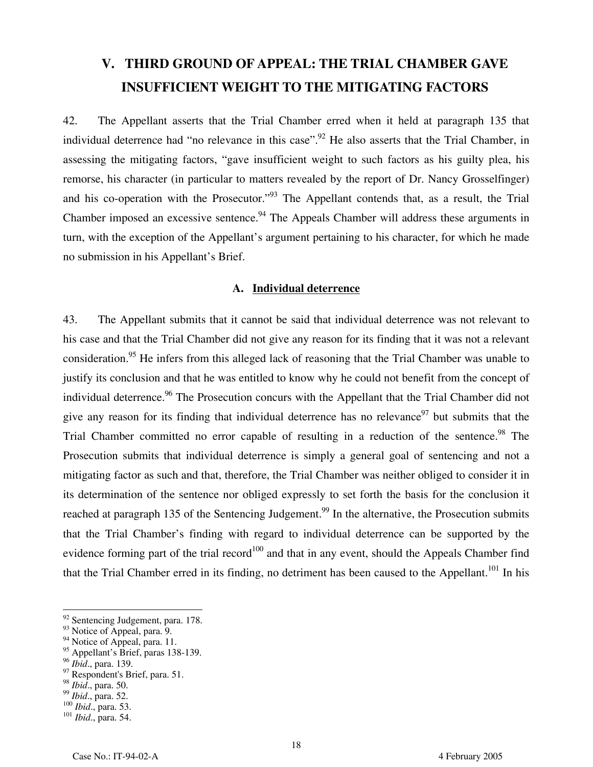# **V. THIRD GROUND OF APPEAL: THE TRIAL CHAMBER GAVE INSUFFICIENT WEIGHT TO THE MITIGATING FACTORS**

42. The Appellant asserts that the Trial Chamber erred when it held at paragraph 135 that individual deterrence had "no relevance in this case".<sup>92</sup> He also asserts that the Trial Chamber, in assessing the mitigating factors, "gave insufficient weight to such factors as his guilty plea, his remorse, his character (in particular to matters revealed by the report of Dr. Nancy Grosselfinger) and his co-operation with the Prosecutor."<sup>93</sup> The Appellant contends that, as a result, the Trial Chamber imposed an excessive sentence.<sup>94</sup> The Appeals Chamber will address these arguments in turn, with the exception of the Appellant's argument pertaining to his character, for which he made no submission in his Appellant's Brief.

#### **A. Individual deterrence**

43. The Appellant submits that it cannot be said that individual deterrence was not relevant to his case and that the Trial Chamber did not give any reason for its finding that it was not a relevant consideration.<sup>95</sup> He infers from this alleged lack of reasoning that the Trial Chamber was unable to justify its conclusion and that he was entitled to know why he could not benefit from the concept of individual deterrence.<sup>96</sup> The Prosecution concurs with the Appellant that the Trial Chamber did not give any reason for its finding that individual deterrence has no relevance<sup>97</sup> but submits that the Trial Chamber committed no error capable of resulting in a reduction of the sentence.<sup>98</sup> The Prosecution submits that individual deterrence is simply a general goal of sentencing and not a mitigating factor as such and that, therefore, the Trial Chamber was neither obliged to consider it in its determination of the sentence nor obliged expressly to set forth the basis for the conclusion it reached at paragraph 135 of the Sentencing Judgement.<sup>99</sup> In the alternative, the Prosecution submits that the Trial Chamber's finding with regard to individual deterrence can be supported by the evidence forming part of the trial record<sup>100</sup> and that in any event, should the Appeals Chamber find that the Trial Chamber erred in its finding, no detriment has been caused to the Appellant.<sup>101</sup> In his

 $\overline{a}$ 

<sup>&</sup>lt;sup>92</sup> Sentencing Judgement, para. 178.

<sup>&</sup>lt;sup>93</sup> Notice of Appeal, para. 9.

 $94$  Notice of Appeal, para. 11.

<sup>&</sup>lt;sup>95</sup> Appellant's Brief, paras 138-139.

<sup>96</sup> *Ibid*., para. 139.

<sup>&</sup>lt;sup>97</sup> Respondent's Brief, para. 51.

<sup>&</sup>lt;sup>98</sup> *Ibid.*, para. 50.<br><sup>99</sup> *Ibid.*, para. 52.

<sup>99</sup> *Ibid*., para. 52. <sup>100</sup> *Ibid*., para. 53. <sup>101</sup> *Ibid*., para. 54.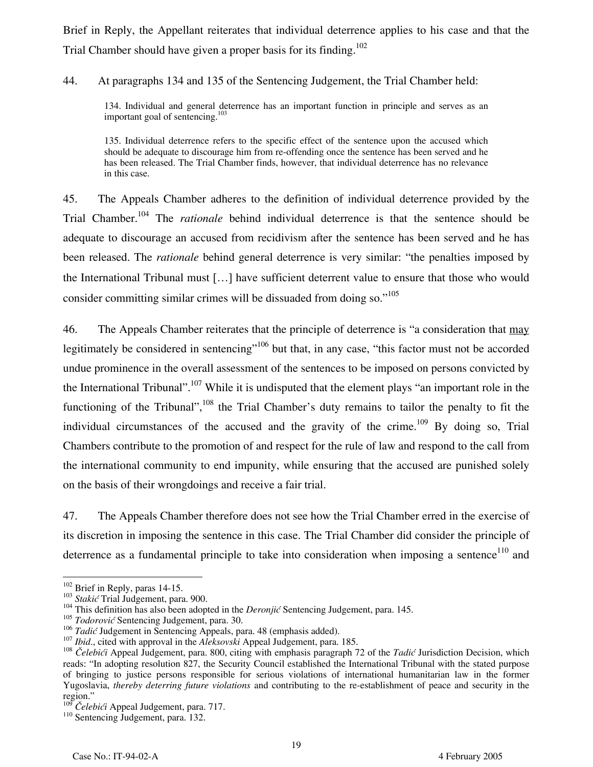Brief in Reply, the Appellant reiterates that individual deterrence applies to his case and that the Trial Chamber should have given a proper basis for its finding.<sup>102</sup>

44. At paragraphs 134 and 135 of the Sentencing Judgement, the Trial Chamber held:

134. Individual and general deterrence has an important function in principle and serves as an important goal of sentencing.<sup>103</sup>

135. Individual deterrence refers to the specific effect of the sentence upon the accused which should be adequate to discourage him from re-offending once the sentence has been served and he has been released. The Trial Chamber finds, however, that individual deterrence has no relevance in this case.

45. The Appeals Chamber adheres to the definition of individual deterrence provided by the Trial Chamber.104 The *rationale* behind individual deterrence is that the sentence should be adequate to discourage an accused from recidivism after the sentence has been served and he has been released. The *rationale* behind general deterrence is very similar: "the penalties imposed by the International Tribunal must […] have sufficient deterrent value to ensure that those who would consider committing similar crimes will be dissuaded from doing so."<sup>105</sup>

46. The Appeals Chamber reiterates that the principle of deterrence is "a consideration that may legitimately be considered in sentencing"<sup>106</sup> but that, in any case, "this factor must not be accorded undue prominence in the overall assessment of the sentences to be imposed on persons convicted by the International Tribunal".<sup>107</sup> While it is undisputed that the element plays "an important role in the functioning of the Tribunal",<sup>108</sup> the Trial Chamber's duty remains to tailor the penalty to fit the individual circumstances of the accused and the gravity of the crime.<sup>109</sup> By doing so, Trial Chambers contribute to the promotion of and respect for the rule of law and respond to the call from the international community to end impunity, while ensuring that the accused are punished solely on the basis of their wrongdoings and receive a fair trial.

47. The Appeals Chamber therefore does not see how the Trial Chamber erred in the exercise of its discretion in imposing the sentence in this case. The Trial Chamber did consider the principle of deterrence as a fundamental principle to take into consideration when imposing a sentence<sup>110</sup> and

<sup>&</sup>lt;sup>102</sup> Brief in Reply, paras 14-15.

<sup>102</sup> Brief in Reply, paras 14-15. <sup>103</sup> *Stakić* Trial Judgement, para. 900. 104 This definition has also been adopted in the *Deronjić* Sentencing Judgement, para. 145.

<sup>&</sup>lt;sup>105</sup> *Todorović* Sentencing Judgement, para. 30.<br><sup>106</sup> *Tadić* Judgement in Sentencing Appeals, para. 48 (emphasis added).

<sup>&</sup>lt;sup>107</sup> Ibid., cited with approval in the *Aleksovski* Appeal Judgement, para. 185.<br><sup>108</sup> Čelebići Appeal Judgement, para. 800, citing with emphasis paragraph 72 of the *Tadić* Jurisdiction Decision, which reads: "In adopting resolution 827, the Security Council established the International Tribunal with the stated purpose of bringing to justice persons responsible for serious violations of international humanitarian law in the former Yugoslavia, *thereby deterring future violations* and contributing to the re-establishment of peace and security in the region."<br><sup>109</sup> Čelebići Appeal Judgement, para. 717.

<sup>&</sup>lt;sup>110</sup> Sentencing Judgement, para. 132.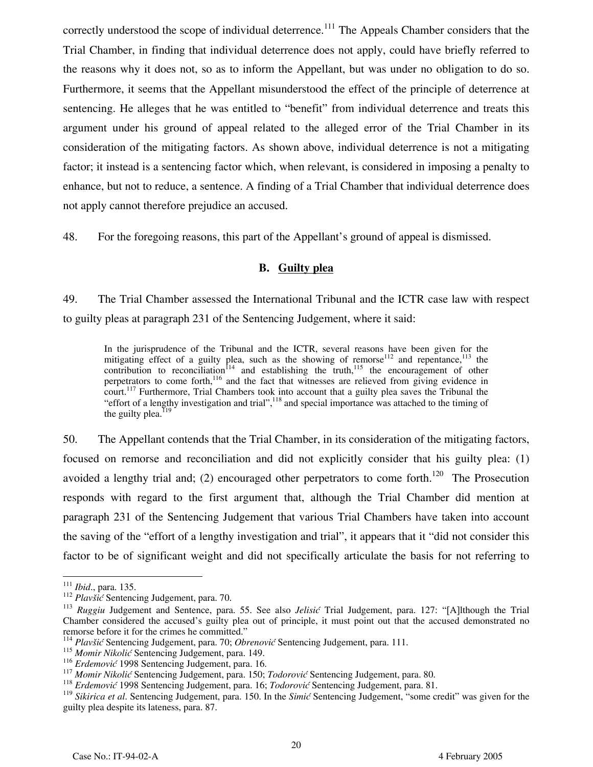correctly understood the scope of individual deterrence.<sup>111</sup> The Appeals Chamber considers that the Trial Chamber, in finding that individual deterrence does not apply, could have briefly referred to the reasons why it does not, so as to inform the Appellant, but was under no obligation to do so. Furthermore, it seems that the Appellant misunderstood the effect of the principle of deterrence at sentencing. He alleges that he was entitled to "benefit" from individual deterrence and treats this argument under his ground of appeal related to the alleged error of the Trial Chamber in its consideration of the mitigating factors. As shown above, individual deterrence is not a mitigating factor; it instead is a sentencing factor which, when relevant, is considered in imposing a penalty to enhance, but not to reduce, a sentence. A finding of a Trial Chamber that individual deterrence does not apply cannot therefore prejudice an accused.

48. For the foregoing reasons, this part of the Appellant's ground of appeal is dismissed.

#### **B. Guilty plea**

49. The Trial Chamber assessed the International Tribunal and the ICTR case law with respect to guilty pleas at paragraph 231 of the Sentencing Judgement, where it said:

In the jurisprudence of the Tribunal and the ICTR, several reasons have been given for the mitigating effect of a guilty plea, such as the showing of remorse<sup>112</sup> and repentance,<sup>113</sup> the contribution to reconciliation<sup>114</sup> and establishing the truth,<sup>115</sup> the encouragement of other perpetrators to come forth,<sup>116</sup> and the fact that witnesses are relieved from giving evidence in court.<sup>117</sup> Furthermore, Trial Chambers took into account that a guilty plea saves the Tribunal the "effort of a lengthy investigation and trial",118 and special importance was attached to the timing of the guilty plea. $^{119}$ 

50. The Appellant contends that the Trial Chamber, in its consideration of the mitigating factors, focused on remorse and reconciliation and did not explicitly consider that his guilty plea: (1) avoided a lengthy trial and; (2) encouraged other perpetrators to come forth.<sup>120</sup> The Prosecution responds with regard to the first argument that, although the Trial Chamber did mention at paragraph 231 of the Sentencing Judgement that various Trial Chambers have taken into account the saving of the "effort of a lengthy investigation and trial", it appears that it "did not consider this factor to be of significant weight and did not specifically articulate the basis for not referring to

 $111$  *Ibid.*, para. 135.

<sup>&</sup>lt;sup>112</sup> *Plavšić* Sentencing Judgement, para. 70.

<sup>113</sup> *Ruggiu* Judgement and Sentence, para. 55. See also *Jelisić* Trial Judgement, para. 127: "[A]lthough the Trial Chamber considered the accused's guilty plea out of principle, it must point out that the accused demonstrated no remorse before it for the crimes he committed."

<sup>114</sup> *Plavšić* Sentencing Judgement, para. 70; *Obrenović* Sentencing Judgement, para. 111.

<sup>&</sup>lt;sup>115</sup> Momir Nikolić Sentencing Judgement, para. 149.<br><sup>116</sup> Erdemović 1998 Sentencing Judgement, para. 16.

<sup>&</sup>lt;sup>117</sup> Momir Nikolić Sentencing Judgement, para. 150; Todorović Sentencing Judgement, para. 80.<br><sup>118</sup> Erdemović 1998 Sentencing Judgement, para. 16; Todorović Sentencing Judgement, para. 81.

<sup>119</sup> *Sikirica et al*. Sentencing Judgement, para. 150. In the *Simić* Sentencing Judgement, "some credit" was given for the guilty plea despite its lateness, para. 87.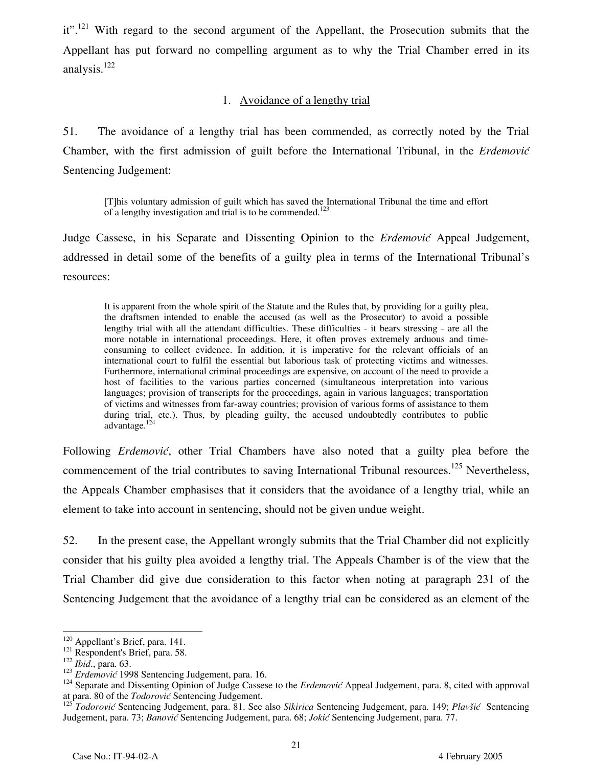it".<sup>121</sup> With regard to the second argument of the Appellant, the Prosecution submits that the Appellant has put forward no compelling argument as to why the Trial Chamber erred in its analysis.<sup>122</sup>

#### 1. Avoidance of a lengthy trial

51. The avoidance of a lengthy trial has been commended, as correctly noted by the Trial Chamber, with the first admission of guilt before the International Tribunal, in the *Erdemović* Sentencing Judgement:

[T]his voluntary admission of guilt which has saved the International Tribunal the time and effort of a lengthy investigation and trial is to be commended.<sup>123</sup>

Judge Cassese, in his Separate and Dissenting Opinion to the *Erdemović* Appeal Judgement, addressed in detail some of the benefits of a guilty plea in terms of the International Tribunal's resources:

It is apparent from the whole spirit of the Statute and the Rules that, by providing for a guilty plea, the draftsmen intended to enable the accused (as well as the Prosecutor) to avoid a possible lengthy trial with all the attendant difficulties. These difficulties - it bears stressing - are all the more notable in international proceedings. Here, it often proves extremely arduous and timeconsuming to collect evidence. In addition, it is imperative for the relevant officials of an international court to fulfil the essential but laborious task of protecting victims and witnesses. Furthermore, international criminal proceedings are expensive, on account of the need to provide a host of facilities to the various parties concerned (simultaneous interpretation into various languages; provision of transcripts for the proceedings, again in various languages; transportation of victims and witnesses from far-away countries; provision of various forms of assistance to them during trial, etc.). Thus, by pleading guilty, the accused undoubtedly contributes to public advantage.<sup>124</sup>

Following *Erdemović*, other Trial Chambers have also noted that a guilty plea before the commencement of the trial contributes to saving International Tribunal resources.<sup>125</sup> Nevertheless, the Appeals Chamber emphasises that it considers that the avoidance of a lengthy trial, while an element to take into account in sentencing, should not be given undue weight.

52. In the present case, the Appellant wrongly submits that the Trial Chamber did not explicitly consider that his guilty plea avoided a lengthy trial. The Appeals Chamber is of the view that the Trial Chamber did give due consideration to this factor when noting at paragraph 231 of the Sentencing Judgement that the avoidance of a lengthy trial can be considered as an element of the

 $120$  Appellant's Brief, para. 141.

<sup>&</sup>lt;sup>121</sup> Respondent's Brief, para. 58.<br><sup>122</sup> *Ibid.*, para. 63.<br><sup>122</sup> *Erdemović* 1998 Sentencing Judgement, para. 16.<br><sup>123</sup> Separate and Dissenting Opinion of Judge Cassese to the *Erdemović* Appeal Judgement, para. 8, cited at para. 80 of the *Todorović* Sentencing Judgement.

<sup>125</sup> *Todorović* Sentencing Judgement, para. 81. See also *Sikirica* Sentencing Judgement, para. 149; *Plavšić* Sentencing Judgement, para. 73; *Banović* Sentencing Judgement, para. 68; *Jokić* Sentencing Judgement, para. 77.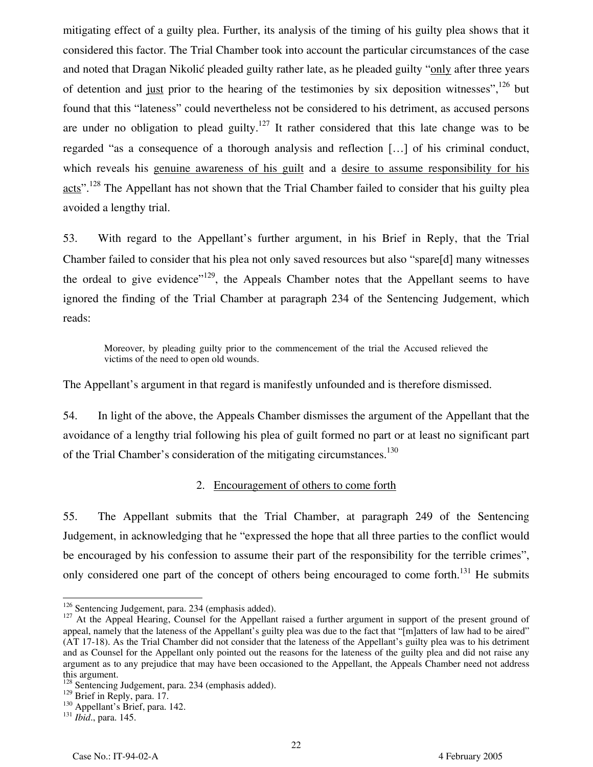mitigating effect of a guilty plea. Further, its analysis of the timing of his guilty plea shows that it considered this factor. The Trial Chamber took into account the particular circumstances of the case and noted that Dragan Nikolić pleaded guilty rather late, as he pleaded guilty "only after three years of detention and just prior to the hearing of the testimonies by six deposition witnesses".<sup>126</sup> but found that this "lateness" could nevertheless not be considered to his detriment, as accused persons are under no obligation to plead guilty.<sup>127</sup> It rather considered that this late change was to be regarded "as a consequence of a thorough analysis and reflection […] of his criminal conduct, which reveals his genuine awareness of his guilt and a desire to assume responsibility for his acts".<sup>128</sup> The Appellant has not shown that the Trial Chamber failed to consider that his guilty plea avoided a lengthy trial.

53. With regard to the Appellant's further argument, in his Brief in Reply, that the Trial Chamber failed to consider that his plea not only saved resources but also "spare[d] many witnesses the ordeal to give evidence"<sup>129</sup>, the Appeals Chamber notes that the Appellant seems to have ignored the finding of the Trial Chamber at paragraph 234 of the Sentencing Judgement, which reads:

Moreover, by pleading guilty prior to the commencement of the trial the Accused relieved the victims of the need to open old wounds.

The Appellant's argument in that regard is manifestly unfounded and is therefore dismissed.

54. In light of the above, the Appeals Chamber dismisses the argument of the Appellant that the avoidance of a lengthy trial following his plea of guilt formed no part or at least no significant part of the Trial Chamber's consideration of the mitigating circumstances.<sup>130</sup>

#### 2. Encouragement of others to come forth

55. The Appellant submits that the Trial Chamber, at paragraph 249 of the Sentencing Judgement, in acknowledging that he "expressed the hope that all three parties to the conflict would be encouraged by his confession to assume their part of the responsibility for the terrible crimes", only considered one part of the concept of others being encouraged to come forth.<sup>131</sup> He submits

<sup>&</sup>lt;sup>126</sup> Sentencing Judgement, para. 234 (emphasis added).

<sup>&</sup>lt;sup>127</sup> At the Appeal Hearing, Counsel for the Appellant raised a further argument in support of the present ground of appeal, namely that the lateness of the Appellant's guilty plea was due to the fact that "[m]atters of law had to be aired" (AT 17-18). As the Trial Chamber did not consider that the lateness of the Appellant's guilty plea was to his detriment and as Counsel for the Appellant only pointed out the reasons for the lateness of the guilty plea and did not raise any argument as to any prejudice that may have been occasioned to the Appellant, the Appeals Chamber need not address this argument.

 $128$  Sentencing Judgement, para. 234 (emphasis added).<br> $129$  Brief in Reply, para. 17.

<sup>&</sup>lt;sup>130</sup> Appellant's Brief, para. 142.<br><sup>131</sup> *Ibid.*, para. 145.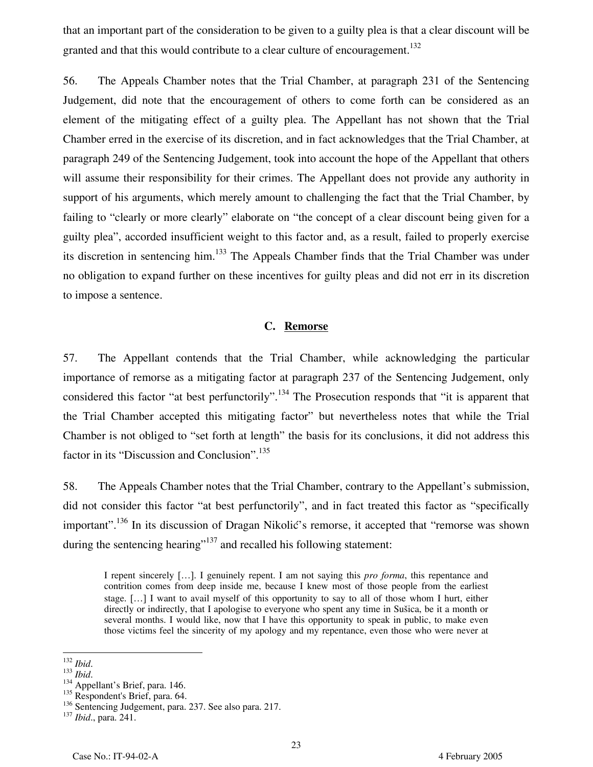that an important part of the consideration to be given to a guilty plea is that a clear discount will be granted and that this would contribute to a clear culture of encouragement.<sup>132</sup>

56. The Appeals Chamber notes that the Trial Chamber, at paragraph 231 of the Sentencing Judgement, did note that the encouragement of others to come forth can be considered as an element of the mitigating effect of a guilty plea. The Appellant has not shown that the Trial Chamber erred in the exercise of its discretion, and in fact acknowledges that the Trial Chamber, at paragraph 249 of the Sentencing Judgement, took into account the hope of the Appellant that others will assume their responsibility for their crimes. The Appellant does not provide any authority in support of his arguments, which merely amount to challenging the fact that the Trial Chamber, by failing to "clearly or more clearly" elaborate on "the concept of a clear discount being given for a guilty plea", accorded insufficient weight to this factor and, as a result, failed to properly exercise its discretion in sentencing him.<sup>133</sup> The Appeals Chamber finds that the Trial Chamber was under no obligation to expand further on these incentives for guilty pleas and did not err in its discretion to impose a sentence.

#### **C. Remorse**

57. The Appellant contends that the Trial Chamber, while acknowledging the particular importance of remorse as a mitigating factor at paragraph 237 of the Sentencing Judgement, only considered this factor "at best perfunctorily".<sup>134</sup> The Prosecution responds that "it is apparent that the Trial Chamber accepted this mitigating factor" but nevertheless notes that while the Trial Chamber is not obliged to "set forth at length" the basis for its conclusions, it did not address this factor in its "Discussion and Conclusion".<sup>135</sup>

58. The Appeals Chamber notes that the Trial Chamber, contrary to the Appellant's submission, did not consider this factor "at best perfunctorily", and in fact treated this factor as "specifically important".<sup>136</sup> In its discussion of Dragan Nikolić's remorse, it accepted that "remorse was shown during the sentencing hearing"<sup>137</sup> and recalled his following statement:

I repent sincerely […]. I genuinely repent. I am not saying this *pro forma*, this repentance and contrition comes from deep inside me, because I knew most of those people from the earliest stage. […] I want to avail myself of this opportunity to say to all of those whom I hurt, either directly or indirectly, that I apologise to everyone who spent any time in Sušica, be it a month or several months. I would like, now that I have this opportunity to speak in public, to make even those victims feel the sincerity of my apology and my repentance, even those who were never at

 $132$  Ibid.

<sup>132</sup> *Ibid*. <sup>133</sup> *Ibid*. 134 Appellant's Brief, para. 146.

<sup>&</sup>lt;sup>135</sup> Respondent's Brief, para. 64.

<sup>136</sup> Sentencing Judgement, para. 237. See also para. 217. <sup>137</sup> *Ibid*., para. 241.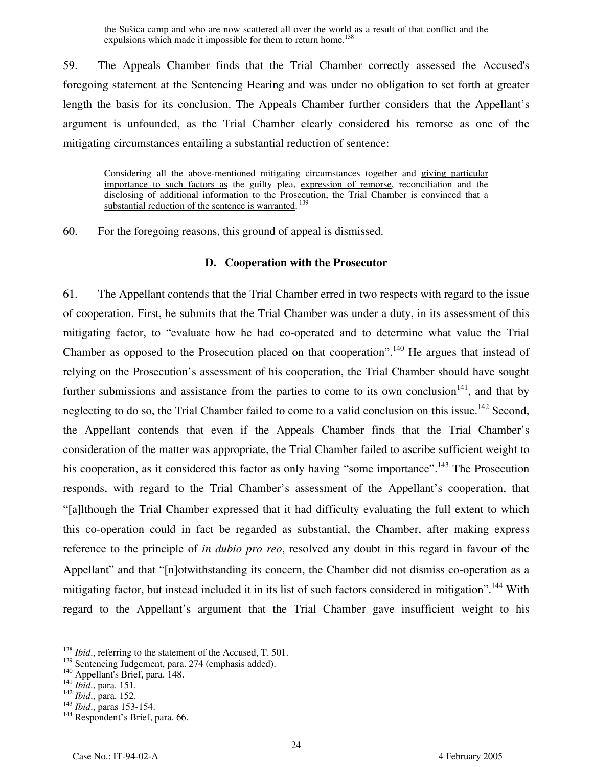the Sušica camp and who are now scattered all over the world as a result of that conflict and the expulsions which made it impossible for them to return home.<sup>138</sup>

59. The Appeals Chamber finds that the Trial Chamber correctly assessed the Accused's foregoing statement at the Sentencing Hearing and was under no obligation to set forth at greater length the basis for its conclusion. The Appeals Chamber further considers that the Appellant's argument is unfounded, as the Trial Chamber clearly considered his remorse as one of the mitigating circumstances entailing a substantial reduction of sentence:

Considering all the above-mentioned mitigating circumstances together and giving particular importance to such factors as the guilty plea, expression of remorse, reconciliation and the disclosing of additional information to the Prosecution, the Trial Chamber is convinced that a substantial reduction of the sentence is warranted.<sup>139</sup>

60. For the foregoing reasons, this ground of appeal is dismissed.

#### **D. Cooperation with the Prosecutor**

61. The Appellant contends that the Trial Chamber erred in two respects with regard to the issue of cooperation. First, he submits that the Trial Chamber was under a duty, in its assessment of this mitigating factor, to "evaluate how he had co-operated and to determine what value the Trial Chamber as opposed to the Prosecution placed on that cooperation".<sup>140</sup> He argues that instead of relying on the Prosecution's assessment of his cooperation, the Trial Chamber should have sought further submissions and assistance from the parties to come to its own conclusion<sup>141</sup>, and that by neglecting to do so, the Trial Chamber failed to come to a valid conclusion on this issue.<sup>142</sup> Second, the Appellant contends that even if the Appeals Chamber finds that the Trial Chamber's consideration of the matter was appropriate, the Trial Chamber failed to ascribe sufficient weight to his cooperation, as it considered this factor as only having "some importance".<sup>143</sup> The Prosecution responds, with regard to the Trial Chamber's assessment of the Appellant's cooperation, that "[a]lthough the Trial Chamber expressed that it had difficulty evaluating the full extent to which this co-operation could in fact be regarded as substantial, the Chamber, after making express reference to the principle of *in dubio pro reo*, resolved any doubt in this regard in favour of the Appellant" and that "[n]otwithstanding its concern, the Chamber did not dismiss co-operation as a mitigating factor, but instead included it in its list of such factors considered in mitigation".<sup>144</sup> With regard to the Appellant's argument that the Trial Chamber gave insufficient weight to his

<sup>&</sup>lt;sup>138</sup> *Ibid.*, referring to the statement of the Accused, T. 501.

<sup>1&</sup>lt;sup>39</sup> Sentencing Judgement, para. 274 (emphasis added).<br>
<sup>140</sup> Appellant's Brief, para. 148.<br>
<sup>141</sup> *Ibid.*, para. 151.<br>
<sup>142</sup> *Ibid.*, paras 153-154.<br>
<sup>143</sup> *Respondent's Brief, para. 66.*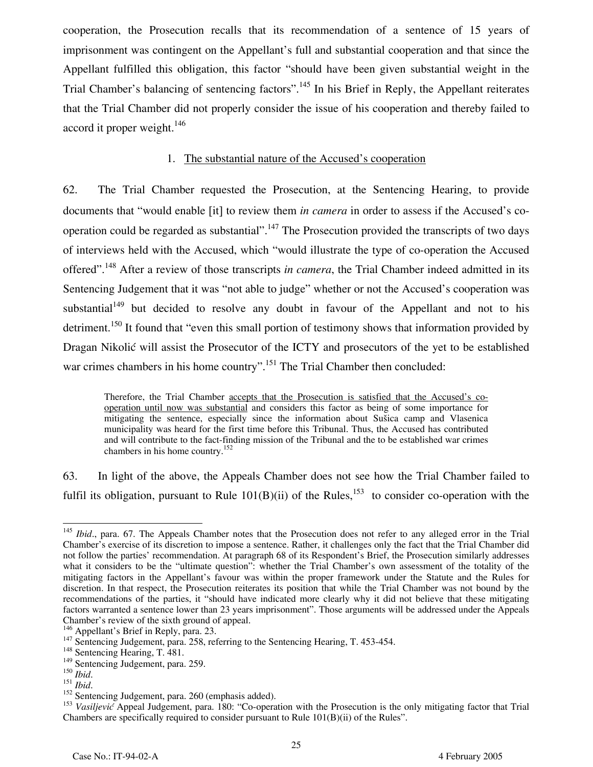cooperation, the Prosecution recalls that its recommendation of a sentence of 15 years of imprisonment was contingent on the Appellant's full and substantial cooperation and that since the Appellant fulfilled this obligation, this factor "should have been given substantial weight in the Trial Chamber's balancing of sentencing factors".<sup>145</sup> In his Brief in Reply, the Appellant reiterates that the Trial Chamber did not properly consider the issue of his cooperation and thereby failed to accord it proper weight.<sup>146</sup>

#### 1. The substantial nature of the Accused's cooperation

62. The Trial Chamber requested the Prosecution, at the Sentencing Hearing, to provide documents that "would enable [it] to review them *in camera* in order to assess if the Accused's cooperation could be regarded as substantial".<sup>147</sup> The Prosecution provided the transcripts of two days of interviews held with the Accused, which "would illustrate the type of co-operation the Accused offered".<sup>148</sup> After a review of those transcripts *in camera*, the Trial Chamber indeed admitted in its Sentencing Judgement that it was "not able to judge" whether or not the Accused's cooperation was substantial<sup>149</sup> but decided to resolve any doubt in favour of the Appellant and not to his detriment.<sup>150</sup> It found that "even this small portion of testimony shows that information provided by Dragan Nikolić will assist the Prosecutor of the ICTY and prosecutors of the yet to be established war crimes chambers in his home country".<sup>151</sup> The Trial Chamber then concluded:

Therefore, the Trial Chamber accepts that the Prosecution is satisfied that the Accused's cooperation until now was substantial and considers this factor as being of some importance for mitigating the sentence, especially since the information about Sušica camp and Vlasenica municipality was heard for the first time before this Tribunal. Thus, the Accused has contributed and will contribute to the fact-finding mission of the Tribunal and the to be established war crimes chambers in his home country.152

63. In light of the above, the Appeals Chamber does not see how the Trial Chamber failed to fulfil its obligation, pursuant to Rule  $101(B)(ii)$  of the Rules,<sup>153</sup> to consider co-operation with the

 $\frac{1}{\sqrt{2}}$ <sup>145</sup> *Ibid.*, para. 67. The Appeals Chamber notes that the Prosecution does not refer to any alleged error in the Trial Chamber's exercise of its discretion to impose a sentence. Rather, it challenges only the fact that the Trial Chamber did not follow the parties' recommendation. At paragraph 68 of its Respondent's Brief, the Prosecution similarly addresses what it considers to be the "ultimate question": whether the Trial Chamber's own assessment of the totality of the mitigating factors in the Appellant's favour was within the proper framework under the Statute and the Rules for discretion. In that respect, the Prosecution reiterates its position that while the Trial Chamber was not bound by the recommendations of the parties, it "should have indicated more clearly why it did not believe that these mitigating factors warranted a sentence lower than 23 years imprisonment". Those arguments will be addressed under the Appeals Chamber's review of the sixth ground of appeal.<br><sup>146</sup> Appellant's Brief in Reply, para. 23.

<sup>147</sup> Sentencing Judgement, para. 258, referring to the Sentencing Hearing, T. 453-454.<br><sup>147</sup> Sentencing Hearing, T. 481.

<sup>&</sup>lt;sup>149</sup> Sentencing Judgement, para. 259.<br><sup>150</sup> Ibid.

<sup>151</sup> *Ibid*.<br><sup>151</sup> *Ibid*. 152 Sentencing Judgement, para. 260 (emphasis added).

<sup>&</sup>lt;sup>153</sup> Vasiljević Appeal Judgement, para. 180: "Co-operation with the Prosecution is the only mitigating factor that Trial Chambers are specifically required to consider pursuant to Rule  $101(B)(ii)$  of the Rules".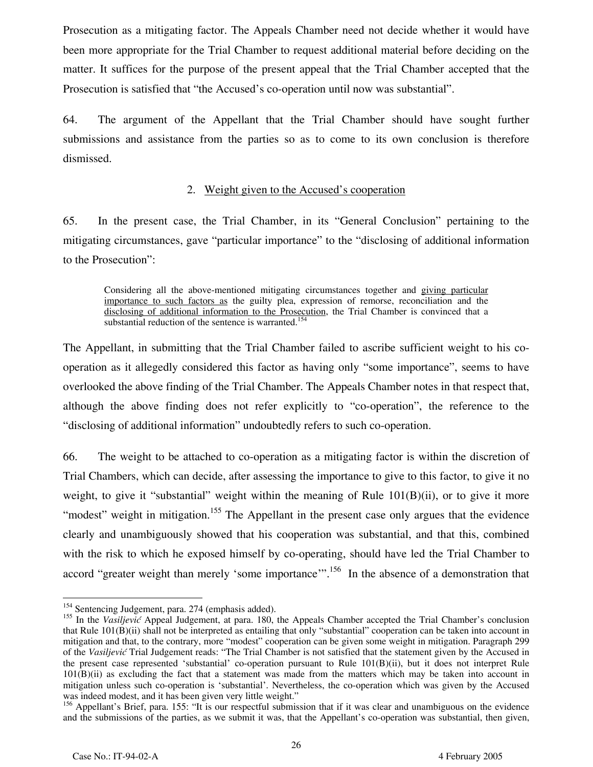Prosecution as a mitigating factor. The Appeals Chamber need not decide whether it would have been more appropriate for the Trial Chamber to request additional material before deciding on the matter. It suffices for the purpose of the present appeal that the Trial Chamber accepted that the Prosecution is satisfied that "the Accused's co-operation until now was substantial".

64. The argument of the Appellant that the Trial Chamber should have sought further submissions and assistance from the parties so as to come to its own conclusion is therefore dismissed.

#### 2. Weight given to the Accused's cooperation

65. In the present case, the Trial Chamber, in its "General Conclusion" pertaining to the mitigating circumstances, gave "particular importance" to the "disclosing of additional information to the Prosecution":

Considering all the above-mentioned mitigating circumstances together and giving particular importance to such factors as the guilty plea, expression of remorse, reconciliation and the disclosing of additional information to the Prosecution, the Trial Chamber is convinced that a substantial reduction of the sentence is warranted.<sup>154</sup>

The Appellant, in submitting that the Trial Chamber failed to ascribe sufficient weight to his cooperation as it allegedly considered this factor as having only "some importance", seems to have overlooked the above finding of the Trial Chamber. The Appeals Chamber notes in that respect that, although the above finding does not refer explicitly to "co-operation", the reference to the "disclosing of additional information" undoubtedly refers to such co-operation.

66. The weight to be attached to co-operation as a mitigating factor is within the discretion of Trial Chambers, which can decide, after assessing the importance to give to this factor, to give it no weight, to give it "substantial" weight within the meaning of Rule  $101(B)(ii)$ , or to give it more "modest" weight in mitigation.<sup>155</sup> The Appellant in the present case only argues that the evidence clearly and unambiguously showed that his cooperation was substantial, and that this, combined with the risk to which he exposed himself by co-operating, should have led the Trial Chamber to accord "greater weight than merely 'some importance'".<sup>156</sup> In the absence of a demonstration that

 $^{154}$  Sentencing Judgement, para. 274 (emphasis added).

<sup>&</sup>lt;sup>155</sup> In the *Vasiljević* Appeal Judgement, at para. 180, the Appeals Chamber accepted the Trial Chamber's conclusion that Rule 101(B)(ii) shall not be interpreted as entailing that only "substantial" cooperation can be taken into account in mitigation and that, to the contrary, more "modest" cooperation can be given some weight in mitigation. Paragraph 299 of the *Vasiljević* Trial Judgement reads: "The Trial Chamber is not satisfied that the statement given by the Accused in the present case represented 'substantial' co-operation pursuant to Rule 101(B)(ii), but it does not interpret Rule 101(B)(ii) as excluding the fact that a statement was made from the matters which may be taken into account in mitigation unless such co-operation is 'substantial'. Nevertheless, the co-operation which was given by the Accused was indeed modest, and it has been given very little weight."

<sup>&</sup>lt;sup>156</sup> Appellant's Brief, para. 155: "It is our respectful submission that if it was clear and unambiguous on the evidence and the submissions of the parties, as we submit it was, that the Appellant's co-operation was substantial, then given,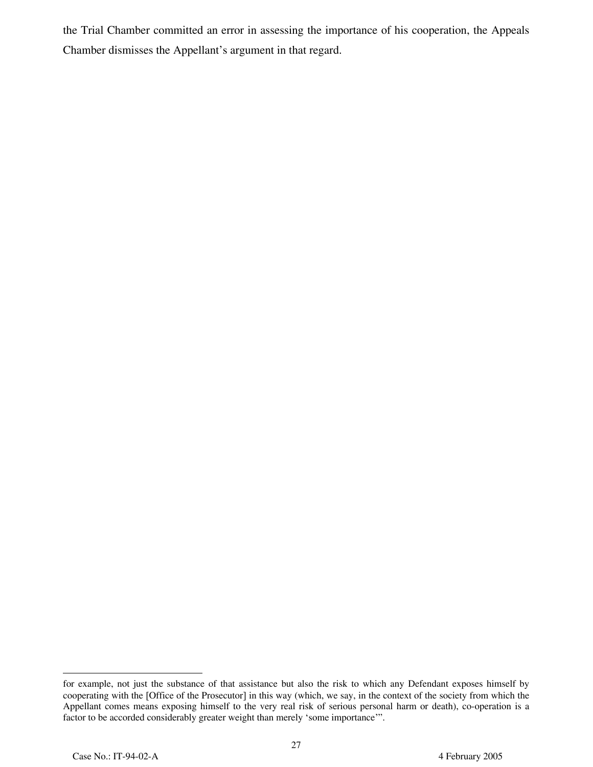the Trial Chamber committed an error in assessing the importance of his cooperation, the Appeals Chamber dismisses the Appellant's argument in that regard.

for example, not just the substance of that assistance but also the risk to which any Defendant exposes himself by cooperating with the [Office of the Prosecutor] in this way (which, we say, in the context of the society from which the Appellant comes means exposing himself to the very real risk of serious personal harm or death), co-operation is a factor to be accorded considerably greater weight than merely 'some importance'".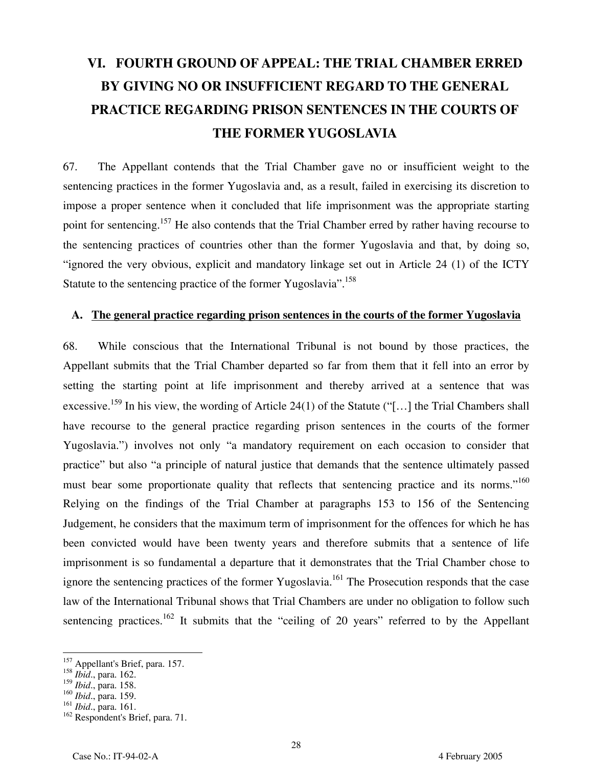# **VI. FOURTH GROUND OF APPEAL: THE TRIAL CHAMBER ERRED BY GIVING NO OR INSUFFICIENT REGARD TO THE GENERAL PRACTICE REGARDING PRISON SENTENCES IN THE COURTS OF THE FORMER YUGOSLAVIA**

67. The Appellant contends that the Trial Chamber gave no or insufficient weight to the sentencing practices in the former Yugoslavia and, as a result, failed in exercising its discretion to impose a proper sentence when it concluded that life imprisonment was the appropriate starting point for sentencing.<sup>157</sup> He also contends that the Trial Chamber erred by rather having recourse to the sentencing practices of countries other than the former Yugoslavia and that, by doing so, "ignored the very obvious, explicit and mandatory linkage set out in Article 24 (1) of the ICTY Statute to the sentencing practice of the former Yugoslavia".<sup>158</sup>

#### **A. The general practice regarding prison sentences in the courts of the former Yugoslavia**

68. While conscious that the International Tribunal is not bound by those practices, the Appellant submits that the Trial Chamber departed so far from them that it fell into an error by setting the starting point at life imprisonment and thereby arrived at a sentence that was excessive.<sup>159</sup> In his view, the wording of Article 24(1) of the Statute ("[...] the Trial Chambers shall have recourse to the general practice regarding prison sentences in the courts of the former Yugoslavia.") involves not only "a mandatory requirement on each occasion to consider that practice" but also "a principle of natural justice that demands that the sentence ultimately passed must bear some proportionate quality that reflects that sentencing practice and its norms."<sup>160</sup> Relying on the findings of the Trial Chamber at paragraphs 153 to 156 of the Sentencing Judgement, he considers that the maximum term of imprisonment for the offences for which he has been convicted would have been twenty years and therefore submits that a sentence of life imprisonment is so fundamental a departure that it demonstrates that the Trial Chamber chose to ignore the sentencing practices of the former Yugoslavia.<sup>161</sup> The Prosecution responds that the case law of the International Tribunal shows that Trial Chambers are under no obligation to follow such sentencing practices.<sup>162</sup> It submits that the "ceiling of 20 years" referred to by the Appellant

<sup>&</sup>lt;sup>157</sup> Appellant's Brief, para. 157.

<sup>158</sup> *Ibid*., para. 162.

<sup>159</sup> *Ibid*., para. 158.

<sup>160</sup> *Ibid*., para. 159.

<sup>161</sup> *Ibid*., para. 161.

<sup>&</sup>lt;sup>162</sup> Respondent's Brief, para. 71.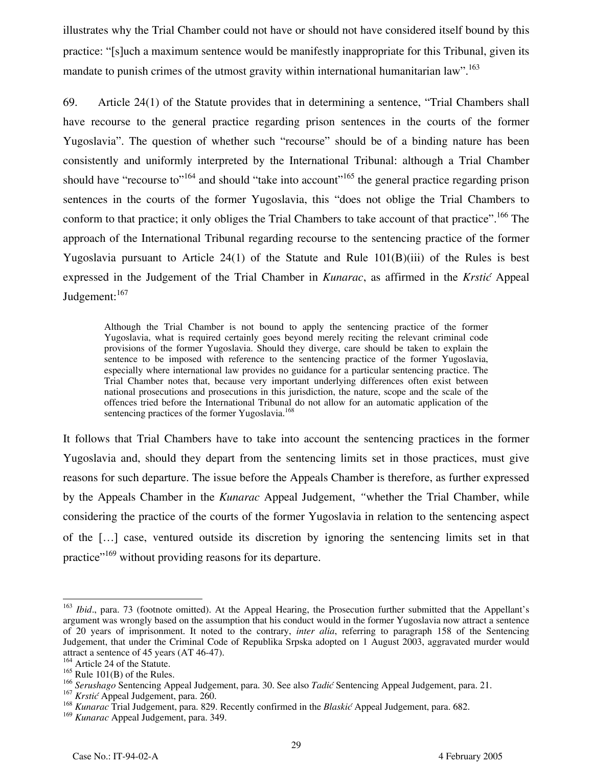illustrates why the Trial Chamber could not have or should not have considered itself bound by this practice: "[s]uch a maximum sentence would be manifestly inappropriate for this Tribunal, given its mandate to punish crimes of the utmost gravity within international humanitarian law".<sup>163</sup>

69. Article 24(1) of the Statute provides that in determining a sentence, "Trial Chambers shall have recourse to the general practice regarding prison sentences in the courts of the former Yugoslavia". The question of whether such "recourse" should be of a binding nature has been consistently and uniformly interpreted by the International Tribunal: although a Trial Chamber should have "recourse to"<sup>164</sup> and should "take into account"<sup>165</sup> the general practice regarding prison sentences in the courts of the former Yugoslavia, this "does not oblige the Trial Chambers to conform to that practice; it only obliges the Trial Chambers to take account of that practice".<sup>166</sup> The approach of the International Tribunal regarding recourse to the sentencing practice of the former Yugoslavia pursuant to Article  $24(1)$  of the Statute and Rule  $101(B)(iii)$  of the Rules is best expressed in the Judgement of the Trial Chamber in *Kunarac*, as affirmed in the *Krstić* Appeal Judgement:<sup>167</sup>

Although the Trial Chamber is not bound to apply the sentencing practice of the former Yugoslavia, what is required certainly goes beyond merely reciting the relevant criminal code provisions of the former Yugoslavia. Should they diverge, care should be taken to explain the sentence to be imposed with reference to the sentencing practice of the former Yugoslavia, especially where international law provides no guidance for a particular sentencing practice. The Trial Chamber notes that, because very important underlying differences often exist between national prosecutions and prosecutions in this jurisdiction, the nature, scope and the scale of the offences tried before the International Tribunal do not allow for an automatic application of the sentencing practices of the former Yugoslavia.<sup>168</sup>

It follows that Trial Chambers have to take into account the sentencing practices in the former Yugoslavia and, should they depart from the sentencing limits set in those practices, must give reasons for such departure. The issue before the Appeals Chamber is therefore, as further expressed by the Appeals Chamber in the *Kunarac* Appeal Judgement, *"*whether the Trial Chamber, while considering the practice of the courts of the former Yugoslavia in relation to the sentencing aspect of the […] case, ventured outside its discretion by ignoring the sentencing limits set in that practice"<sup>169</sup> without providing reasons for its departure.

<sup>&</sup>lt;sup>163</sup> *Ibid.*, para. 73 (footnote omitted). At the Appeal Hearing, the Prosecution further submitted that the Appellant's argument was wrongly based on the assumption that his conduct would in the former Yugoslavia now attract a sentence of 20 years of imprisonment. It noted to the contrary, *inter alia*, referring to paragraph 158 of the Sentencing Judgement, that under the Criminal Code of Republika Srpska adopted on 1 August 2003, aggravated murder would attract a sentence of 45 years (AT 46-47).

<sup>&</sup>lt;sup>164</sup> Article 24 of the Statute.

 $165$  Rule 101(B) of the Rules.

<sup>166</sup> *Serushago* Sentencing Appeal Judgement, para. 30. See also *Tadić* Sentencing Appeal Judgement, para. 21.

<sup>167</sup> *Krstić* Appeal Judgement, para. 260.

<sup>168</sup> *Kunarac* Trial Judgement, para. 829. Recently confirmed in the *Blaskić* Appeal Judgement, para. 682.

<sup>169</sup> *Kunarac* Appeal Judgement, para. 349.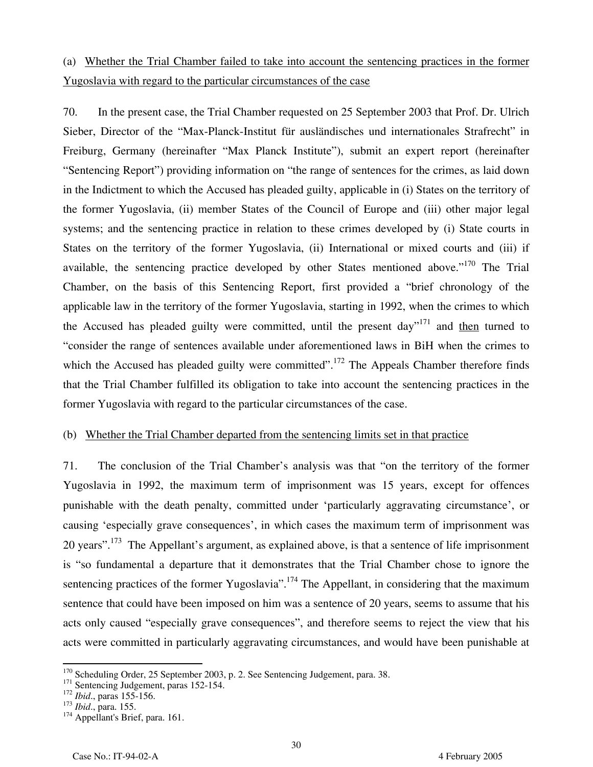## (a) Whether the Trial Chamber failed to take into account the sentencing practices in the former Yugoslavia with regard to the particular circumstances of the case

70. In the present case, the Trial Chamber requested on 25 September 2003 that Prof. Dr. Ulrich Sieber, Director of the "Max-Planck-Institut für ausländisches und internationales Strafrecht" in Freiburg, Germany (hereinafter "Max Planck Institute"), submit an expert report (hereinafter "Sentencing Report") providing information on "the range of sentences for the crimes, as laid down in the Indictment to which the Accused has pleaded guilty, applicable in (i) States on the territory of the former Yugoslavia, (ii) member States of the Council of Europe and (iii) other major legal systems; and the sentencing practice in relation to these crimes developed by (i) State courts in States on the territory of the former Yugoslavia, (ii) International or mixed courts and (iii) if available, the sentencing practice developed by other States mentioned above."<sup>170</sup> The Trial Chamber, on the basis of this Sentencing Report, first provided a "brief chronology of the applicable law in the territory of the former Yugoslavia, starting in 1992, when the crimes to which the Accused has pleaded guilty were committed, until the present day<sup>"171</sup> and then turned to "consider the range of sentences available under aforementioned laws in BiH when the crimes to which the Accused has pleaded guilty were committed".<sup>172</sup> The Appeals Chamber therefore finds that the Trial Chamber fulfilled its obligation to take into account the sentencing practices in the former Yugoslavia with regard to the particular circumstances of the case.

#### (b) Whether the Trial Chamber departed from the sentencing limits set in that practice

71. The conclusion of the Trial Chamber's analysis was that "on the territory of the former Yugoslavia in 1992, the maximum term of imprisonment was 15 years, except for offences punishable with the death penalty, committed under 'particularly aggravating circumstance', or causing 'especially grave consequences', in which cases the maximum term of imprisonment was 20 years".<sup>173</sup> The Appellant's argument, as explained above, is that a sentence of life imprisonment is "so fundamental a departure that it demonstrates that the Trial Chamber chose to ignore the sentencing practices of the former Yugoslavia".<sup>174</sup> The Appellant, in considering that the maximum sentence that could have been imposed on him was a sentence of 20 years, seems to assume that his acts only caused "especially grave consequences", and therefore seems to reject the view that his acts were committed in particularly aggravating circumstances, and would have been punishable at

<u>.</u>

<sup>170</sup> Scheduling Order, 25 September 2003, p. 2. See Sentencing Judgement, para. 38. 171 Sentencing Judgement, paras 152-154. 172 *Ibid.*, paras 155-156. 173 *Ibid.*, para. 155. 174 Appellant's Brief, para. 161.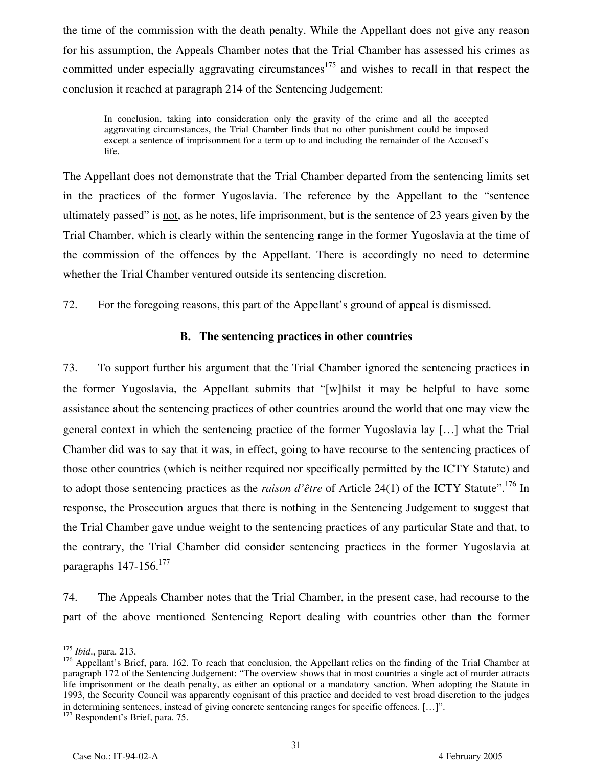the time of the commission with the death penalty. While the Appellant does not give any reason for his assumption, the Appeals Chamber notes that the Trial Chamber has assessed his crimes as committed under especially aggravating circumstances<sup>175</sup> and wishes to recall in that respect the conclusion it reached at paragraph 214 of the Sentencing Judgement:

In conclusion, taking into consideration only the gravity of the crime and all the accepted aggravating circumstances, the Trial Chamber finds that no other punishment could be imposed except a sentence of imprisonment for a term up to and including the remainder of the Accused's life.

The Appellant does not demonstrate that the Trial Chamber departed from the sentencing limits set in the practices of the former Yugoslavia. The reference by the Appellant to the "sentence ultimately passed" is <u>not</u>, as he notes, life imprisonment, but is the sentence of 23 years given by the Trial Chamber, which is clearly within the sentencing range in the former Yugoslavia at the time of the commission of the offences by the Appellant. There is accordingly no need to determine whether the Trial Chamber ventured outside its sentencing discretion.

72. For the foregoing reasons, this part of the Appellant's ground of appeal is dismissed.

#### **B. The sentencing practices in other countries**

73. To support further his argument that the Trial Chamber ignored the sentencing practices in the former Yugoslavia, the Appellant submits that "[w]hilst it may be helpful to have some assistance about the sentencing practices of other countries around the world that one may view the general context in which the sentencing practice of the former Yugoslavia lay […] what the Trial Chamber did was to say that it was, in effect, going to have recourse to the sentencing practices of those other countries (which is neither required nor specifically permitted by the ICTY Statute) and to adopt those sentencing practices as the *raison d'être* of Article 24(1) of the ICTY Statute".<sup>176</sup> In response, the Prosecution argues that there is nothing in the Sentencing Judgement to suggest that the Trial Chamber gave undue weight to the sentencing practices of any particular State and that, to the contrary, the Trial Chamber did consider sentencing practices in the former Yugoslavia at paragraphs 147-156.<sup>177</sup>

74. The Appeals Chamber notes that the Trial Chamber, in the present case, had recourse to the part of the above mentioned Sentencing Report dealing with countries other than the former

-

<sup>175</sup> *Ibid*., para. 213.

<sup>176</sup> Appellant's Brief, para. 162. To reach that conclusion, the Appellant relies on the finding of the Trial Chamber at paragraph 172 of the Sentencing Judgement: "The overview shows that in most countries a single act of murder attracts life imprisonment or the death penalty, as either an optional or a mandatory sanction. When adopting the Statute in 1993, the Security Council was apparently cognisant of this practice and decided to vest broad discretion to the judges in determining sentences, instead of giving concrete sentencing ranges for specific offences. […]". 177 Respondent's Brief, para. 75.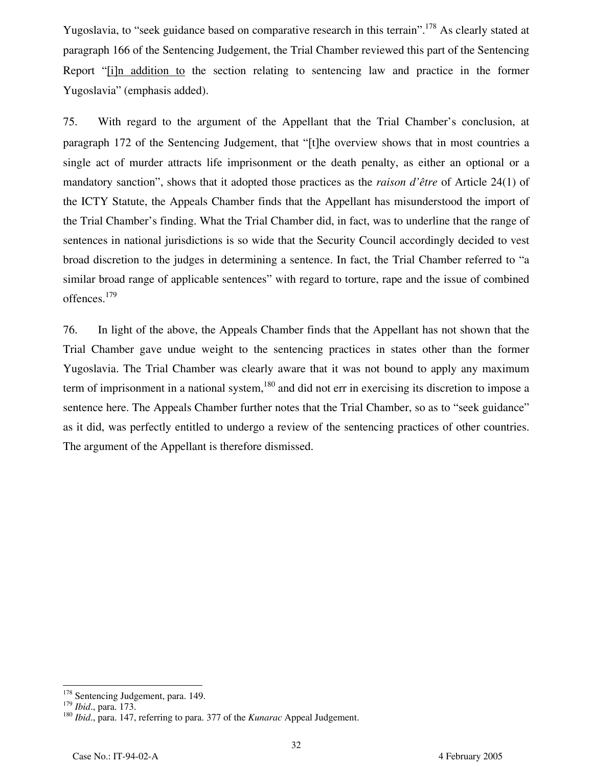Yugoslavia, to "seek guidance based on comparative research in this terrain".<sup>178</sup> As clearly stated at paragraph 166 of the Sentencing Judgement, the Trial Chamber reviewed this part of the Sentencing Report "[i]n addition to the section relating to sentencing law and practice in the former Yugoslavia" (emphasis added).

75. With regard to the argument of the Appellant that the Trial Chamber's conclusion, at paragraph 172 of the Sentencing Judgement, that "[t]he overview shows that in most countries a single act of murder attracts life imprisonment or the death penalty, as either an optional or a mandatory sanction", shows that it adopted those practices as the *raison d'être* of Article 24(1) of the ICTY Statute, the Appeals Chamber finds that the Appellant has misunderstood the import of the Trial Chamber's finding. What the Trial Chamber did, in fact, was to underline that the range of sentences in national jurisdictions is so wide that the Security Council accordingly decided to vest broad discretion to the judges in determining a sentence. In fact, the Trial Chamber referred to "a similar broad range of applicable sentences" with regard to torture, rape and the issue of combined offences.179

76. In light of the above, the Appeals Chamber finds that the Appellant has not shown that the Trial Chamber gave undue weight to the sentencing practices in states other than the former Yugoslavia. The Trial Chamber was clearly aware that it was not bound to apply any maximum term of imprisonment in a national system, $180$  and did not err in exercising its discretion to impose a sentence here. The Appeals Chamber further notes that the Trial Chamber, so as to "seek guidance" as it did, was perfectly entitled to undergo a review of the sentencing practices of other countries. The argument of the Appellant is therefore dismissed.

 $178$  Sentencing Judgement, para. 149.

<sup>&</sup>lt;sup>179</sup> *Ibid.*, para. 173.<br><sup>180</sup> *Ibid.*, para. 147, referring to para. 377 of the *Kunarac* Appeal Judgement.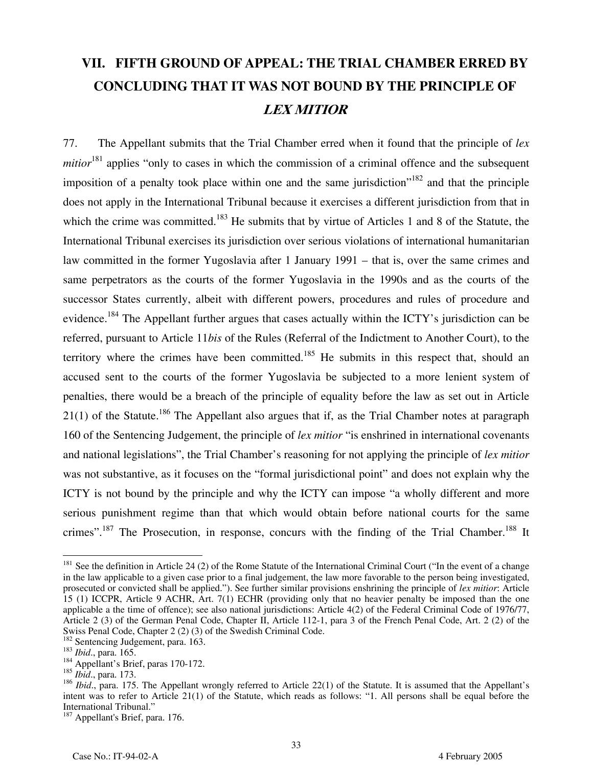# **VII. FIFTH GROUND OF APPEAL: THE TRIAL CHAMBER ERRED BY CONCLUDING THAT IT WAS NOT BOUND BY THE PRINCIPLE OF LEX MITIOR**

77. The Appellant submits that the Trial Chamber erred when it found that the principle of *lex mitior*<sup>181</sup> applies "only to cases in which the commission of a criminal offence and the subsequent imposition of a penalty took place within one and the same jurisdiction<sup> $182$ </sup> and that the principle does not apply in the International Tribunal because it exercises a different jurisdiction from that in which the crime was committed.<sup>183</sup> He submits that by virtue of Articles 1 and 8 of the Statute, the International Tribunal exercises its jurisdiction over serious violations of international humanitarian law committed in the former Yugoslavia after 1 January 1991 – that is, over the same crimes and same perpetrators as the courts of the former Yugoslavia in the 1990s and as the courts of the successor States currently, albeit with different powers, procedures and rules of procedure and evidence.<sup>184</sup> The Appellant further argues that cases actually within the ICTY's jurisdiction can be referred, pursuant to Article 11*bis* of the Rules (Referral of the Indictment to Another Court), to the territory where the crimes have been committed.<sup>185</sup> He submits in this respect that, should an accused sent to the courts of the former Yugoslavia be subjected to a more lenient system of penalties, there would be a breach of the principle of equality before the law as set out in Article  $21(1)$  of the Statute.<sup>186</sup> The Appellant also argues that if, as the Trial Chamber notes at paragraph 160 of the Sentencing Judgement, the principle of *lex mitior* "is enshrined in international covenants and national legislations", the Trial Chamber's reasoning for not applying the principle of *lex mitior* was not substantive, as it focuses on the "formal jurisdictional point" and does not explain why the ICTY is not bound by the principle and why the ICTY can impose "a wholly different and more serious punishment regime than that which would obtain before national courts for the same crimes".<sup>187</sup> The Prosecution, in response, concurs with the finding of the Trial Chamber.<sup>188</sup> It

 $181$  See the definition in Article 24 (2) of the Rome Statute of the International Criminal Court ("In the event of a change in the law applicable to a given case prior to a final judgement, the law more favorable to the person being investigated, prosecuted or convicted shall be applied."). See further similar provisions enshrining the principle of *lex mitior*: Article 15 (1) ICCPR, Article 9 ACHR, Art. 7(1) ECHR (providing only that no heavier penalty be imposed than the one applicable a the time of offence); see also national jurisdictions: Article 4(2) of the Federal Criminal Code of 1976/77, Article 2 (3) of the German Penal Code, Chapter II, Article 112-1, para 3 of the French Penal Code, Art. 2 (2) of the Swiss Penal Code, Chapter 2 (2) (3) of the Swedish Criminal Code.<br><sup>182</sup> Sentencing Judgement, para. 163.

<sup>183</sup> *Ibid.*, para. 165.<br><sup>184</sup> Appellant's Brief, paras 170-172.

<sup>185</sup> *Ibid*., para. 173.

<sup>&</sup>lt;sup>186</sup> *Ibid.*, para. 175. The Appellant wrongly referred to Article 22(1) of the Statute. It is assumed that the Appellant's intent was to refer to Article 21(1) of the Statute, which reads as follows: "1. All persons shall be equal before the International Tribunal."

<sup>&</sup>lt;sup>187</sup> Appellant's Brief, para. 176.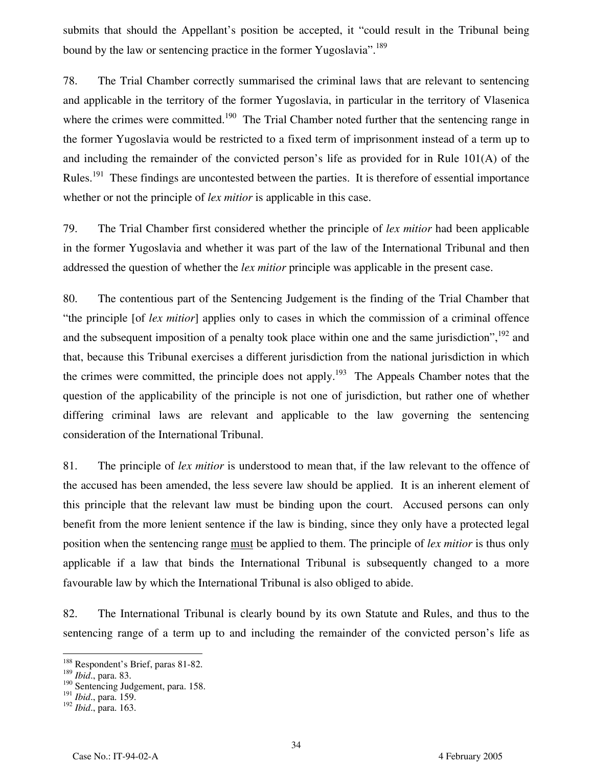submits that should the Appellant's position be accepted, it "could result in the Tribunal being bound by the law or sentencing practice in the former Yugoslavia".<sup>189</sup>

78. The Trial Chamber correctly summarised the criminal laws that are relevant to sentencing and applicable in the territory of the former Yugoslavia, in particular in the territory of Vlasenica where the crimes were committed.<sup>190</sup> The Trial Chamber noted further that the sentencing range in the former Yugoslavia would be restricted to a fixed term of imprisonment instead of a term up to and including the remainder of the convicted person's life as provided for in Rule 101(A) of the Rules.<sup>191</sup> These findings are uncontested between the parties. It is therefore of essential importance whether or not the principle of *lex mitior* is applicable in this case.

79. The Trial Chamber first considered whether the principle of *lex mitior* had been applicable in the former Yugoslavia and whether it was part of the law of the International Tribunal and then addressed the question of whether the *lex mitior* principle was applicable in the present case.

80. The contentious part of the Sentencing Judgement is the finding of the Trial Chamber that "the principle [of *lex mitior*] applies only to cases in which the commission of a criminal offence and the subsequent imposition of a penalty took place within one and the same jurisdiction",<sup>192</sup> and that, because this Tribunal exercises a different jurisdiction from the national jurisdiction in which the crimes were committed, the principle does not apply.<sup>193</sup> The Appeals Chamber notes that the question of the applicability of the principle is not one of jurisdiction, but rather one of whether differing criminal laws are relevant and applicable to the law governing the sentencing consideration of the International Tribunal.

81. The principle of *lex mitior* is understood to mean that, if the law relevant to the offence of the accused has been amended, the less severe law should be applied. It is an inherent element of this principle that the relevant law must be binding upon the court. Accused persons can only benefit from the more lenient sentence if the law is binding, since they only have a protected legal position when the sentencing range must be applied to them. The principle of *lex mitior* is thus only applicable if a law that binds the International Tribunal is subsequently changed to a more favourable law by which the International Tribunal is also obliged to abide.

82. The International Tribunal is clearly bound by its own Statute and Rules, and thus to the sentencing range of a term up to and including the remainder of the convicted person's life as

-

<sup>&</sup>lt;sup>188</sup> Respondent's Brief, paras 81-82.

<sup>189</sup> *Ibid*., para. 83.

<sup>&</sup>lt;sup>190</sup> Sentencing Judgement, para. 158.

<sup>191</sup> *Ibid*., para. 159.

<sup>192</sup> *Ibid*., para. 163.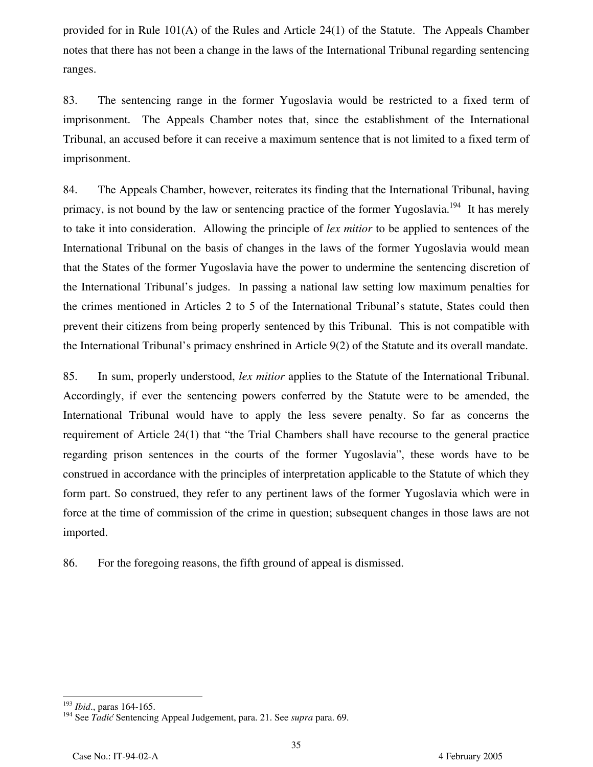provided for in Rule 101(A) of the Rules and Article 24(1) of the Statute. The Appeals Chamber notes that there has not been a change in the laws of the International Tribunal regarding sentencing ranges.

83. The sentencing range in the former Yugoslavia would be restricted to a fixed term of imprisonment. The Appeals Chamber notes that, since the establishment of the International Tribunal, an accused before it can receive a maximum sentence that is not limited to a fixed term of imprisonment.

84. The Appeals Chamber, however, reiterates its finding that the International Tribunal, having primacy, is not bound by the law or sentencing practice of the former Yugoslavia.<sup>194</sup> It has merely to take it into consideration. Allowing the principle of *lex mitior* to be applied to sentences of the International Tribunal on the basis of changes in the laws of the former Yugoslavia would mean that the States of the former Yugoslavia have the power to undermine the sentencing discretion of the International Tribunal's judges. In passing a national law setting low maximum penalties for the crimes mentioned in Articles 2 to 5 of the International Tribunal's statute, States could then prevent their citizens from being properly sentenced by this Tribunal. This is not compatible with the International Tribunal's primacy enshrined in Article 9(2) of the Statute and its overall mandate.

85. In sum, properly understood, *lex mitior* applies to the Statute of the International Tribunal. Accordingly, if ever the sentencing powers conferred by the Statute were to be amended, the International Tribunal would have to apply the less severe penalty. So far as concerns the requirement of Article 24(1) that "the Trial Chambers shall have recourse to the general practice regarding prison sentences in the courts of the former Yugoslavia", these words have to be construed in accordance with the principles of interpretation applicable to the Statute of which they form part. So construed, they refer to any pertinent laws of the former Yugoslavia which were in force at the time of commission of the crime in question; subsequent changes in those laws are not imported.

86. For the foregoing reasons, the fifth ground of appeal is dismissed.

 $\frac{1}{\sqrt{2}}$ <sup>193</sup> *Ibid*., paras 164-165.

<sup>194</sup> See *Tadić* Sentencing Appeal Judgement, para. 21. See *supra* para. 69.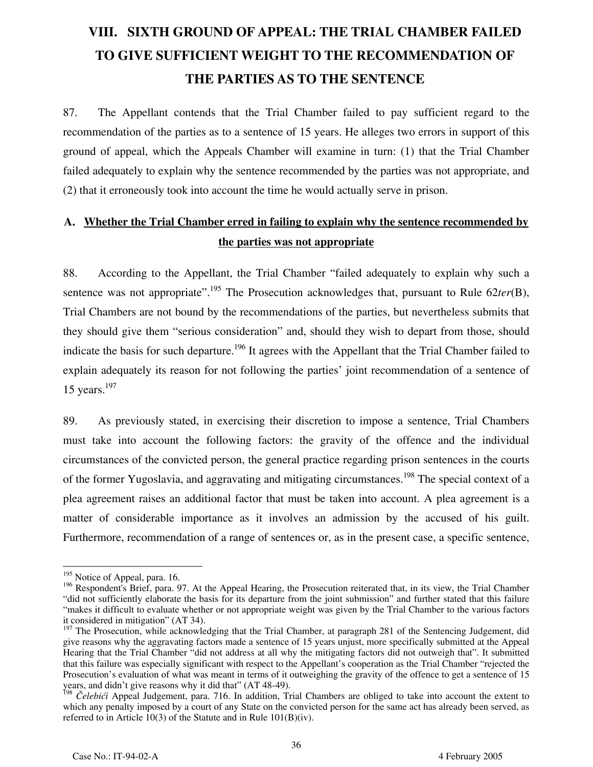# **VIII. SIXTH GROUND OF APPEAL: THE TRIAL CHAMBER FAILED TO GIVE SUFFICIENT WEIGHT TO THE RECOMMENDATION OF THE PARTIES AS TO THE SENTENCE**

87. The Appellant contends that the Trial Chamber failed to pay sufficient regard to the recommendation of the parties as to a sentence of 15 years. He alleges two errors in support of this ground of appeal, which the Appeals Chamber will examine in turn: (1) that the Trial Chamber failed adequately to explain why the sentence recommended by the parties was not appropriate, and (2) that it erroneously took into account the time he would actually serve in prison.

## **A. Whether the Trial Chamber erred in failing to explain why the sentence recommended by the parties was not appropriate**

88. According to the Appellant, the Trial Chamber "failed adequately to explain why such a sentence was not appropriate".<sup>195</sup> The Prosecution acknowledges that, pursuant to Rule 62*ter*(B), Trial Chambers are not bound by the recommendations of the parties, but nevertheless submits that they should give them "serious consideration" and, should they wish to depart from those, should indicate the basis for such departure.<sup>196</sup> It agrees with the Appellant that the Trial Chamber failed to explain adequately its reason for not following the parties' joint recommendation of a sentence of 15 years. $197$ 

89. As previously stated, in exercising their discretion to impose a sentence, Trial Chambers must take into account the following factors: the gravity of the offence and the individual circumstances of the convicted person, the general practice regarding prison sentences in the courts of the former Yugoslavia, and aggravating and mitigating circumstances.<sup>198</sup> The special context of a plea agreement raises an additional factor that must be taken into account. A plea agreement is a matter of considerable importance as it involves an admission by the accused of his guilt. Furthermore, recommendation of a range of sentences or, as in the present case, a specific sentence,

<sup>&</sup>lt;sup>195</sup> Notice of Appeal, para. 16.

<sup>&</sup>lt;sup>196</sup> Respondent's Brief, para. 97. At the Appeal Hearing, the Prosecution reiterated that, in its view, the Trial Chamber "did not sufficiently elaborate the basis for its departure from the joint submission" and further stated that this failure "makes it difficult to evaluate whether or not appropriate weight was given by the Trial Chamber to the various factors it considered in mitigation" (AT 34).

<sup>&</sup>lt;sup>197</sup> The Prosecution, while acknowledging that the Trial Chamber, at paragraph 281 of the Sentencing Judgement, did give reasons why the aggravating factors made a sentence of 15 years unjust, more specifically submitted at the Appeal Hearing that the Trial Chamber "did not address at all why the mitigating factors did not outweigh that". It submitted that this failure was especially significant with respect to the Appellant's cooperation as the Trial Chamber "rejected the Prosecution's evaluation of what was meant in terms of it outweighing the gravity of the offence to get a sentence of 15 years, and didn't give reasons why it did that" (AT 48-49).

<sup>198</sup> *Čelebići* Appeal Judgement, para. 716. In addition, Trial Chambers are obliged to take into account the extent to which any penalty imposed by a court of any State on the convicted person for the same act has already been served, as referred to in Article 10(3) of the Statute and in Rule 101(B)(iv).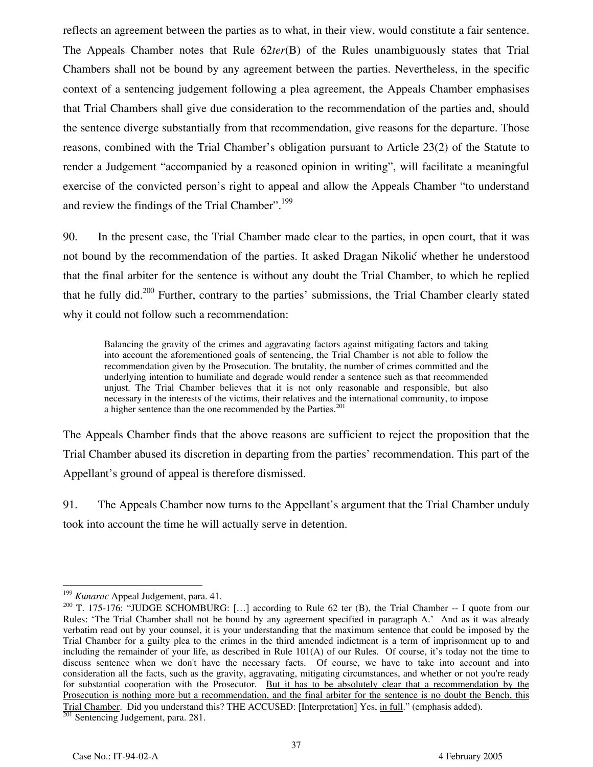reflects an agreement between the parties as to what, in their view, would constitute a fair sentence. The Appeals Chamber notes that Rule 62*ter*(B) of the Rules unambiguously states that Trial Chambers shall not be bound by any agreement between the parties. Nevertheless, in the specific context of a sentencing judgement following a plea agreement, the Appeals Chamber emphasises that Trial Chambers shall give due consideration to the recommendation of the parties and, should the sentence diverge substantially from that recommendation, give reasons for the departure. Those reasons, combined with the Trial Chamber's obligation pursuant to Article 23(2) of the Statute to render a Judgement "accompanied by a reasoned opinion in writing", will facilitate a meaningful exercise of the convicted person's right to appeal and allow the Appeals Chamber "to understand and review the findings of the Trial Chamber".<sup>199</sup>

90. In the present case, the Trial Chamber made clear to the parties, in open court, that it was not bound by the recommendation of the parties. It asked Dragan Nikolić whether he understood that the final arbiter for the sentence is without any doubt the Trial Chamber, to which he replied that he fully did.<sup>200</sup> Further, contrary to the parties' submissions, the Trial Chamber clearly stated why it could not follow such a recommendation:

Balancing the gravity of the crimes and aggravating factors against mitigating factors and taking into account the aforementioned goals of sentencing, the Trial Chamber is not able to follow the recommendation given by the Prosecution. The brutality, the number of crimes committed and the underlying intention to humiliate and degrade would render a sentence such as that recommended unjust. The Trial Chamber believes that it is not only reasonable and responsible, but also necessary in the interests of the victims, their relatives and the international community, to impose a higher sentence than the one recommended by the Parties.<sup>201</sup>

The Appeals Chamber finds that the above reasons are sufficient to reject the proposition that the Trial Chamber abused its discretion in departing from the parties' recommendation. This part of the Appellant's ground of appeal is therefore dismissed.

91. The Appeals Chamber now turns to the Appellant's argument that the Trial Chamber unduly took into account the time he will actually serve in detention.

-

<sup>199</sup> *Kunarac* Appeal Judgement, para. 41.

<sup>&</sup>lt;sup>200</sup> T. 175-176: "JUDGE SCHOMBURG: [...] according to Rule 62 ter (B), the Trial Chamber -- I quote from our Rules: 'The Trial Chamber shall not be bound by any agreement specified in paragraph A.' And as it was already verbatim read out by your counsel, it is your understanding that the maximum sentence that could be imposed by the Trial Chamber for a guilty plea to the crimes in the third amended indictment is a term of imprisonment up to and including the remainder of your life, as described in Rule 101(A) of our Rules. Of course, it's today not the time to discuss sentence when we don't have the necessary facts. Of course, we have to take into account and into consideration all the facts, such as the gravity, aggravating, mitigating circumstances, and whether or not you're ready for substantial cooperation with the Prosecutor. But it has to be absolutely clear that a recommendation by the Prosecution is nothing more but a recommendation, and the final arbiter for the sentence is no doubt the Bench, this Trial Chamber. Did you understand this? THE ACCUSED: [Interpretation] Yes, in full." (emphasis added). <sup>201</sup> Sentencing Judgement, para. 281.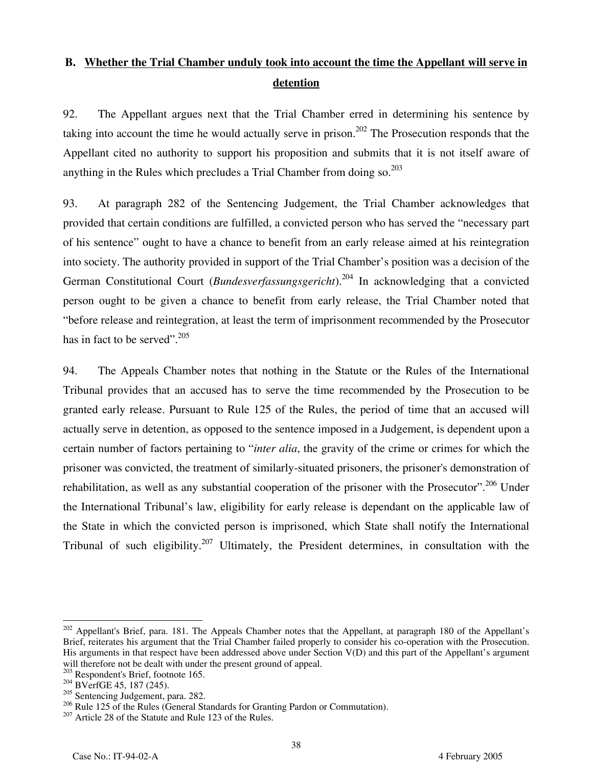## **B. Whether the Trial Chamber unduly took into account the time the Appellant will serve in detention**

92. The Appellant argues next that the Trial Chamber erred in determining his sentence by taking into account the time he would actually serve in prison.<sup>202</sup> The Prosecution responds that the Appellant cited no authority to support his proposition and submits that it is not itself aware of anything in the Rules which precludes a Trial Chamber from doing so.  $203$ 

93. At paragraph 282 of the Sentencing Judgement, the Trial Chamber acknowledges that provided that certain conditions are fulfilled, a convicted person who has served the "necessary part of his sentence" ought to have a chance to benefit from an early release aimed at his reintegration into society. The authority provided in support of the Trial Chamber's position was a decision of the German Constitutional Court (*Bundesverfassungsgericht*).204 In acknowledging that a convicted person ought to be given a chance to benefit from early release, the Trial Chamber noted that "before release and reintegration, at least the term of imprisonment recommended by the Prosecutor has in fact to be served".<sup>205</sup>

94. The Appeals Chamber notes that nothing in the Statute or the Rules of the International Tribunal provides that an accused has to serve the time recommended by the Prosecution to be granted early release. Pursuant to Rule 125 of the Rules, the period of time that an accused will actually serve in detention, as opposed to the sentence imposed in a Judgement, is dependent upon a certain number of factors pertaining to "*inter alia*, the gravity of the crime or crimes for which the prisoner was convicted, the treatment of similarly-situated prisoners, the prisoner's demonstration of rehabilitation, as well as any substantial cooperation of the prisoner with the Prosecutor".<sup>206</sup> Under the International Tribunal's law, eligibility for early release is dependant on the applicable law of the State in which the convicted person is imprisoned, which State shall notify the International Tribunal of such eligibility.<sup>207</sup> Ultimately, the President determines, in consultation with the

<sup>-</sup><sup>202</sup> Appellant's Brief, para. 181. The Appeals Chamber notes that the Appellant, at paragraph 180 of the Appellant's Brief, reiterates his argument that the Trial Chamber failed properly to consider his co-operation with the Prosecution. His arguments in that respect have been addressed above under Section V(D) and this part of the Appellant's argument will therefore not be dealt with under the present ground of appeal.

<sup>&</sup>lt;sup>203</sup> Respondent's Brief, footnote 165.<br><sup>204</sup> BVerfGE 45, 187 (245).

<sup>&</sup>lt;sup>205</sup> Sentencing Judgement, para. 282.

 $^{206}$  Rule 125 of the Rules (General Standards for Granting Pardon or Commutation).  $^{207}$  Article 28 of the Statute and Rule 123 of the Rules.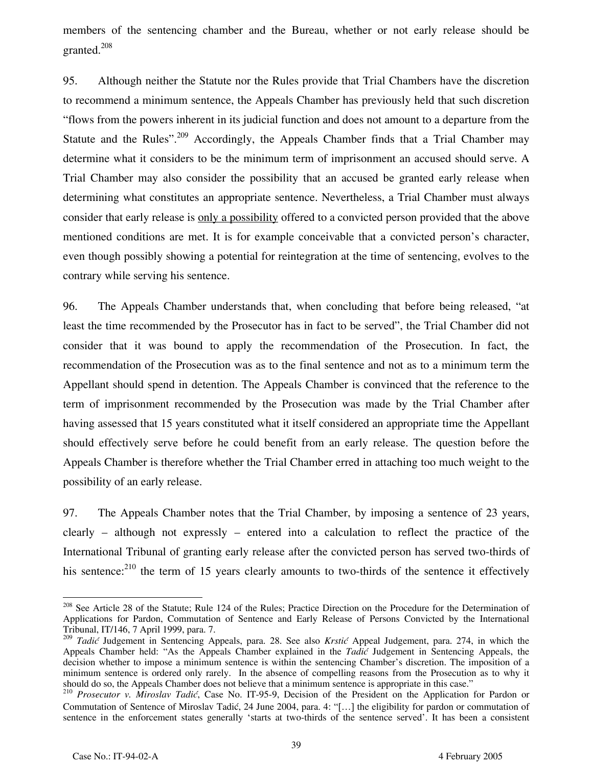members of the sentencing chamber and the Bureau, whether or not early release should be granted.<sup>208</sup>

95. Although neither the Statute nor the Rules provide that Trial Chambers have the discretion to recommend a minimum sentence, the Appeals Chamber has previously held that such discretion "flows from the powers inherent in its judicial function and does not amount to a departure from the Statute and the Rules".<sup>209</sup> Accordingly, the Appeals Chamber finds that a Trial Chamber may determine what it considers to be the minimum term of imprisonment an accused should serve. A Trial Chamber may also consider the possibility that an accused be granted early release when determining what constitutes an appropriate sentence. Nevertheless, a Trial Chamber must always consider that early release is only a possibility offered to a convicted person provided that the above mentioned conditions are met. It is for example conceivable that a convicted person's character, even though possibly showing a potential for reintegration at the time of sentencing, evolves to the contrary while serving his sentence.

96. The Appeals Chamber understands that, when concluding that before being released, "at least the time recommended by the Prosecutor has in fact to be served", the Trial Chamber did not consider that it was bound to apply the recommendation of the Prosecution. In fact, the recommendation of the Prosecution was as to the final sentence and not as to a minimum term the Appellant should spend in detention. The Appeals Chamber is convinced that the reference to the term of imprisonment recommended by the Prosecution was made by the Trial Chamber after having assessed that 15 years constituted what it itself considered an appropriate time the Appellant should effectively serve before he could benefit from an early release. The question before the Appeals Chamber is therefore whether the Trial Chamber erred in attaching too much weight to the possibility of an early release.

97. The Appeals Chamber notes that the Trial Chamber, by imposing a sentence of 23 years, clearly – although not expressly – entered into a calculation to reflect the practice of the International Tribunal of granting early release after the convicted person has served two-thirds of his sentence:<sup>210</sup> the term of 15 years clearly amounts to two-thirds of the sentence it effectively

<sup>-</sup><sup>208</sup> See Article 28 of the Statute; Rule 124 of the Rules; Practice Direction on the Procedure for the Determination of Applications for Pardon, Commutation of Sentence and Early Release of Persons Convicted by the International Tribunal, IT/146, 7 April 1999, para. 7.

<sup>209</sup> *Tadić* Judgement in Sentencing Appeals, para. 28. See also *Krstić* Appeal Judgement, para. 274, in which the Appeals Chamber held: "As the Appeals Chamber explained in the *Tadić* Judgement in Sentencing Appeals, the decision whether to impose a minimum sentence is within the sentencing Chamber's discretion. The imposition of a minimum sentence is ordered only rarely. In the absence of compelling reasons from the Prosecution as to why it should do so, the Appeals Chamber does not believe that a minimum sentence is appropriate in this case."

<sup>&</sup>lt;sup>210</sup> Prosecutor v. Miroslav Tadić, Case No. IT-95-9, Decision of the President on the Application for Pardon or Commutation of Sentence of Miroslav Tadić, 24 June 2004, para. 4: "[…] the eligibility for pardon or commutation of sentence in the enforcement states generally 'starts at two-thirds of the sentence served'. It has been a consistent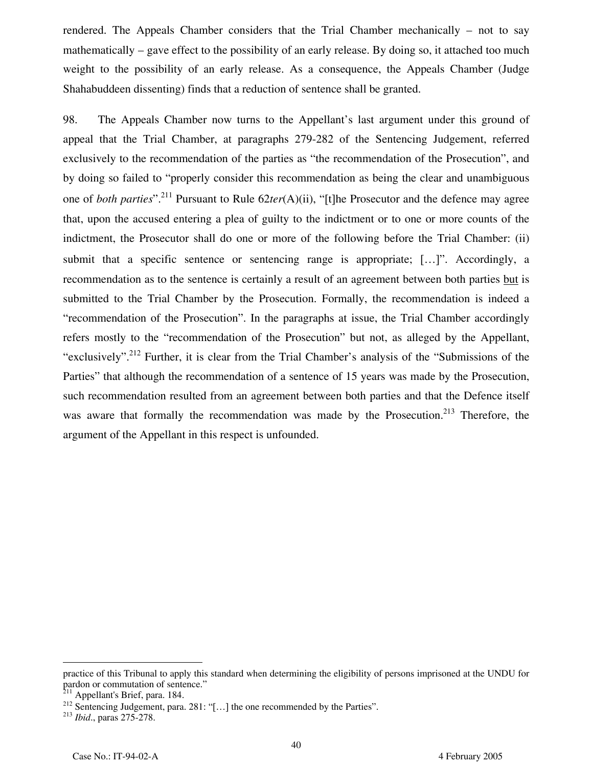rendered. The Appeals Chamber considers that the Trial Chamber mechanically – not to say mathematically – gave effect to the possibility of an early release. By doing so, it attached too much weight to the possibility of an early release. As a consequence, the Appeals Chamber (Judge Shahabuddeen dissenting) finds that a reduction of sentence shall be granted.

98. The Appeals Chamber now turns to the Appellant's last argument under this ground of appeal that the Trial Chamber, at paragraphs 279-282 of the Sentencing Judgement, referred exclusively to the recommendation of the parties as "the recommendation of the Prosecution", and by doing so failed to "properly consider this recommendation as being the clear and unambiguous one of *both parties*".211 Pursuant to Rule 62*ter*(A)(ii), "[t]he Prosecutor and the defence may agree that, upon the accused entering a plea of guilty to the indictment or to one or more counts of the indictment, the Prosecutor shall do one or more of the following before the Trial Chamber: (ii) submit that a specific sentence or sentencing range is appropriate; […]". Accordingly, a recommendation as to the sentence is certainly a result of an agreement between both parties but is submitted to the Trial Chamber by the Prosecution. Formally, the recommendation is indeed a "recommendation of the Prosecution". In the paragraphs at issue, the Trial Chamber accordingly refers mostly to the "recommendation of the Prosecution" but not, as alleged by the Appellant, "exclusively".<sup>212</sup> Further, it is clear from the Trial Chamber's analysis of the "Submissions of the Parties" that although the recommendation of a sentence of 15 years was made by the Prosecution, such recommendation resulted from an agreement between both parties and that the Defence itself was aware that formally the recommendation was made by the Prosecution.<sup>213</sup> Therefore, the argument of the Appellant in this respect is unfounded.

-

practice of this Tribunal to apply this standard when determining the eligibility of persons imprisoned at the UNDU for pardon or commutation of sentence."

<sup>&</sup>lt;sup>211</sup> Appellant's Brief, para. 184.

<sup>212</sup> Sentencing Judgement, para. 281: "[…] the one recommended by the Parties". <sup>213</sup> *Ibid*., paras 275-278.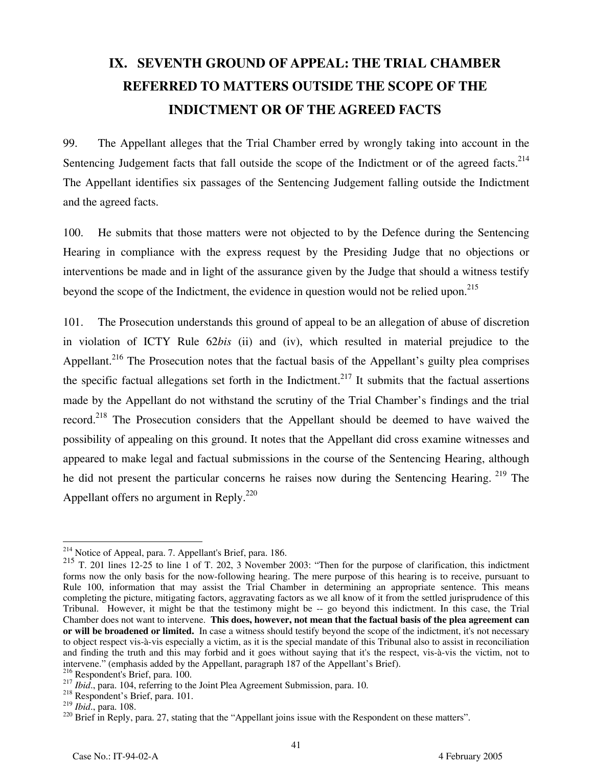# **IX. SEVENTH GROUND OF APPEAL: THE TRIAL CHAMBER REFERRED TO MATTERS OUTSIDE THE SCOPE OF THE INDICTMENT OR OF THE AGREED FACTS**

99. The Appellant alleges that the Trial Chamber erred by wrongly taking into account in the Sentencing Judgement facts that fall outside the scope of the Indictment or of the agreed facts.<sup>214</sup> The Appellant identifies six passages of the Sentencing Judgement falling outside the Indictment and the agreed facts.

100. He submits that those matters were not objected to by the Defence during the Sentencing Hearing in compliance with the express request by the Presiding Judge that no objections or interventions be made and in light of the assurance given by the Judge that should a witness testify beyond the scope of the Indictment, the evidence in question would not be relied upon.<sup>215</sup>

101. The Prosecution understands this ground of appeal to be an allegation of abuse of discretion in violation of ICTY Rule 62*bis* (ii) and (iv), which resulted in material prejudice to the Appellant.<sup>216</sup> The Prosecution notes that the factual basis of the Appellant's guilty plea comprises the specific factual allegations set forth in the Indictment.<sup>217</sup> It submits that the factual assertions made by the Appellant do not withstand the scrutiny of the Trial Chamber's findings and the trial record.<sup>218</sup> The Prosecution considers that the Appellant should be deemed to have waived the possibility of appealing on this ground. It notes that the Appellant did cross examine witnesses and appeared to make legal and factual submissions in the course of the Sentencing Hearing, although he did not present the particular concerns he raises now during the Sentencing Hearing. <sup>219</sup> The Appellant offers no argument in Reply.<sup>220</sup>

<sup>&</sup>lt;sup>214</sup> Notice of Appeal, para. 7. Appellant's Brief, para. 186.

<sup>215</sup> T. 201 lines 12-25 to line 1 of T. 202, 3 November 2003: "Then for the purpose of clarification, this indictment forms now the only basis for the now-following hearing. The mere purpose of this hearing is to receive, pursuant to Rule 100, information that may assist the Trial Chamber in determining an appropriate sentence. This means completing the picture, mitigating factors, aggravating factors as we all know of it from the settled jurisprudence of this Tribunal. However, it might be that the testimony might be -- go beyond this indictment. In this case, the Trial Chamber does not want to intervene. **This does, however, not mean that the factual basis of the plea agreement can or will be broadened or limited.** In case a witness should testify beyond the scope of the indictment, it's not necessary to object respect vis-à-vis especially a victim, as it is the special mandate of this Tribunal also to assist in reconciliation and finding the truth and this may forbid and it goes without saying that it's the respect, vis-à-vis the victim, not to intervene." (emphasis added by the Appellant, paragraph 187 of the Appellant's Brief).<br><sup>216</sup> Respondent's Brief, para. 100.

<sup>217</sup> *Ibid.*, para. 104, referring to the Joint Plea Agreement Submission, para. 10.<br><sup>218</sup> Respondent's Brief, para. 101.<br><sup>219</sup> *Ibid.*, para. 108.

<sup>&</sup>lt;sup>220</sup> Brief in Reply, para. 27, stating that the "Appellant joins issue with the Respondent on these matters".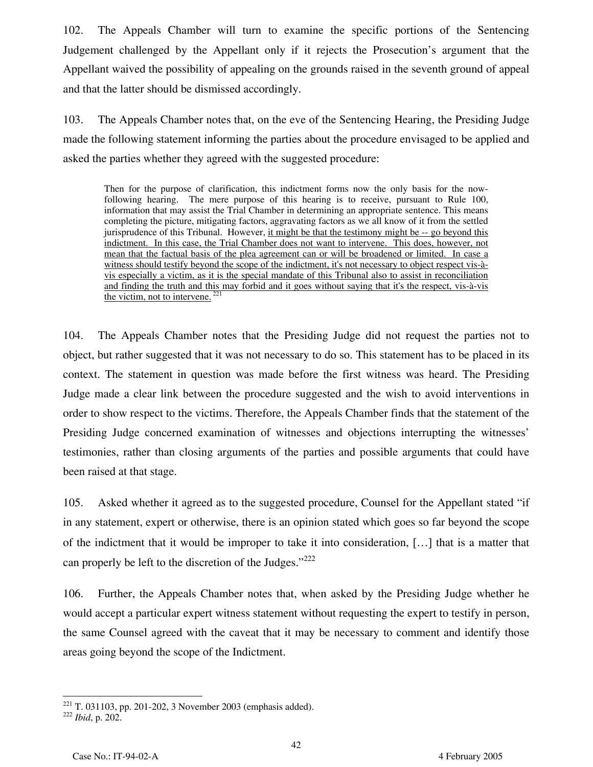102. The Appeals Chamber will turn to examine the specific portions of the Sentencing Judgement challenged by the Appellant only if it rejects the Prosecution's argument that the Appellant waived the possibility of appealing on the grounds raised in the seventh ground of appeal and that the latter should be dismissed accordingly.

103. The Appeals Chamber notes that, on the eve of the Sentencing Hearing, the Presiding Judge made the following statement informing the parties about the procedure envisaged to be applied and asked the parties whether they agreed with the suggested procedure:

Then for the purpose of clarification, this indictment forms now the only basis for the nowfollowing hearing. The mere purpose of this hearing is to receive, pursuant to Rule 100, information that may assist the Trial Chamber in determining an appropriate sentence. This means completing the picture, mitigating factors, aggravating factors as we all know of it from the settled jurisprudence of this Tribunal. However, it might be that the testimony might be -- go beyond this indictment. In this case, the Trial Chamber does not want to intervene. This does, however, not mean that the factual basis of the plea agreement can or will be broadened or limited. In case a witness should testify beyond the scope of the indictment, it's not necessary to object respect vis-àvis especially a victim, as it is the special mandate of this Tribunal also to assist in reconciliation and finding the truth and this may forbid and it goes without saying that it's the respect, vis-à-vis the victim, not to intervene.<sup>221</sup>

104. The Appeals Chamber notes that the Presiding Judge did not request the parties not to object, but rather suggested that it was not necessary to do so. This statement has to be placed in its context. The statement in question was made before the first witness was heard. The Presiding Judge made a clear link between the procedure suggested and the wish to avoid interventions in order to show respect to the victims. Therefore, the Appeals Chamber finds that the statement of the Presiding Judge concerned examination of witnesses and objections interrupting the witnesses' testimonies, rather than closing arguments of the parties and possible arguments that could have been raised at that stage.

105. Asked whether it agreed as to the suggested procedure, Counsel for the Appellant stated "if in any statement, expert or otherwise, there is an opinion stated which goes so far beyond the scope of the indictment that it would be improper to take it into consideration, […] that is a matter that can properly be left to the discretion of the Judges."<sup>222</sup>

106. Further, the Appeals Chamber notes that, when asked by the Presiding Judge whether he would accept a particular expert witness statement without requesting the expert to testify in person, the same Counsel agreed with the caveat that it may be necessary to comment and identify those areas going beyond the scope of the Indictment.

 $\overline{a}$ 221 T. 031103, pp. 201-202, 3 November 2003 (emphasis added). <sup>222</sup> *Ibid*, p. 202.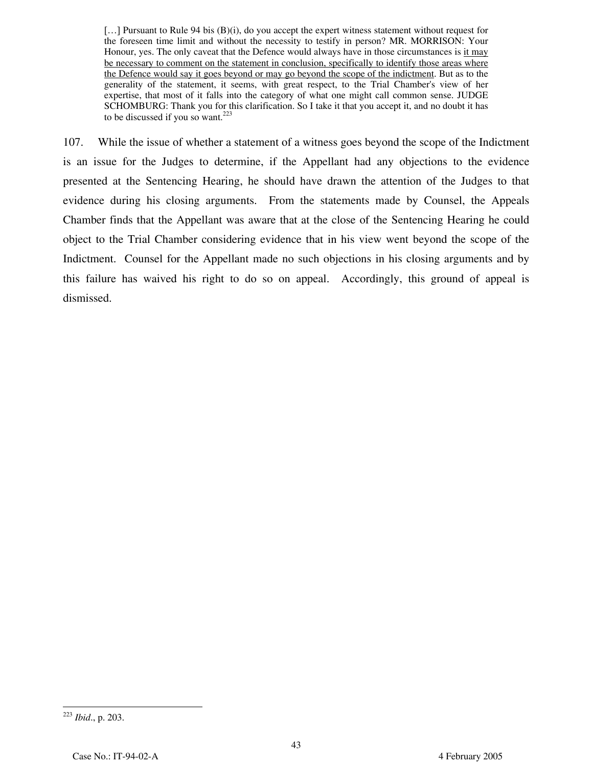[...] Pursuant to Rule 94 bis (B)(i), do you accept the expert witness statement without request for the foreseen time limit and without the necessity to testify in person? MR. MORRISON: Your Honour, yes. The only caveat that the Defence would always have in those circumstances is it may be necessary to comment on the statement in conclusion, specifically to identify those areas where the Defence would say it goes beyond or may go beyond the scope of the indictment. But as to the generality of the statement, it seems, with great respect, to the Trial Chamber's view of her expertise, that most of it falls into the category of what one might call common sense. JUDGE SCHOMBURG: Thank you for this clarification. So I take it that you accept it, and no doubt it has to be discussed if you so want.<sup>223</sup>

107. While the issue of whether a statement of a witness goes beyond the scope of the Indictment is an issue for the Judges to determine, if the Appellant had any objections to the evidence presented at the Sentencing Hearing, he should have drawn the attention of the Judges to that evidence during his closing arguments. From the statements made by Counsel, the Appeals Chamber finds that the Appellant was aware that at the close of the Sentencing Hearing he could object to the Trial Chamber considering evidence that in his view went beyond the scope of the Indictment. Counsel for the Appellant made no such objections in his closing arguments and by this failure has waived his right to do so on appeal. Accordingly, this ground of appeal is dismissed.

<sup>&</sup>lt;u>.</u> <sup>223</sup> *Ibid*., p. 203.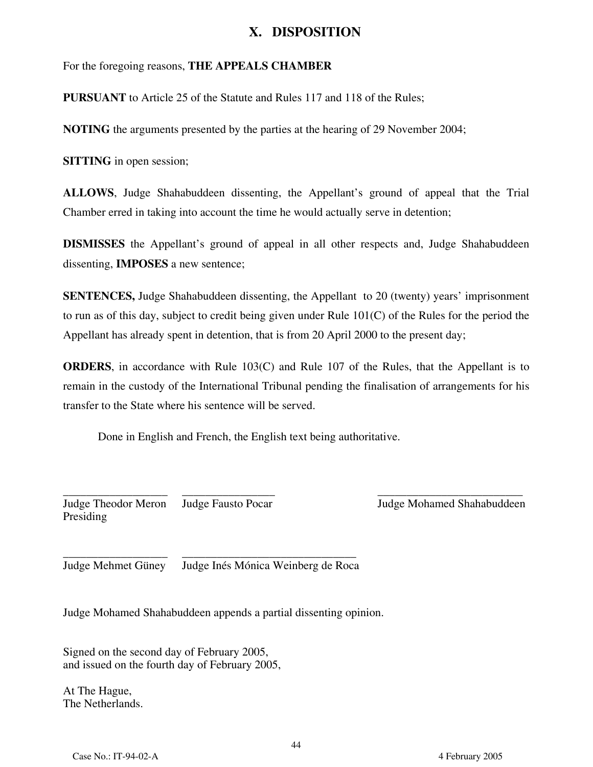### **X. DISPOSITION**

For the foregoing reasons, **THE APPEALS CHAMBER**

**PURSUANT** to Article 25 of the Statute and Rules 117 and 118 of the Rules;

**NOTING** the arguments presented by the parties at the hearing of 29 November 2004;

**SITTING** in open session;

**ALLOWS**, Judge Shahabuddeen dissenting, the Appellant's ground of appeal that the Trial Chamber erred in taking into account the time he would actually serve in detention;

**DISMISSES** the Appellant's ground of appeal in all other respects and, Judge Shahabuddeen dissenting, **IMPOSES** a new sentence;

**SENTENCES,** Judge Shahabuddeen dissenting, the Appellant to 20 (twenty) years' imprisonment to run as of this day, subject to credit being given under Rule 101(C) of the Rules for the period the Appellant has already spent in detention, that is from 20 April 2000 to the present day;

**ORDERS**, in accordance with Rule 103(C) and Rule 107 of the Rules, that the Appellant is to remain in the custody of the International Tribunal pending the finalisation of arrangements for his transfer to the State where his sentence will be served.

Done in English and French, the English text being authoritative.

\_\_\_\_\_\_\_\_\_\_\_\_\_\_\_\_\_\_ Judge Theodor Meron Presiding \_\_\_\_\_\_\_\_\_\_\_\_\_\_\_\_ Judge Fausto Pocar

\_\_\_\_\_\_\_\_\_\_\_\_\_\_\_\_\_\_\_\_\_\_\_\_\_ Judge Mohamed Shahabuddeen

\_\_\_\_\_\_\_\_\_\_\_\_\_\_\_\_\_\_ Judge Mehmet Güney \_\_\_\_\_\_\_\_\_\_\_\_\_\_\_\_\_\_\_\_\_\_\_\_\_\_\_\_\_\_ Judge Inés Mónica Weinberg de Roca

Judge Mohamed Shahabuddeen appends a partial dissenting opinion.

Signed on the second day of February 2005, and issued on the fourth day of February 2005,

At The Hague, The Netherlands.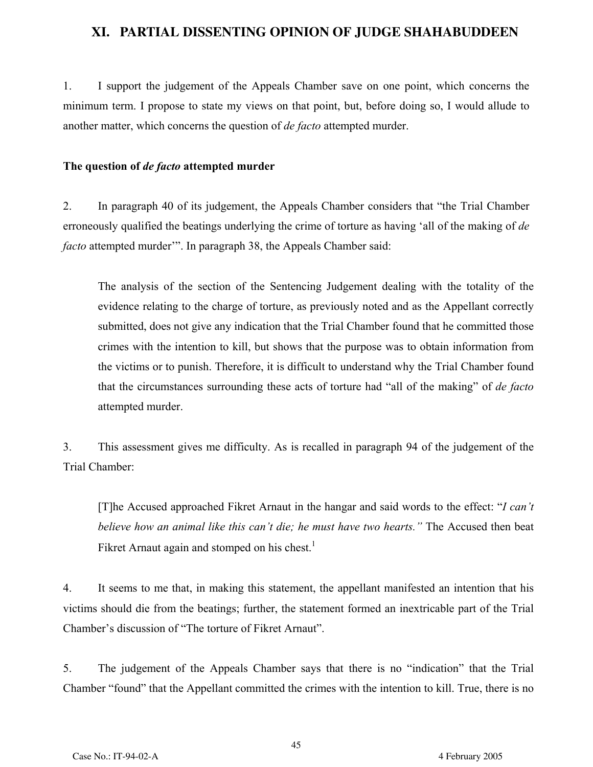## **XI. PARTIAL DISSENTING OPINION OF JUDGE SHAHABUDDEEN**

1. I support the judgement of the Appeals Chamber save on one point, which concerns the minimum term. I propose to state my views on that point, but, before doing so, I would allude to another matter, which concerns the question of *de facto* attempted murder.

#### **The question of** *de facto* **attempted murder**

2. In paragraph 40 of its judgement, the Appeals Chamber considers that "the Trial Chamber erroneously qualified the beatings underlying the crime of torture as having 'all of the making of *de facto* attempted murder'". In paragraph 38, the Appeals Chamber said:

The analysis of the section of the Sentencing Judgement dealing with the totality of the evidence relating to the charge of torture, as previously noted and as the Appellant correctly submitted, does not give any indication that the Trial Chamber found that he committed those crimes with the intention to kill, but shows that the purpose was to obtain information from the victims or to punish. Therefore, it is difficult to understand why the Trial Chamber found that the circumstances surrounding these acts of torture had "all of the making" of *de facto* attempted murder.

3. This assessment gives me difficulty. As is recalled in paragraph 94 of the judgement of the Trial Chamber:

[T]he Accused approached Fikret Arnaut in the hangar and said words to the effect: "*I can't believe how an animal like this can't die; he must have two hearts."* The Accused then beat Fikret Arnaut again and stomped on his chest.<sup>1</sup>

4. It seems to me that, in making this statement, the appellant manifested an intention that his victims should die from the beatings; further, the statement formed an inextricable part of the Trial Chamber's discussion of "The torture of Fikret Arnaut".

5. The judgement of the Appeals Chamber says that there is no "indication" that the Trial Chamber "found" that the Appellant committed the crimes with the intention to kill. True, there is no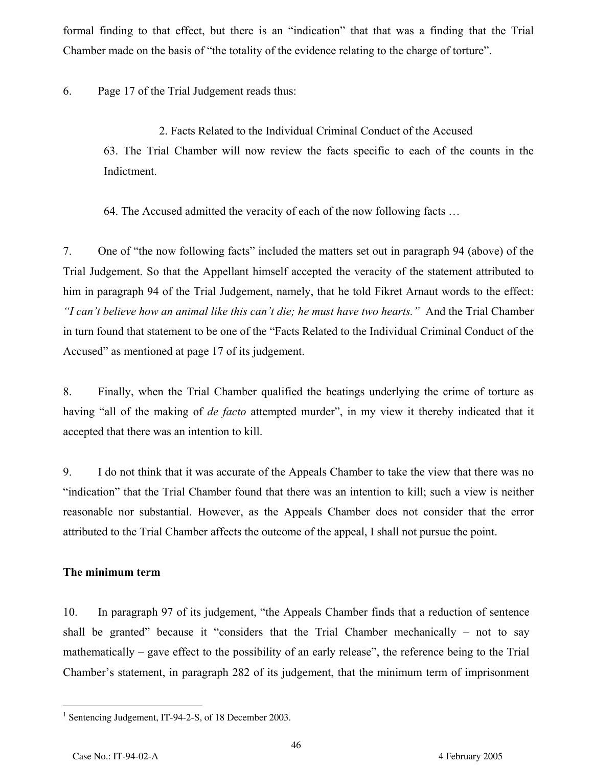formal finding to that effect, but there is an "indication" that that was a finding that the Trial Chamber made on the basis of "the totality of the evidence relating to the charge of torture".

6. Page 17 of the Trial Judgement reads thus:

2. Facts Related to the Individual Criminal Conduct of the Accused 63. The Trial Chamber will now review the facts specific to each of the counts in the Indictment.

64. The Accused admitted the veracity of each of the now following facts …

7. One of "the now following facts" included the matters set out in paragraph 94 (above) of the Trial Judgement. So that the Appellant himself accepted the veracity of the statement attributed to him in paragraph 94 of the Trial Judgement, namely, that he told Fikret Arnaut words to the effect: *"I can't believe how an animal like this can't die; he must have two hearts."* And the Trial Chamber in turn found that statement to be one of the "Facts Related to the Individual Criminal Conduct of the Accused" as mentioned at page 17 of its judgement.

8. Finally, when the Trial Chamber qualified the beatings underlying the crime of torture as having "all of the making of *de facto* attempted murder", in my view it thereby indicated that it accepted that there was an intention to kill.

9. I do not think that it was accurate of the Appeals Chamber to take the view that there was no "indication" that the Trial Chamber found that there was an intention to kill; such a view is neither reasonable nor substantial. However, as the Appeals Chamber does not consider that the error attributed to the Trial Chamber affects the outcome of the appeal, I shall not pursue the point.

#### **The minimum term**

10. In paragraph 97 of its judgement, "the Appeals Chamber finds that a reduction of sentence shall be granted" because it "considers that the Trial Chamber mechanically – not to say mathematically – gave effect to the possibility of an early release", the reference being to the Trial Chamber's statement, in paragraph 282 of its judgement, that the minimum term of imprisonment

-

<sup>&</sup>lt;sup>1</sup> Sentencing Judgement, IT-94-2-S, of 18 December 2003.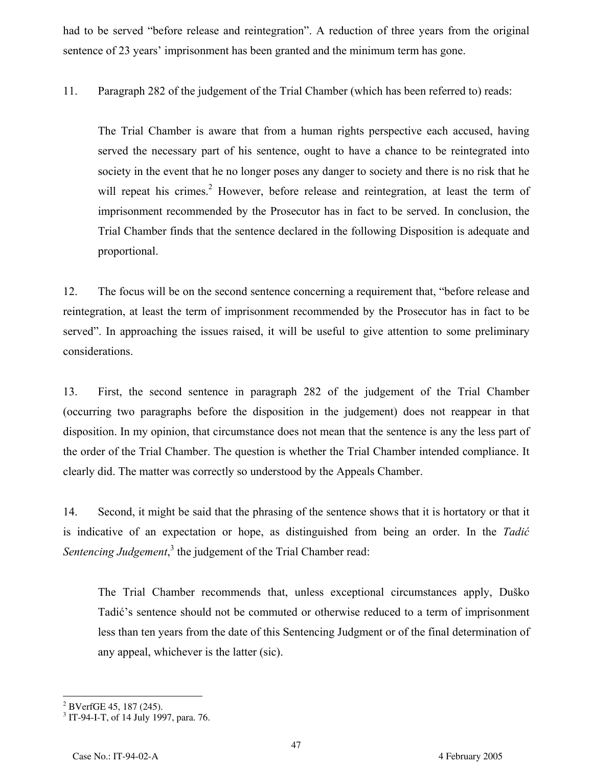had to be served "before release and reintegration". A reduction of three years from the original sentence of 23 years' imprisonment has been granted and the minimum term has gone.

11. Paragraph 282 of the judgement of the Trial Chamber (which has been referred to) reads:

The Trial Chamber is aware that from a human rights perspective each accused, having served the necessary part of his sentence, ought to have a chance to be reintegrated into society in the event that he no longer poses any danger to society and there is no risk that he will repeat his crimes.<sup>2</sup> However, before release and reintegration, at least the term of imprisonment recommended by the Prosecutor has in fact to be served. In conclusion, the Trial Chamber finds that the sentence declared in the following Disposition is adequate and proportional.

12. The focus will be on the second sentence concerning a requirement that, "before release and reintegration, at least the term of imprisonment recommended by the Prosecutor has in fact to be served". In approaching the issues raised, it will be useful to give attention to some preliminary considerations.

13. First, the second sentence in paragraph 282 of the judgement of the Trial Chamber (occurring two paragraphs before the disposition in the judgement) does not reappear in that disposition. In my opinion, that circumstance does not mean that the sentence is any the less part of the order of the Trial Chamber. The question is whether the Trial Chamber intended compliance. It clearly did. The matter was correctly so understood by the Appeals Chamber.

14. Second, it might be said that the phrasing of the sentence shows that it is hortatory or that it is indicative of an expectation or hope, as distinguished from being an order. In the *Tadić* Sentencing Judgement,<sup>3</sup> the judgement of the Trial Chamber read:

The Trial Chamber recommends that, unless exceptional circumstances apply, Duško Tadić's sentence should not be commuted or otherwise reduced to a term of imprisonment less than ten years from the date of this Sentencing Judgment or of the final determination of any appeal, whichever is the latter (sic).

 $\overline{a}$  $2^2$  BVerfGE 45, 187 (245).

<sup>3</sup> IT-94-I-T, of 14 July 1997, para. 76.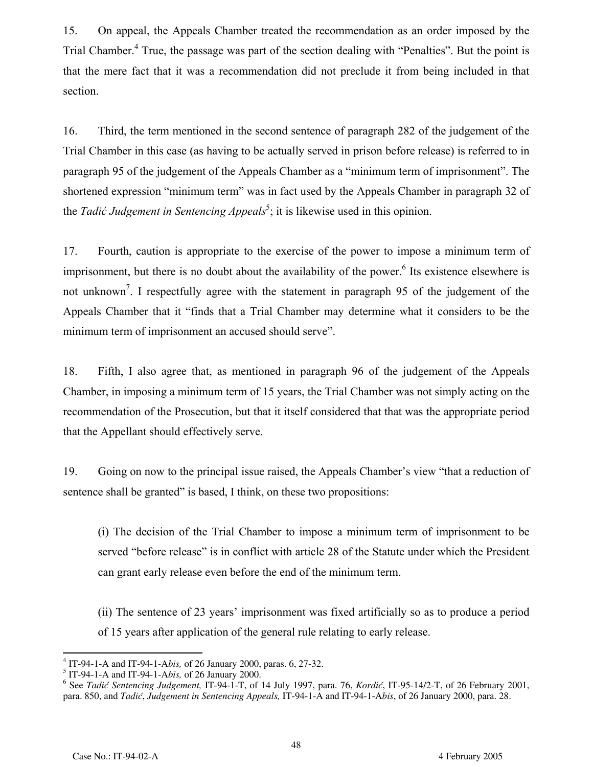15. On appeal, the Appeals Chamber treated the recommendation as an order imposed by the Trial Chamber.<sup>4</sup> True, the passage was part of the section dealing with "Penalties". But the point is that the mere fact that it was a recommendation did not preclude it from being included in that section.

16. Third, the term mentioned in the second sentence of paragraph 282 of the judgement of the Trial Chamber in this case (as having to be actually served in prison before release) is referred to in paragraph 95 of the judgement of the Appeals Chamber as a "minimum term of imprisonment". The shortened expression "minimum term" was in fact used by the Appeals Chamber in paragraph 32 of the *Tadić Judgement in Sentencing Appeals*<sup>5</sup>; it is likewise used in this opinion.

17. Fourth, caution is appropriate to the exercise of the power to impose a minimum term of imprisonment, but there is no doubt about the availability of the power.<sup>6</sup> Its existence elsewhere is not unknown<sup>7</sup>. I respectfully agree with the statement in paragraph 95 of the judgement of the Appeals Chamber that it "finds that a Trial Chamber may determine what it considers to be the minimum term of imprisonment an accused should serve".

18. Fifth, I also agree that, as mentioned in paragraph 96 of the judgement of the Appeals Chamber, in imposing a minimum term of 15 years, the Trial Chamber was not simply acting on the recommendation of the Prosecution, but that it itself considered that that was the appropriate period that the Appellant should effectively serve.

19. Going on now to the principal issue raised, the Appeals Chamber's view "that a reduction of sentence shall be granted" is based, I think, on these two propositions:

(i) The decision of the Trial Chamber to impose a minimum term of imprisonment to be served "before release" is in conflict with article 28 of the Statute under which the President can grant early release even before the end of the minimum term.

(ii) The sentence of 23 years' imprisonment was fixed artificially so as to produce a period of 15 years after application of the general rule relating to early release.

 4 IT-94-1-A and IT-94-1-A*bis,* of 26 January 2000, paras. 6, 27-32.

<sup>5</sup> IT-94-1-A and IT-94-1-A*bis,* of 26 January 2000.

<sup>6</sup> See *Tadić Sentencing Judgement,* IT-94-1-T, of 14 July 1997, para. 76, *Kordić*, IT-95-14/2-T, of 26 February 2001, para. 850, and *Tadić*, *Judgement in Sentencing Appeals,* IT-94-1-A and IT-94-1-A*bis*, of 26 January 2000, para. 28.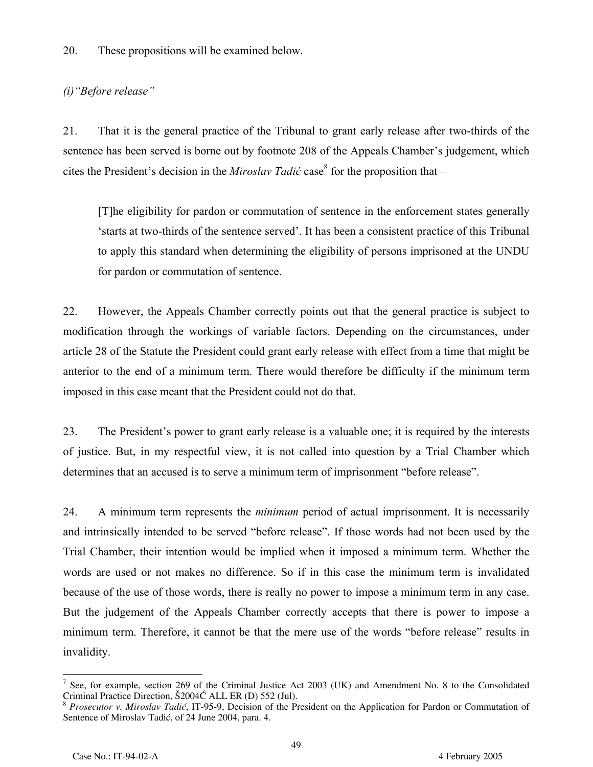20. These propositions will be examined below.

### *(i)"Before release"*

21. That it is the general practice of the Tribunal to grant early release after two-thirds of the sentence has been served is borne out by footnote 208 of the Appeals Chamber's judgement, which cites the President's decision in the *Miroslav Tadić* case<sup>8</sup> for the proposition that –

[T]he eligibility for pardon or commutation of sentence in the enforcement states generally 'starts at two-thirds of the sentence served'. It has been a consistent practice of this Tribunal to apply this standard when determining the eligibility of persons imprisoned at the UNDU for pardon or commutation of sentence.

22. However, the Appeals Chamber correctly points out that the general practice is subject to modification through the workings of variable factors. Depending on the circumstances, under article 28 of the Statute the President could grant early release with effect from a time that might be anterior to the end of a minimum term. There would therefore be difficulty if the minimum term imposed in this case meant that the President could not do that.

23. The President's power to grant early release is a valuable one; it is required by the interests of justice. But, in my respectful view, it is not called into question by a Trial Chamber which determines that an accused is to serve a minimum term of imprisonment "before release".

24. A minimum term represents the *minimum* period of actual imprisonment. It is necessarily and intrinsically intended to be served "before release". If those words had not been used by the Trial Chamber, their intention would be implied when it imposed a minimum term. Whether the words are used or not makes no difference. So if in this case the minimum term is invalidated because of the use of those words, there is really no power to impose a minimum term in any case. But the judgement of the Appeals Chamber correctly accepts that there is power to impose a minimum term. Therefore, it cannot be that the mere use of the words "before release" results in invalidity.

<sup>-</sup>7 <sup>7</sup> See, for example, section 269 of the Criminal Justice Act 2003 (UK) and Amendment No. 8 to the Consolidated Criminal Practice Direction,  $\frac{\text{S}}{2004}$  ALL ER (D) 552 (Jul).

<sup>&</sup>lt;sup>8</sup> Prosecutor v. Miroslav Tadić, IT-95-9, Decision of the President on the Application for Pardon or Commutation of Sentence of Miroslav Tadić, of 24 June 2004, para. 4.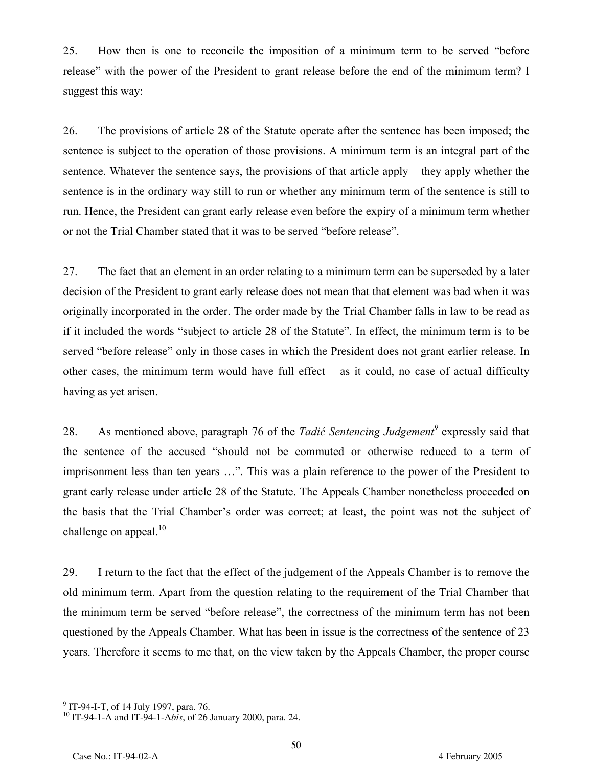25. How then is one to reconcile the imposition of a minimum term to be served "before release" with the power of the President to grant release before the end of the minimum term? I suggest this way:

26. The provisions of article 28 of the Statute operate after the sentence has been imposed; the sentence is subject to the operation of those provisions. A minimum term is an integral part of the sentence. Whatever the sentence says, the provisions of that article apply – they apply whether the sentence is in the ordinary way still to run or whether any minimum term of the sentence is still to run. Hence, the President can grant early release even before the expiry of a minimum term whether or not the Trial Chamber stated that it was to be served "before release".

27. The fact that an element in an order relating to a minimum term can be superseded by a later decision of the President to grant early release does not mean that that element was bad when it was originally incorporated in the order. The order made by the Trial Chamber falls in law to be read as if it included the words "subject to article 28 of the Statute". In effect, the minimum term is to be served "before release" only in those cases in which the President does not grant earlier release. In other cases, the minimum term would have full effect – as it could, no case of actual difficulty having as yet arisen.

28. As mentioned above, paragraph 76 of the *Tadić Sentencing Judgement*<sup>9</sup> expressly said that the sentence of the accused "should not be commuted or otherwise reduced to a term of imprisonment less than ten years …". This was a plain reference to the power of the President to grant early release under article 28 of the Statute. The Appeals Chamber nonetheless proceeded on the basis that the Trial Chamber's order was correct; at least, the point was not the subject of challenge on appeal. $10$ 

29. I return to the fact that the effect of the judgement of the Appeals Chamber is to remove the old minimum term. Apart from the question relating to the requirement of the Trial Chamber that the minimum term be served "before release", the correctness of the minimum term has not been questioned by the Appeals Chamber. What has been in issue is the correctness of the sentence of 23 years. Therefore it seems to me that, on the view taken by the Appeals Chamber, the proper course

<sup>9&</sup>lt;br><sup>9</sup> IT-94-I-T, of 14 July 1997, para. 76.

<sup>10</sup> IT-94-1-A and IT-94-1-A*bis*, of 26 January 2000, para. 24.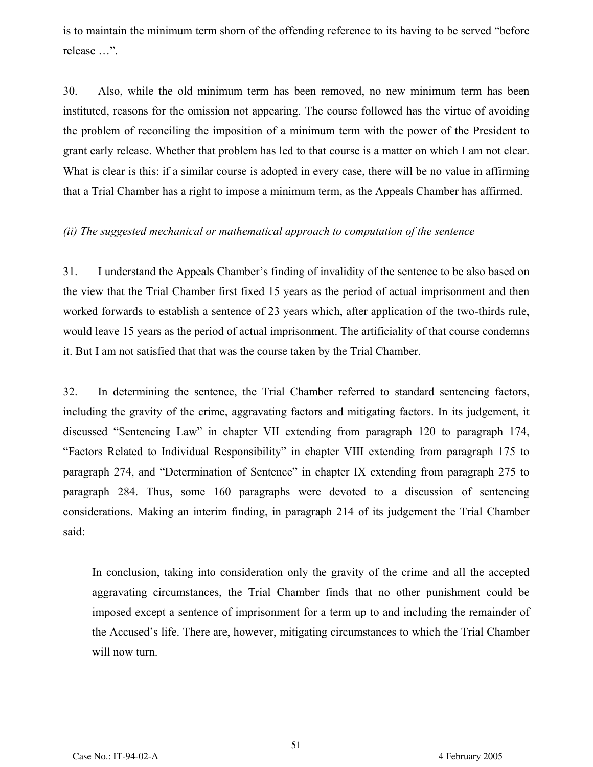is to maintain the minimum term shorn of the offending reference to its having to be served "before release …".

30. Also, while the old minimum term has been removed, no new minimum term has been instituted, reasons for the omission not appearing. The course followed has the virtue of avoiding the problem of reconciling the imposition of a minimum term with the power of the President to grant early release. Whether that problem has led to that course is a matter on which I am not clear. What is clear is this: if a similar course is adopted in every case, there will be no value in affirming that a Trial Chamber has a right to impose a minimum term, as the Appeals Chamber has affirmed.

#### *(ii) The suggested mechanical or mathematical approach to computation of the sentence*

31. I understand the Appeals Chamber's finding of invalidity of the sentence to be also based on the view that the Trial Chamber first fixed 15 years as the period of actual imprisonment and then worked forwards to establish a sentence of 23 years which, after application of the two-thirds rule, would leave 15 years as the period of actual imprisonment. The artificiality of that course condemns it. But I am not satisfied that that was the course taken by the Trial Chamber.

32. In determining the sentence, the Trial Chamber referred to standard sentencing factors, including the gravity of the crime, aggravating factors and mitigating factors. In its judgement, it discussed "Sentencing Law" in chapter VII extending from paragraph 120 to paragraph 174, "Factors Related to Individual Responsibility" in chapter VIII extending from paragraph 175 to paragraph 274, and "Determination of Sentence" in chapter IX extending from paragraph 275 to paragraph 284. Thus, some 160 paragraphs were devoted to a discussion of sentencing considerations. Making an interim finding, in paragraph 214 of its judgement the Trial Chamber said:

In conclusion, taking into consideration only the gravity of the crime and all the accepted aggravating circumstances, the Trial Chamber finds that no other punishment could be imposed except a sentence of imprisonment for a term up to and including the remainder of the Accused's life. There are, however, mitigating circumstances to which the Trial Chamber will now turn.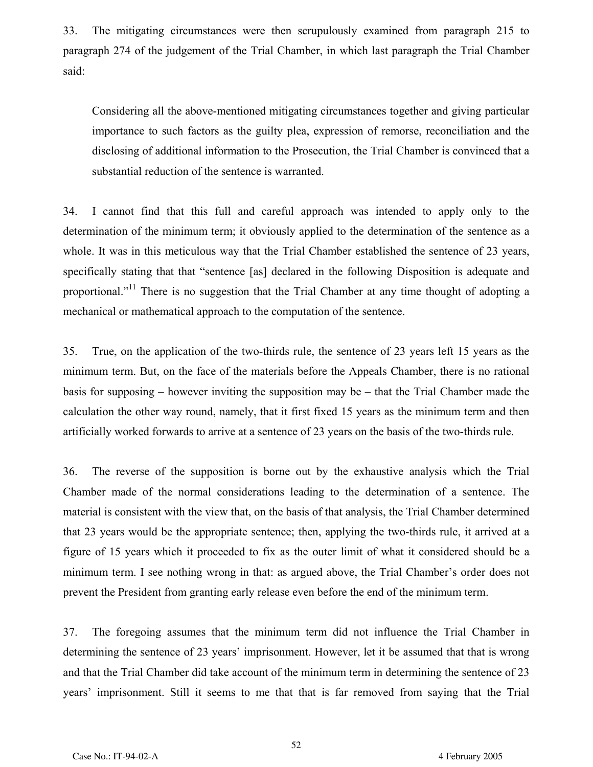33. The mitigating circumstances were then scrupulously examined from paragraph 215 to paragraph 274 of the judgement of the Trial Chamber, in which last paragraph the Trial Chamber said:

Considering all the above-mentioned mitigating circumstances together and giving particular importance to such factors as the guilty plea, expression of remorse, reconciliation and the disclosing of additional information to the Prosecution, the Trial Chamber is convinced that a substantial reduction of the sentence is warranted.

34. I cannot find that this full and careful approach was intended to apply only to the determination of the minimum term; it obviously applied to the determination of the sentence as a whole. It was in this meticulous way that the Trial Chamber established the sentence of 23 years, specifically stating that that "sentence [as] declared in the following Disposition is adequate and proportional."<sup>11</sup> There is no suggestion that the Trial Chamber at any time thought of adopting a mechanical or mathematical approach to the computation of the sentence.

35. True, on the application of the two-thirds rule, the sentence of 23 years left 15 years as the minimum term. But, on the face of the materials before the Appeals Chamber, there is no rational basis for supposing – however inviting the supposition may be – that the Trial Chamber made the calculation the other way round, namely, that it first fixed 15 years as the minimum term and then artificially worked forwards to arrive at a sentence of 23 years on the basis of the two-thirds rule.

36. The reverse of the supposition is borne out by the exhaustive analysis which the Trial Chamber made of the normal considerations leading to the determination of a sentence. The material is consistent with the view that, on the basis of that analysis, the Trial Chamber determined that 23 years would be the appropriate sentence; then, applying the two-thirds rule, it arrived at a figure of 15 years which it proceeded to fix as the outer limit of what it considered should be a minimum term. I see nothing wrong in that: as argued above, the Trial Chamber's order does not prevent the President from granting early release even before the end of the minimum term.

37. The foregoing assumes that the minimum term did not influence the Trial Chamber in determining the sentence of 23 years' imprisonment. However, let it be assumed that that is wrong and that the Trial Chamber did take account of the minimum term in determining the sentence of 23 years' imprisonment. Still it seems to me that that is far removed from saying that the Trial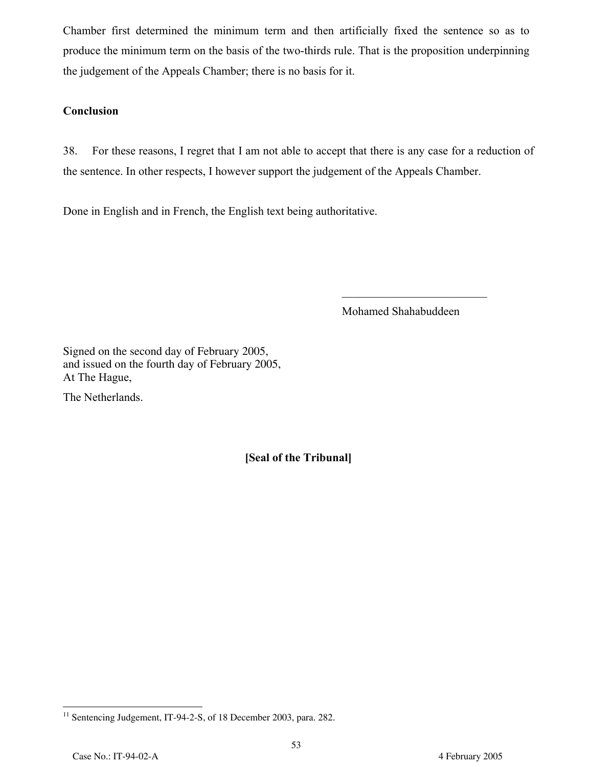Chamber first determined the minimum term and then artificially fixed the sentence so as to produce the minimum term on the basis of the two-thirds rule. That is the proposition underpinning the judgement of the Appeals Chamber; there is no basis for it.

### **Conclusion**

38. For these reasons, I regret that I am not able to accept that there is any case for a reduction of the sentence. In other respects, I however support the judgement of the Appeals Chamber.

Done in English and in French, the English text being authoritative.

Mohamed Shahabuddeen

\_\_\_\_\_\_\_\_\_\_\_\_\_\_\_\_\_\_\_\_\_\_\_\_\_

Signed on the second day of February 2005, and issued on the fourth day of February 2005, At The Hague,

The Netherlands.

**[Seal of the Tribunal]**

<sup>&</sup>lt;u>.</u>  $11$  Sentencing Judgement, IT-94-2-S, of 18 December 2003, para. 282.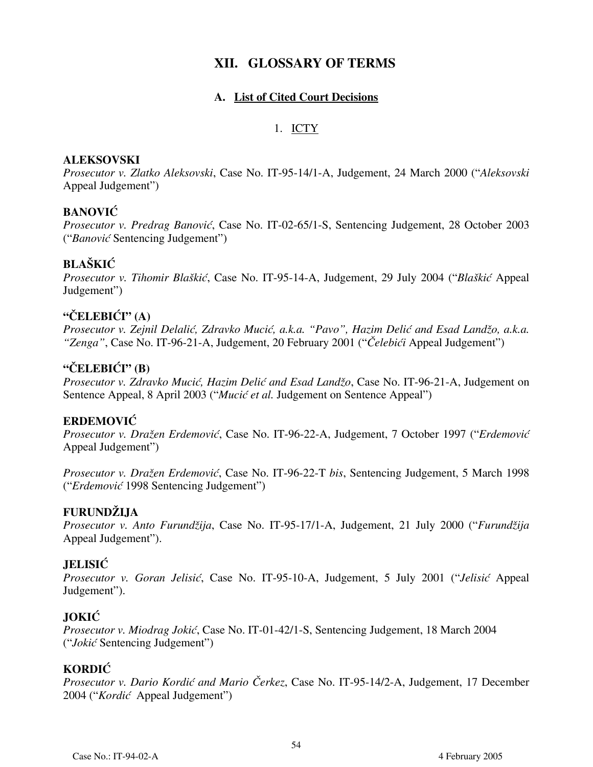## **XII. GLOSSARY OF TERMS**

#### **A. List of Cited Court Decisions**

#### 1. ICTY

#### **ALEKSOVSKI**

*Prosecutor v. Zlatko Aleksovski*, Case No. IT-95-14/1-A, Judgement, 24 March 2000 ("*Aleksovski* Appeal Judgement")

#### **BANOVIĆ**

*Prosecutor v. Predrag Banović*, Case No. IT-02-65/1-S, Sentencing Judgement, 28 October 2003 ("*Banović* Sentencing Judgement")

## **BLAŠKIĆ**

*Prosecutor v. Tihomir Blaškić*, Case No. IT-95-14-A, Judgement, 29 July 2004 ("*Blaškić* Appeal Judgement")

### **"ČELEBIĆI" (A)**

*Prosecutor v. Zejnil Delalić, Zdravko Mucić, a.k.a. "Pavo", Hazim Delić and Esad Landžo, a.k.a. "Zenga"*, Case No. IT-96-21-A, Judgement, 20 February 2001 ("*Čelebići* Appeal Judgement")

#### **"ČELEBIĆI" (B)**

*Prosecutor v. Zdravko Mucić, Hazim Delić and Esad Landžo*, Case No. IT-96-21-A, Judgement on Sentence Appeal, 8 April 2003 ("*Mucić et al.* Judgement on Sentence Appeal")

#### **ERDEMOVIĆ**

*Prosecutor v. Dražen Erdemovi}*, Case No. IT-96-22-A, Judgement, 7 October 1997 ("*Erdemovi}* Appeal Judgement")

*Prosecutor v. Dražen Erdemovi}*, Case No. IT-96-22-T *bis*, Sentencing Judgement, 5 March 1998 ("*Erdemović* 1998 Sentencing Judgement")

#### **FURUNDŽIJA**

*Prosecutor v. Anto Furundžija*, Case No. IT-95-17/1-A, Judgement, 21 July 2000 ("*Furundžija* Appeal Judgement").

#### **JELISIĆ**

*Prosecutor v. Goran Jelisić*, Case No. IT-95-10-A, Judgement, 5 July 2001 ("*Jelisić* Appeal Judgement").

#### **JOKIĆ**

*Prosecutor v. Miodrag Jokić*, Case No. IT-01-42/1-S, Sentencing Judgement, 18 March 2004 ("*Jokić* Sentencing Judgement")

#### **KORDIĆ**

*Prosecutor v. Dario Kordić and Mario Čerkez*, Case No. IT-95-14/2-A, Judgement, 17 December 2004 ("*Kordić* Appeal Judgement")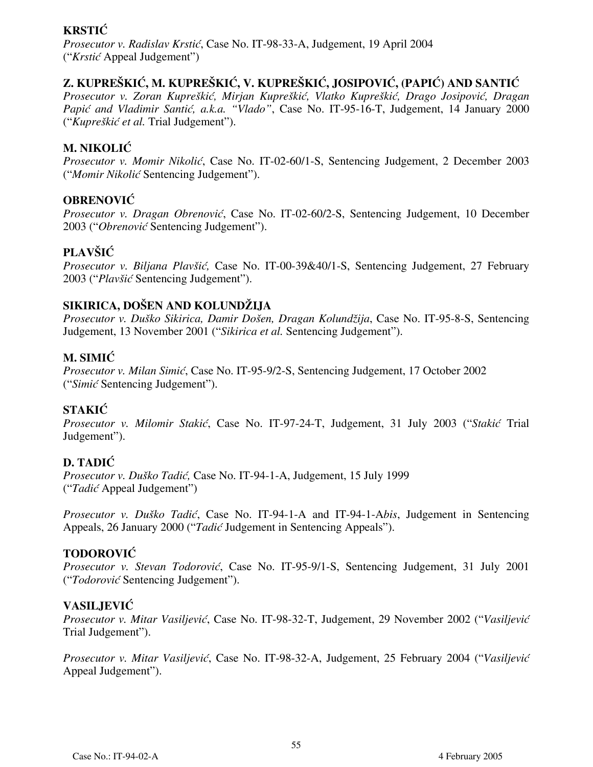## **KRSTIĆ**

*Prosecutor v. Radislav Krstić*, Case No. IT-98-33-A, Judgement, 19 April 2004 ("*Krstić* Appeal Judgement")

## **Z. KUPREŠKIĆ, M. KUPREŠKIĆ, V. KUPREŠKIĆ, JOSIPOVIĆ, (PAPI]) AND SANTIĆ**

*Prosecutor v. Zoran Kupreškić, Mirjan Kupreškić, Vlatko Kupreškić, Drago Josipovi}, Dragan* Papić and Vladimir Santić, a.k.a. "Vlado", Case No. IT-95-16-T, Judgement, 14 January 2000 ("*Kupreškić et al.* Trial Judgement").

## **M. NIKOLIĆ**

*Prosecutor v. Momir Nikolić*, Case No. IT-02-60/1-S, Sentencing Judgement, 2 December 2003 ("*Momir Nikolić* Sentencing Judgement").

## **OBRENOVIĆ**

*Prosecutor v. Dragan Obrenović*, Case No. IT-02-60/2-S, Sentencing Judgement, 10 December 2003 ("*Obrenović* Sentencing Judgement").

## **PLAVŠIĆ**

*Prosecutor v. Biljana Plavšić,* Case No. IT-00-39&40/1-S, Sentencing Judgement, 27 February 2003 ("*Plavšić* Sentencing Judgement").

## **SIKIRICA, DOŠEN AND KOLUNDŽIJA**

*Prosecutor v. Duško Sikirica, Damir Došen, Dragan Kolundžija*, Case No. IT-95-8-S, Sentencing Judgement, 13 November 2001 ("*Sikirica et al.* Sentencing Judgement").

## **M. SIMIĆ**

*Prosecutor v. Milan Simić*, Case No. IT-95-9/2-S, Sentencing Judgement, 17 October 2002 ("*Simić* Sentencing Judgement").

## **STAKIĆ**

*Prosecutor v. Milomir Stakić*, Case No. IT-97-24-T, Judgement, 31 July 2003 ("*Stakić* Trial Judgement").

## **D. TADIĆ**

*Prosecutor v. Duško Tadić,* Case No. IT-94-1-A, Judgement, 15 July 1999 ("*Tadić* Appeal Judgement")

*Prosecutor v. Duško Tadić*, Case No. IT-94-1-A and IT-94-1-A*bis*, Judgement in Sentencing Appeals, 26 January 2000 ("*Tadić* Judgement in Sentencing Appeals").

## **TODOROVIĆ**

*Prosecutor v. Stevan Todorović*, Case No. IT-95-9/1-S, Sentencing Judgement, 31 July 2001 ("*Todorović* Sentencing Judgement").

## **VASILJEVIĆ**

*Prosecutor v. Mitar Vasiljević*, Case No. IT-98-32-T, Judgement, 29 November 2002 ("*Vasiljević* Trial Judgement").

*Prosecutor v. Mitar Vasiljević*, Case No. IT-98-32-A, Judgement, 25 February 2004 ("*Vasiljević* Appeal Judgement").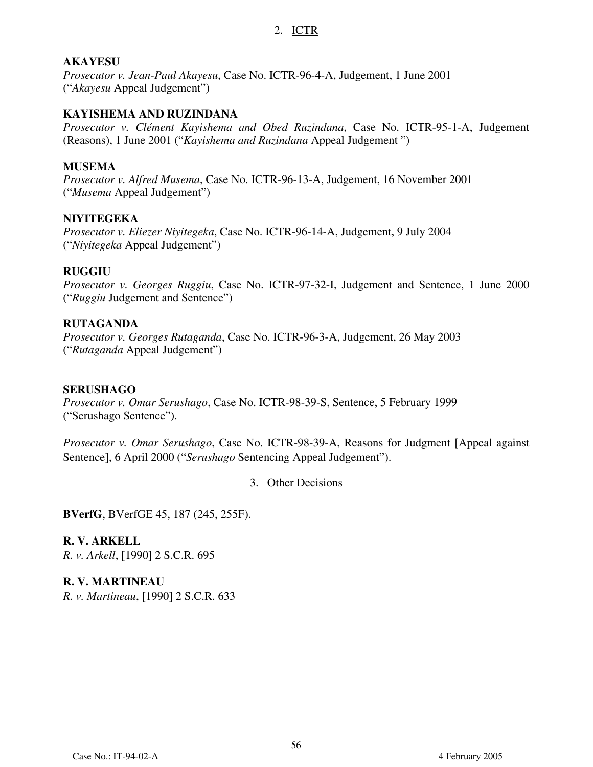#### 2. ICTR

#### **AKAYESU**

*Prosecutor v. Jean-Paul Akayesu*, Case No. ICTR-96-4-A, Judgement, 1 June 2001 ("*Akayesu* Appeal Judgement")

#### **KAYISHEMA AND RUZINDANA**

*Prosecutor v. Clément Kayishema and Obed Ruzindana*, Case No. ICTR-95-1-A, Judgement (Reasons), 1 June 2001 ("*Kayishema and Ruzindana* Appeal Judgement ")

#### **MUSEMA**

*Prosecutor v. Alfred Musema*, Case No. ICTR-96-13-A, Judgement, 16 November 2001 ("*Musema* Appeal Judgement")

#### **NIYITEGEKA**

*Prosecutor v. Eliezer Niyitegeka*, Case No. ICTR-96-14-A, Judgement, 9 July 2004 ("*Niyitegeka* Appeal Judgement")

#### **RUGGIU**

*Prosecutor v. Georges Ruggiu*, Case No. ICTR-97-32-I, Judgement and Sentence, 1 June 2000 ("*Ruggiu* Judgement and Sentence")

#### **RUTAGANDA**

*Prosecutor v. Georges Rutaganda*, Case No. ICTR-96-3-A, Judgement, 26 May 2003 ("*Rutaganda* Appeal Judgement")

#### **SERUSHAGO**

*Prosecutor v. Omar Serushago*, Case No. ICTR-98-39-S, Sentence, 5 February 1999 ("Serushago Sentence").

*Prosecutor v. Omar Serushago*, Case No. ICTR-98-39-A, Reasons for Judgment [Appeal against Sentence], 6 April 2000 ("*Serushago* Sentencing Appeal Judgement").

3. Other Decisions

**BVerfG**, BVerfGE 45, 187 (245, 255F).

**R. V. ARKELL** *R. v. Arkell*, [1990] 2 S.C.R. 695

**R. V. MARTINEAU** *R. v. Martineau*, [1990] 2 S.C.R. 633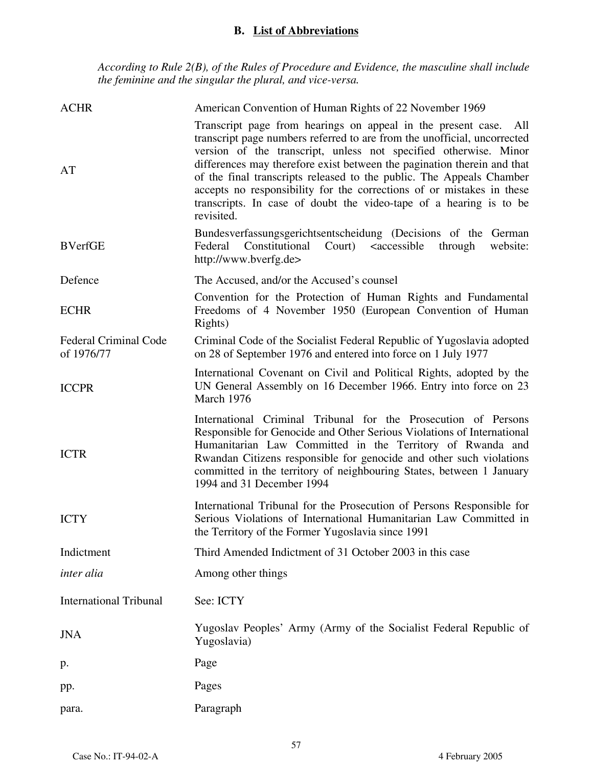### **B. List of Abbreviations**

*According to Rule 2(B), of the Rules of Procedure and Evidence, the masculine shall include the feminine and the singular the plural, and vice-versa.*

| <b>ACHR</b>                         | American Convention of Human Rights of 22 November 1969                                                                                                                                                                                                                                                                                                                                                                                                                                                                             |
|-------------------------------------|-------------------------------------------------------------------------------------------------------------------------------------------------------------------------------------------------------------------------------------------------------------------------------------------------------------------------------------------------------------------------------------------------------------------------------------------------------------------------------------------------------------------------------------|
| AT                                  | Transcript page from hearings on appeal in the present case.<br>All<br>transcript page numbers referred to are from the unofficial, uncorrected<br>version of the transcript, unless not specified otherwise. Minor<br>differences may therefore exist between the pagination therein and that<br>of the final transcripts released to the public. The Appeals Chamber<br>accepts no responsibility for the corrections of or mistakes in these<br>transcripts. In case of doubt the video-tape of a hearing is to be<br>revisited. |
| <b>BVerfGE</b>                      | Bundesverfassungsgerichtsentscheidung (Decisions of the German<br>Constitutional<br>Court) <accessible<br>Federal<br/>website:<br/>through<br/>http://www.bverfg.de&gt;</accessible<br>                                                                                                                                                                                                                                                                                                                                             |
| Defence                             | The Accused, and/or the Accused's counsel                                                                                                                                                                                                                                                                                                                                                                                                                                                                                           |
| <b>ECHR</b>                         | Convention for the Protection of Human Rights and Fundamental<br>Freedoms of 4 November 1950 (European Convention of Human<br>Rights)                                                                                                                                                                                                                                                                                                                                                                                               |
| Federal Criminal Code<br>of 1976/77 | Criminal Code of the Socialist Federal Republic of Yugoslavia adopted<br>on 28 of September 1976 and entered into force on 1 July 1977                                                                                                                                                                                                                                                                                                                                                                                              |
| <b>ICCPR</b>                        | International Covenant on Civil and Political Rights, adopted by the<br>UN General Assembly on 16 December 1966. Entry into force on 23<br>March 1976                                                                                                                                                                                                                                                                                                                                                                               |
| <b>ICTR</b>                         | International Criminal Tribunal for the Prosecution of Persons<br>Responsible for Genocide and Other Serious Violations of International<br>Humanitarian Law Committed in the Territory of Rwanda and<br>Rwandan Citizens responsible for genocide and other such violations<br>committed in the territory of neighbouring States, between 1 January<br>1994 and 31 December 1994                                                                                                                                                   |
| <b>ICTY</b>                         | International Tribunal for the Prosecution of Persons Responsible for<br>Serious Violations of International Humanitarian Law Committed in<br>the Territory of the Former Yugoslavia since 1991                                                                                                                                                                                                                                                                                                                                     |
| Indictment                          | Third Amended Indictment of 31 October 2003 in this case                                                                                                                                                                                                                                                                                                                                                                                                                                                                            |
| inter alia                          | Among other things                                                                                                                                                                                                                                                                                                                                                                                                                                                                                                                  |
| <b>International Tribunal</b>       | See: ICTY                                                                                                                                                                                                                                                                                                                                                                                                                                                                                                                           |
| <b>JNA</b>                          | Yugoslav Peoples' Army (Army of the Socialist Federal Republic of<br>Yugoslavia)                                                                                                                                                                                                                                                                                                                                                                                                                                                    |
| p.                                  | Page                                                                                                                                                                                                                                                                                                                                                                                                                                                                                                                                |
| pp.                                 | Pages                                                                                                                                                                                                                                                                                                                                                                                                                                                                                                                               |
| para.                               | Paragraph                                                                                                                                                                                                                                                                                                                                                                                                                                                                                                                           |